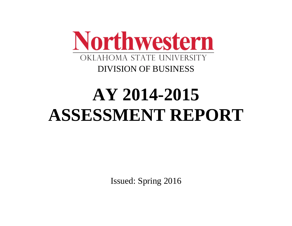

# **AY 2014-2015 ASSESSMENT REPORT**

Issued: Spring 2016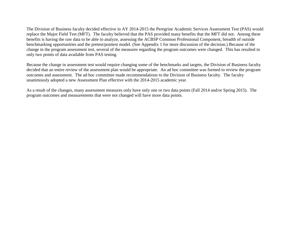The Division of Business faculty decided effective in AY 2014-2015 the Peregrine Academic Services Assessment Test (PAS) would replace the Major Field Test (MFT). The faculty believed that the PAS provided many benefits that the MFT did not. Among these benefits is having the raw data to be able to analyze, assessing the ACBSP Common Professional Component, breadth of outside benchmarking opportunities and the pretest/posttest model. (See Appendix 1 for more discussion of the decision.) Because of the change in the program assessment test, several of the measures regarding the program outcomes were changed. This has resulted in only two points of data available from PAS testing.

Because the change in assessment test would require changing some of the benchmarks and targets, the Division of Business faculty decided that an entire review of the assessment plan would be appropriate. An ad hoc committee was formed to review the program outcomes and assessment. The ad hoc committee made recommendations to the Division of Business faculty. The faculty unanimously adopted a new Assessment Plan effective with the 2014-2015 academic year.

As a result of the changes, many assessment measures only have only one or two data points (Fall 2014 and/or Spring 2015). The program outcomes and measurements that were not changed will have more data points.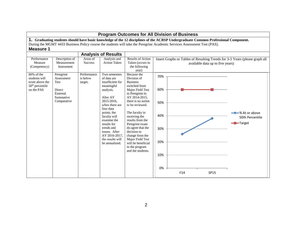| <b>Program Outcomes for All Division of Business</b>                                        |                                                                                   |                                                                            |                                                                                                                                                                                                                                                                                         |                                                                                                                                                                                                                                                                                                                                                                                  |                                                     |     |                                                                                                                                    |                                                       |  |  |
|---------------------------------------------------------------------------------------------|-----------------------------------------------------------------------------------|----------------------------------------------------------------------------|-----------------------------------------------------------------------------------------------------------------------------------------------------------------------------------------------------------------------------------------------------------------------------------------|----------------------------------------------------------------------------------------------------------------------------------------------------------------------------------------------------------------------------------------------------------------------------------------------------------------------------------------------------------------------------------|-----------------------------------------------------|-----|------------------------------------------------------------------------------------------------------------------------------------|-------------------------------------------------------|--|--|
| <b>Measure 1</b>                                                                            |                                                                                   |                                                                            |                                                                                                                                                                                                                                                                                         | During the MGMT 4433 Business Policy course the students will take the Peregrine Academic Services Assessment Test (PAS).                                                                                                                                                                                                                                                        |                                                     |     | 1. Graduating students should have basic knowledge of the 12 disciplines of the ACBSP Undergraduate Common Professional Component. |                                                       |  |  |
| Performance                                                                                 | Areas of                                                                          | <b>Analysis of Results</b><br>Analysis and                                 | Results of Action                                                                                                                                                                                                                                                                       |                                                                                                                                                                                                                                                                                                                                                                                  |                                                     |     | Insert Graphs or Tables of Resulting Trends for 3-5 Years (please graph all                                                        |                                                       |  |  |
| Measure<br>(Competency)                                                                     | Description of<br>Measurement<br>Instrument                                       | <b>Action Taken</b><br><b>Success</b><br>Taken (occurs in<br>the following |                                                                                                                                                                                                                                                                                         |                                                                                                                                                                                                                                                                                                                                                                                  | available data up to five years)<br>year)           |     |                                                                                                                                    |                                                       |  |  |
| 60% of the<br>students will<br>score above the<br>50 <sup>th</sup> percentile<br>on the PAS | Peregrine<br>Assessment<br>Test<br>Direct<br>External<br>Summative<br>Comparative | Performance<br>is below<br>target.                                         | Two semesters<br>of data are<br>insufficient for<br>meaningful<br>analysis.<br>After AY<br>2015-2016.<br>when there are<br>four data<br>points, the<br>faculty will<br>examine the<br>results for<br>trends and<br>issues. After<br>AY 2016-2017.<br>the results will<br>be annualized. | Because the<br>Division of<br><b>Business</b><br>switched from<br>Major Field Test<br>to Peregrine in<br>AY 2014-2015,<br>there is no action<br>to be reviewed.<br>The faculty in<br>receiving the<br>results from the<br>Peregrine exam<br>do agree that the<br>decision to<br>change from the<br>Major Field Test<br>will be beneficial<br>to the program<br>and the students. | 70%<br>60%<br>50%<br>40%<br>30%<br>20%<br>10%<br>0% | F14 | SP15                                                                                                                               | <b>→→</b> % At or above<br>50th Percentile<br>-Target |  |  |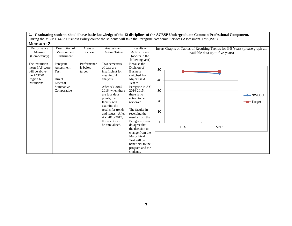| IIIVUJUI V L    |                |                |                       |                     |    |                                                                             |                     |
|-----------------|----------------|----------------|-----------------------|---------------------|----|-----------------------------------------------------------------------------|---------------------|
| Performance     | Description of | Areas of       | Analysis and          | Results of          |    | Insert Graphs or Tables of Resulting Trends for 3-5 Years (please graph all |                     |
| Measure         | Measurement    | <b>Success</b> | <b>Action Taken</b>   | <b>Action Taken</b> |    | available data up to five years)                                            |                     |
| (Competency)    | Instrument     |                |                       | (occurs in the      |    |                                                                             |                     |
|                 |                |                |                       | following year)     |    |                                                                             |                     |
| The institution | Peregrine      | Performance    | Two semesters         | Because the         |    |                                                                             |                     |
| mean PAS score  | Assessment     | is below       | of data are           | Division of         | 50 |                                                                             |                     |
| will be above   | Test           | target.        | insufficient for      | <b>Business</b>     |    |                                                                             |                     |
| the ACBSP       |                |                | meaningful            | switched from       |    |                                                                             |                     |
| Region 6        | Direct         |                | analysis.             | Major Field         | 40 |                                                                             |                     |
| institutions.   | External       |                |                       | Test to             |    |                                                                             |                     |
|                 | Summative      |                | <b>After AY 2015-</b> | Peregrine in AY     |    |                                                                             |                     |
|                 | Comparative    |                | 2016, when there      | 2014-2015,          | 30 |                                                                             |                     |
|                 |                |                | are four data         | there is no         |    |                                                                             | $\rightarrow$ NWOSU |
|                 |                |                | points, the           | action to be        | 20 |                                                                             |                     |
|                 |                |                | faculty will          | reviewed.           |    |                                                                             | -Target             |
|                 |                |                | examine the           |                     |    |                                                                             |                     |
|                 |                |                | results for trends    | The faculty in      | 10 |                                                                             |                     |
|                 |                |                | and issues. After     | receiving the       |    |                                                                             |                     |
|                 |                |                | AY 2016-2017,         | results from the    |    |                                                                             |                     |
|                 |                |                | the results will      | Peregrine exam      | 0  |                                                                             |                     |
|                 |                |                | be annualized.        | do agree that       |    | F14<br>SP15                                                                 |                     |
|                 |                |                |                       | the decision to     |    |                                                                             |                     |
|                 |                |                |                       | change from the     |    |                                                                             |                     |
|                 |                |                |                       | Major Field         |    |                                                                             |                     |
|                 |                |                |                       | Test will be        |    |                                                                             |                     |
|                 |                |                |                       | beneficial to the   |    |                                                                             |                     |
|                 |                |                |                       | program and the     |    |                                                                             |                     |
|                 |                |                |                       | students.           |    |                                                                             |                     |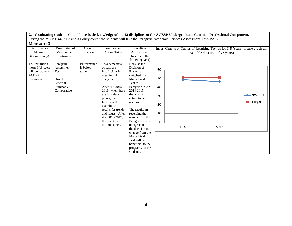| IIIVUJUI V        |                |                |                     |                     |                                                                             |                     |
|-------------------|----------------|----------------|---------------------|---------------------|-----------------------------------------------------------------------------|---------------------|
| Performance       | Description of | Areas of       | Analysis and        | Results of          | Insert Graphs or Tables of Resulting Trends for 3-5 Years (please graph all |                     |
| Measure           | Measurement    | <b>Success</b> | <b>Action Taken</b> | <b>Action Taken</b> | available data up to five years)                                            |                     |
| (Competency)      | Instrument     |                |                     | (occurs in the      |                                                                             |                     |
|                   |                |                |                     | following year)     |                                                                             |                     |
| The institution   | Peregrine      | Performance    | Two semesters       | Because the         |                                                                             |                     |
| mean PAS score    | Assessment     | is below       | of data are         | Division of         | 60                                                                          |                     |
| will be above all | Test           | target.        | insufficient for    | <b>Business</b>     |                                                                             |                     |
| <b>ACBSP</b>      |                |                | meaningful          | switched from       |                                                                             |                     |
| institutions.     | Direct         |                | analysis.           | Major Field         | 50                                                                          |                     |
|                   | External       |                |                     | Test to             |                                                                             |                     |
|                   | Summative      |                | After AY 2015-      | Peregrine in AY     | 40                                                                          |                     |
|                   | Comparative    |                | 2016, when there    | 2014-2015,          |                                                                             |                     |
|                   |                |                | are four data       | there is no         | 30                                                                          | $\rightarrow$ NWOSU |
|                   |                |                | points, the         | action to be        |                                                                             |                     |
|                   |                |                | faculty will        | reviewed.           | 20                                                                          | <del>-</del> Target |
|                   |                |                | examine the         |                     |                                                                             |                     |
|                   |                |                | results for trends  | The faculty in      |                                                                             |                     |
|                   |                |                | and issues. After   | receiving the       | 10                                                                          |                     |
|                   |                |                | AY 2016-2017,       | results from the    |                                                                             |                     |
|                   |                |                | the results will    | Peregrine exam      | $\Omega$                                                                    |                     |
|                   |                |                | be annualized.      | do agree that       | F14<br>SP15                                                                 |                     |
|                   |                |                |                     | the decision to     |                                                                             |                     |
|                   |                |                |                     | change from the     |                                                                             |                     |
|                   |                |                |                     | Major Field         |                                                                             |                     |
|                   |                |                |                     | Test will be        |                                                                             |                     |
|                   |                |                |                     | beneficial to the   |                                                                             |                     |
|                   |                |                |                     | program and the     |                                                                             |                     |
|                   |                |                |                     | students.           |                                                                             |                     |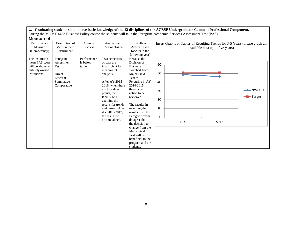| <b>INICASUI C T</b> |                |                |                     |                     |                                                                             |                     |
|---------------------|----------------|----------------|---------------------|---------------------|-----------------------------------------------------------------------------|---------------------|
| Performance         | Description of | Areas of       | Analysis and        | Results of          | Insert Graphs or Tables of Resulting Trends for 3-5 Years (please graph all |                     |
| Measure             | Measurement    | <b>Success</b> | <b>Action Taken</b> | <b>Action Taken</b> | available data up to five years)                                            |                     |
| (Competency)        | Instrument     |                |                     | (occurs in the      |                                                                             |                     |
|                     |                |                |                     | following year)     |                                                                             |                     |
| The institution     | Peregrine      | Performance    | Two semesters       | Because the         |                                                                             |                     |
| mean PAS score      | Assessment     | is below       | of data are         | Division of         | 60                                                                          |                     |
| will be above all   | Test           | target.        | insufficient for    | <b>Business</b>     |                                                                             |                     |
| publicly owned      |                |                | meaningful          | switched from       |                                                                             |                     |
| institutions.       | Direct         |                | analysis.           | Major Field         | 50                                                                          |                     |
|                     | External       |                |                     | Test to             |                                                                             |                     |
|                     | Summative      |                | After AY 2015-      | Peregrine in AY     | 40                                                                          |                     |
|                     | Comparative    |                | 2016, when there    | 2014-2015,          |                                                                             |                     |
|                     |                |                | are four data       | there is no         | 30                                                                          | $\rightarrow$ NWOSU |
|                     |                |                | points, the         | action to be        |                                                                             |                     |
|                     |                |                | faculty will        | reviewed.           | 20                                                                          | -Target             |
|                     |                |                | examine the         |                     |                                                                             |                     |
|                     |                |                | results for trends  | The faculty in      |                                                                             |                     |
|                     |                |                | and issues. After   | receiving the       | 10                                                                          |                     |
|                     |                |                | AY 2016-2017,       | results from the    |                                                                             |                     |
|                     |                |                | the results will    | Peregrine exam      | $\Omega$                                                                    |                     |
|                     |                |                | be annualized.      | do agree that       | F14<br>SP15                                                                 |                     |
|                     |                |                |                     | the decision to     |                                                                             |                     |
|                     |                |                |                     | change from the     |                                                                             |                     |
|                     |                |                |                     | Major Field         |                                                                             |                     |
|                     |                |                |                     | Test will be        |                                                                             |                     |
|                     |                |                |                     | beneficial to the   |                                                                             |                     |
|                     |                |                |                     | program and the     |                                                                             |                     |
|                     |                |                |                     | students.           |                                                                             |                     |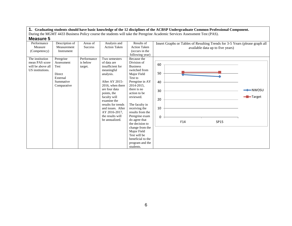| MCQOUIC J         |                |                |                     |                     |                                                                             |                     |
|-------------------|----------------|----------------|---------------------|---------------------|-----------------------------------------------------------------------------|---------------------|
| Performance       | Description of | Areas of       | Analysis and        | Results of          | Insert Graphs or Tables of Resulting Trends for 3-5 Years (please graph all |                     |
| Measure           | Measurement    | <b>Success</b> | <b>Action Taken</b> | <b>Action Taken</b> | available data up to five years)                                            |                     |
| (Competency)      | Instrument     |                |                     | (occurs in the      |                                                                             |                     |
|                   |                |                |                     | following year)     |                                                                             |                     |
| The institution   | Peregrine      | Performance    | Two semesters       | Because the         |                                                                             |                     |
| mean PAS score    | Assessment     | is below       | of data are         | Division of         | 60                                                                          |                     |
| will be above all | <b>Test</b>    | target.        | insufficient for    | <b>Business</b>     |                                                                             |                     |
| US institutions.  |                |                | meaningful          | switched from       |                                                                             |                     |
|                   | Direct         |                | analysis.           | Major Field         | 50                                                                          |                     |
|                   | External       |                |                     | Test to             |                                                                             |                     |
|                   | Summative      |                | After AY 2015-      | Peregrine in AY     | 40                                                                          |                     |
|                   | Comparative    |                | 2016, when there    | 2014-2015,          |                                                                             |                     |
|                   |                |                | are four data       | there is no         | 30                                                                          | $\rightarrow$ NWOSU |
|                   |                |                | points, the         | action to be        |                                                                             |                     |
|                   |                |                | faculty will        | reviewed.           | 20                                                                          | -Target             |
|                   |                |                | examine the         |                     |                                                                             |                     |
|                   |                |                | results for trends  | The faculty in      |                                                                             |                     |
|                   |                |                | and issues. After   | receiving the       | 10                                                                          |                     |
|                   |                |                | AY 2016-2017,       | results from the    |                                                                             |                     |
|                   |                |                | the results will    | Peregrine exam      | $\Omega$                                                                    |                     |
|                   |                |                | be annualized.      | do agree that       | F14<br>SP15                                                                 |                     |
|                   |                |                |                     | the decision to     |                                                                             |                     |
|                   |                |                |                     | change from the     |                                                                             |                     |
|                   |                |                |                     | Major Field         |                                                                             |                     |
|                   |                |                |                     | Test will be        |                                                                             |                     |
|                   |                |                |                     | beneficial to the   |                                                                             |                     |
|                   |                |                |                     | program and the     |                                                                             |                     |
|                   |                |                |                     | students.           |                                                                             |                     |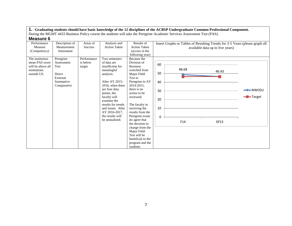| <b>INICASUI C</b> U |                |                |                     |                     |          |                                                                             |                                  |                     |
|---------------------|----------------|----------------|---------------------|---------------------|----------|-----------------------------------------------------------------------------|----------------------------------|---------------------|
| Performance         | Description of | Areas of       | Analysis and        | Results of          |          | Insert Graphs or Tables of Resulting Trends for 3-5 Years (please graph all |                                  |                     |
| Measure             | Measurement    | <b>Success</b> | <b>Action Taken</b> | <b>Action Taken</b> |          |                                                                             | available data up to five years) |                     |
| (Competency)        | Instrument     |                |                     | (occurs in the      |          |                                                                             |                                  |                     |
|                     |                |                |                     | following year)     |          |                                                                             |                                  |                     |
| The institution     | Peregrine      | Performance    | Two semesters       | Because the         |          |                                                                             |                                  |                     |
| mean PAS score      | Assessment     | is below       | of data are         | Division of         | 60       |                                                                             |                                  |                     |
| will be above all   | Test           | target.        | insufficient for    | <b>Business</b>     |          |                                                                             |                                  |                     |
| institutions        |                |                | meaningful          | switched from       |          | 48.68                                                                       | 46.43                            |                     |
| outside US.         | Direct         |                | analysis.           | Major Field         | 50       |                                                                             |                                  |                     |
|                     | External       |                |                     | Test to             |          |                                                                             |                                  |                     |
|                     | Summative      |                | After AY 2015-      | Peregrine in AY     | 40       |                                                                             |                                  |                     |
|                     | Comparative    |                | 2016, when there    | 2014-2015.          |          |                                                                             |                                  |                     |
|                     |                |                | are four data       | there is no         | 30       |                                                                             |                                  | $\rightarrow$ NWOSU |
|                     |                |                | points, the         | action to be        |          |                                                                             |                                  |                     |
|                     |                |                | faculty will        | reviewed.           | 20       |                                                                             |                                  | -Target             |
|                     |                |                | examine the         |                     |          |                                                                             |                                  |                     |
|                     |                |                | results for trends  | The faculty in      |          |                                                                             |                                  |                     |
|                     |                |                | and issues. After   | receiving the       | 10       |                                                                             |                                  |                     |
|                     |                |                | AY 2016-2017,       | results from the    |          |                                                                             |                                  |                     |
|                     |                |                | the results will    | Peregrine exam      | $\Omega$ |                                                                             |                                  |                     |
|                     |                |                | be annualized.      | do agree that       |          | F14                                                                         | SP15                             |                     |
|                     |                |                |                     | the decision to     |          |                                                                             |                                  |                     |
|                     |                |                |                     | change from the     |          |                                                                             |                                  |                     |
|                     |                |                |                     | Major Field         |          |                                                                             |                                  |                     |
|                     |                |                |                     | Test will be        |          |                                                                             |                                  |                     |
|                     |                |                |                     | beneficial to the   |          |                                                                             |                                  |                     |
|                     |                |                |                     | program and the     |          |                                                                             |                                  |                     |
|                     |                |                |                     | students.           |          |                                                                             |                                  |                     |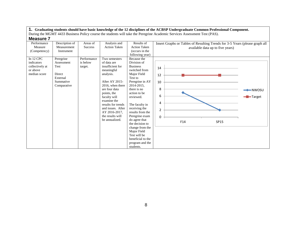| <b>INGASULE</b> I |                |                |                     |                     |                                                                             |                     |
|-------------------|----------------|----------------|---------------------|---------------------|-----------------------------------------------------------------------------|---------------------|
| Performance       | Description of | Areas of       | Analysis and        | Results of          | Insert Graphs or Tables of Resulting Trends for 3-5 Years (please graph all |                     |
| Measure           | Measurement    | <b>Success</b> | <b>Action Taken</b> | <b>Action Taken</b> | available data up to five years)                                            |                     |
| (Competency)      | Instrument     |                |                     | (occurs in the      |                                                                             |                     |
|                   |                |                |                     | following year)     |                                                                             |                     |
| In 12 CPC         | Peregrine      | Performance    | Two semesters       | Because the         |                                                                             |                     |
| indicators        | Assessment     | is below       | of data are         | Division of         |                                                                             |                     |
| collectively at   | Test           | target.        | insufficient for    | <b>Business</b>     | 14                                                                          |                     |
| or above          |                |                | meaningful          | switched from       |                                                                             |                     |
| median score      | Direct         |                | analysis.           | Major Field         | 12                                                                          |                     |
|                   | External       |                |                     | Test to             |                                                                             |                     |
|                   | Summative      |                | After AY 2015-      | Peregrine in AY     | 10                                                                          |                     |
|                   | Comparative    |                | 2016, when there    | 2014-2015,          |                                                                             |                     |
|                   |                |                | are four data       | there is no         | 8                                                                           | $\rightarrow$ NWOSU |
|                   |                |                | points, the         | action to be        |                                                                             |                     |
|                   |                |                | faculty will        | reviewed.           | 6                                                                           | <b>-B</b> -Target   |
|                   |                |                | examine the         |                     | 4                                                                           |                     |
|                   |                |                | results for trends  | The faculty in      |                                                                             |                     |
|                   |                |                | and issues. After   | receiving the       | $\overline{2}$                                                              |                     |
|                   |                |                | AY 2016-2017,       | results from the    |                                                                             |                     |
|                   |                |                | the results will    | Peregrine exam      | 0                                                                           |                     |
|                   |                |                | be annualized.      | do agree that       | F14<br>SP15                                                                 |                     |
|                   |                |                |                     | the decision to     |                                                                             |                     |
|                   |                |                |                     | change from the     |                                                                             |                     |
|                   |                |                |                     | Major Field         |                                                                             |                     |
|                   |                |                |                     | Test will be        |                                                                             |                     |
|                   |                |                |                     | beneficial to the   |                                                                             |                     |
|                   |                |                |                     | program and the     |                                                                             |                     |
|                   |                |                |                     | students.           |                                                                             |                     |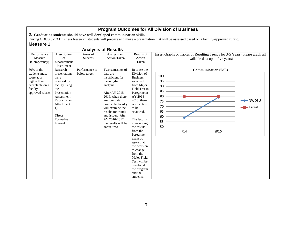|                                                                                                |                                                                                                            |                            |                                                                                                                                           |                                                                                                                                                                                | <b>Program Outcomes for All Division of Business</b>                                                                                       |
|------------------------------------------------------------------------------------------------|------------------------------------------------------------------------------------------------------------|----------------------------|-------------------------------------------------------------------------------------------------------------------------------------------|--------------------------------------------------------------------------------------------------------------------------------------------------------------------------------|--------------------------------------------------------------------------------------------------------------------------------------------|
| <b>Measure 1</b>                                                                               |                                                                                                            |                            | 2. Graduating students should have well developed communication skills.                                                                   |                                                                                                                                                                                | During GBUS 3753 Business Research students will prepare and make a presentation that will be assessed based on a faculty-approved rubric. |
| <b>Analysis of Results</b>                                                                     |                                                                                                            |                            |                                                                                                                                           |                                                                                                                                                                                |                                                                                                                                            |
| Performance<br>Measure<br>(Competency)                                                         | Description<br>$\sigma$ f<br>Measurement<br>Instrument                                                     | Areas of<br><b>Success</b> | Analysis and<br><b>Action Taken</b>                                                                                                       | Results of<br>Action<br>Taken                                                                                                                                                  | Insert Graphs or Tables of Resulting Trends for 3-5 Years (please graph all<br>available data up to five years)                            |
| students must<br>score at or<br>higher than<br>acceptable on a<br>faculty-<br>approved rubric. | presentations<br>were<br>assessed by<br>faculty using<br>the<br>Presentation<br>Assessment<br>Rubric (Plan | below target.              | data are<br>insufficient for<br>meaningful<br>analysis.<br>After AY 2015-<br>2016, when there<br>are four data                            | Division of<br><b>Business</b><br>switched<br>from Major<br>Field Test to<br>Peregrine in<br>AY 2014-<br>$2015$ , there                                                        | 100<br>95<br>90<br>85<br>80<br>$\longleftarrow$ NWOSU<br>75                                                                                |
|                                                                                                | Attachment<br>1)<br>Direct<br>Formative<br>Internal                                                        |                            | points, the faculty<br>will examine the<br>results for trends<br>and issues. After<br>AY 2016-2017,<br>the results will be<br>annualized. | is no action<br>to be<br>reviewed.<br>The faculty<br>in receiving<br>the results                                                                                               | 70<br>-Target<br>65<br>60<br>55<br>50                                                                                                      |
|                                                                                                |                                                                                                            |                            |                                                                                                                                           | from the<br>Peregrine<br>exam do<br>agree that<br>the decision<br>to change<br>from the<br>Major Field<br>Test will be<br>beneficial to<br>the program<br>and the<br>students. | F14<br>SP15                                                                                                                                |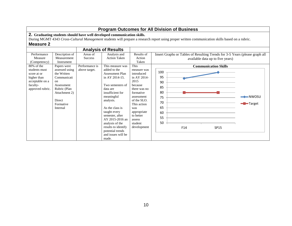|                                                                                                                 | <b>Program Outcomes for All Division of Business</b>                                                                                                                  |                                 |                                                                                                                                                                                                                                                                                                                            |                                                                                                                                                                                                             |                                                                                                                                                                   |  |  |  |  |  |  |
|-----------------------------------------------------------------------------------------------------------------|-----------------------------------------------------------------------------------------------------------------------------------------------------------------------|---------------------------------|----------------------------------------------------------------------------------------------------------------------------------------------------------------------------------------------------------------------------------------------------------------------------------------------------------------------------|-------------------------------------------------------------------------------------------------------------------------------------------------------------------------------------------------------------|-------------------------------------------------------------------------------------------------------------------------------------------------------------------|--|--|--|--|--|--|
| <b>Measure 2</b>                                                                                                |                                                                                                                                                                       |                                 | 2. Graduating students should have well developed communication skills.                                                                                                                                                                                                                                                    |                                                                                                                                                                                                             | During MGMT 4343 Cross-Cultural Management students will prepare a research report using proper written communication skills based on a rubric.                   |  |  |  |  |  |  |
|                                                                                                                 |                                                                                                                                                                       |                                 | <b>Analysis of Results</b>                                                                                                                                                                                                                                                                                                 |                                                                                                                                                                                                             |                                                                                                                                                                   |  |  |  |  |  |  |
| Performance<br>Measure<br>(Competency)                                                                          | Description of<br>Measurement<br>Instrument                                                                                                                           | Areas of<br><b>Success</b>      | Analysis and<br><b>Action Taken</b>                                                                                                                                                                                                                                                                                        | Results of<br>Action<br>Taken<br>This                                                                                                                                                                       | Insert Graphs or Tables of Resulting Trends for 3-5 Years (please graph all<br>available data up to five years)                                                   |  |  |  |  |  |  |
| $80\%$ of the<br>students must<br>score at or<br>higher than<br>acceptable on a<br>faculty-<br>approved rubric. | Papers were<br>assessed using<br>the Written<br>Communicati<br><sub>on</sub><br>Assessment<br>Rubric (Plan<br>Attachment 2)<br><b>Direct</b><br>Formative<br>Internal | Performance is<br>above target. | This measure was<br>added to the<br>Assessment Plan<br>in AY 2014-15.<br>Two semesters of<br>data are<br>insufficient for<br>meaningful<br>analysis.<br>As the class is<br>taught every<br>semester, after<br>AY 2015-2016 an<br>analysis of the<br>results to identify<br>potential trends<br>and issues will be<br>made. | measure was<br>introduced<br>in AY 2014-<br>2015<br>because<br>there was no<br>formative<br>assessment<br>of the SLO.<br>This action<br>was<br>appropriate<br>to better<br>assess<br>student<br>development | <b>Communication Skills</b><br>100<br>95<br>90<br>85<br>80<br>$\rightarrow$ NWOSU<br>75<br>70<br>- <b>B</b> -Target<br>65<br>60<br>55<br>50<br>F14<br><b>SP15</b> |  |  |  |  |  |  |

# 10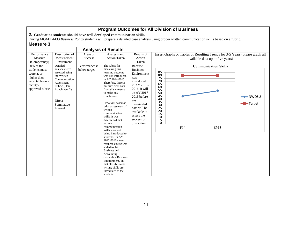|                                                                                                              |                                                                                                                                                               |                                 |                                                                                                                                                                                                                                                                                                                                                                                                                                                                                                                                                                                                                             |                                                                                                                                                                                                                                  | <b>Program Outcomes for All Division of Business</b>                                                                                                                                                                                                   |
|--------------------------------------------------------------------------------------------------------------|---------------------------------------------------------------------------------------------------------------------------------------------------------------|---------------------------------|-----------------------------------------------------------------------------------------------------------------------------------------------------------------------------------------------------------------------------------------------------------------------------------------------------------------------------------------------------------------------------------------------------------------------------------------------------------------------------------------------------------------------------------------------------------------------------------------------------------------------------|----------------------------------------------------------------------------------------------------------------------------------------------------------------------------------------------------------------------------------|--------------------------------------------------------------------------------------------------------------------------------------------------------------------------------------------------------------------------------------------------------|
| <b>Measure 3</b>                                                                                             |                                                                                                                                                               |                                 | 2. Graduating students should have well developed communication skills.                                                                                                                                                                                                                                                                                                                                                                                                                                                                                                                                                     |                                                                                                                                                                                                                                  | During MGMT 4433 Business Policy students will prepare a detailed case analysis using proper written communication skills based on a rubric.                                                                                                           |
|                                                                                                              |                                                                                                                                                               |                                 | <b>Analysis of Results</b>                                                                                                                                                                                                                                                                                                                                                                                                                                                                                                                                                                                                  |                                                                                                                                                                                                                                  |                                                                                                                                                                                                                                                        |
| Performance<br>Measure<br>(Competency)                                                                       | Description of<br>Measurement<br>Instrument                                                                                                                   | Areas of<br>Success             | Analysis and<br><b>Action Taken</b>                                                                                                                                                                                                                                                                                                                                                                                                                                                                                                                                                                                         | Results of<br>Action<br>Taken                                                                                                                                                                                                    | Insert Graphs or Tables of Resulting Trends for 3-5 Years (please graph all<br>available data up to five years)                                                                                                                                        |
| 80% of the<br>students must<br>score at or<br>higher than<br>acceptable on a<br>faculty-<br>approved rubric. | Detailed<br>analyses were<br>assessed using<br>the Written<br>Communication<br>Assessment<br>Rubric (Plan<br>Attachment 2)<br>Direct<br>Summative<br>Internal | Performance is<br>below target. | The rubric for<br>measuring this<br>learning outcome<br>was just introduced<br>in AY 2014-2015.<br>Therefore, there is<br>not sufficient data<br>from this measure<br>to make any<br>conclusions.<br>However, based on<br>prior assessment of<br>written<br>communication<br>skills, it was<br>determined that<br>written<br>communication<br>skills were not<br>being introduced to<br>students. In AY<br>2015-2016 a new<br>required course was<br>added to the<br>Business and<br>Accounting<br>$curricula - Business$<br>Environment. In<br>that class business<br>writing skills are<br>introduced to the<br>students. | Because<br><b>Business</b><br>Environment<br>was<br>introduced<br>in AY 2015-<br>$2016$ , it will<br>be AY 2017-<br>2018 before<br>any<br>meaningful<br>data will be<br>available to<br>assess the<br>success of<br>this action. | <b>Communication Skills</b><br>$\substack{85 \\ 80}$<br>$\frac{5}{75}$<br>70<br>$\frac{65}{60}$<br>$\frac{55}{50}$<br>$\frac{45}{40}$<br>$-NWOSU$<br>$\frac{35}{30}$<br>Target<br>$\frac{25}{20}$<br>15<br>$\overline{10}$<br>$\bar{5}$<br>F14<br>SP15 |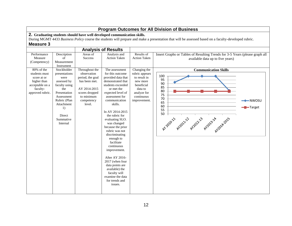|                                                                                                              |                                                                                                                                                                                  |                                                                                                                                            |                                                                                                                                                                                                                                                                                                                                                                                                                                                                                                                         |                                                                                                                                  | <b>Program Outcomes for All Division of Business</b>                                                                                                               |
|--------------------------------------------------------------------------------------------------------------|----------------------------------------------------------------------------------------------------------------------------------------------------------------------------------|--------------------------------------------------------------------------------------------------------------------------------------------|-------------------------------------------------------------------------------------------------------------------------------------------------------------------------------------------------------------------------------------------------------------------------------------------------------------------------------------------------------------------------------------------------------------------------------------------------------------------------------------------------------------------------|----------------------------------------------------------------------------------------------------------------------------------|--------------------------------------------------------------------------------------------------------------------------------------------------------------------|
| 2. Graduating students should have well developed communication skills.                                      |                                                                                                                                                                                  |                                                                                                                                            |                                                                                                                                                                                                                                                                                                                                                                                                                                                                                                                         |                                                                                                                                  |                                                                                                                                                                    |
|                                                                                                              |                                                                                                                                                                                  |                                                                                                                                            |                                                                                                                                                                                                                                                                                                                                                                                                                                                                                                                         |                                                                                                                                  | During MGMT 4433 Business Policy course the students will prepare and make a presentation that will be assessed based on a faculty-developed rubric.               |
| <b>Measure 3</b>                                                                                             |                                                                                                                                                                                  |                                                                                                                                            |                                                                                                                                                                                                                                                                                                                                                                                                                                                                                                                         |                                                                                                                                  |                                                                                                                                                                    |
|                                                                                                              |                                                                                                                                                                                  |                                                                                                                                            | <b>Analysis of Results</b>                                                                                                                                                                                                                                                                                                                                                                                                                                                                                              |                                                                                                                                  |                                                                                                                                                                    |
| Performance<br>Measure<br>(Competency)                                                                       | Description<br>of<br>Measurement<br>Instrument                                                                                                                                   | Areas of<br><b>Success</b>                                                                                                                 | Analysis and<br>Action Taken                                                                                                                                                                                                                                                                                                                                                                                                                                                                                            | Results of<br><b>Action Taken</b>                                                                                                | Insert Graphs or Tables of Resulting Trends for 3-5 Years (please graph all<br>available data up to five years)                                                    |
| 80% of the<br>students must<br>score at or<br>higher than<br>acceptable on a<br>faculty-<br>approved rubric. | Stockholder<br>presentations<br>were<br>assessed by<br>faculty using<br>the<br>Presentation<br>Assessment<br>Rubric (Plan<br>Attachment<br>1)<br>Direct<br>Summative<br>Internal | Throughout the<br>observation<br>period, the goal<br>has been met.<br>AY 2014-2015<br>scores dropped<br>to minimum<br>competency<br>level. | The assessment<br>for this outcome<br>provided data that<br>demonstrated that<br>students exceeded<br>or met the<br>expected level of<br>assessment for<br>communication<br>skills.<br>In AY 2014-2015<br>the rubric for<br>evaluating SLO.<br>was changed<br>because the prior<br>rubric was not<br>discriminating<br>enough to<br>facilitate<br>continuous<br>improvement.<br>After AY 2016-<br>2017 (when four<br>data points are<br>available) the<br>faculty will<br>examine the data<br>for trends and<br>issues. | Changing the<br>rubric appears<br>to result in<br>new more<br>beneficial<br>data to<br>analyze for<br>continuous<br>improvement. | <b>Communication Skills</b><br>100<br>95<br>90<br>85<br>80<br>75<br>70<br>$-NWOSU$<br>65<br>60<br>Target<br>55<br>50<br>AYO2011 AYO2122 AYO22133 AYO2314 120142015 |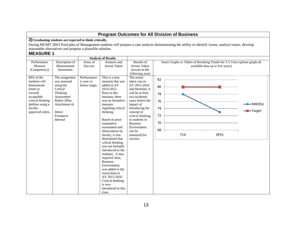|                                                                                                                                                           | <b>Program Outcomes for All Division of Business</b>                                                                                                  |                                            |                                                                                                                                                                                                                                                                                                                                                                                                                                                                                                                                           |                                                                                                                                                                                                                                                                                      |                                              |     |                                                                                                                                                       |                                 |  |  |
|-----------------------------------------------------------------------------------------------------------------------------------------------------------|-------------------------------------------------------------------------------------------------------------------------------------------------------|--------------------------------------------|-------------------------------------------------------------------------------------------------------------------------------------------------------------------------------------------------------------------------------------------------------------------------------------------------------------------------------------------------------------------------------------------------------------------------------------------------------------------------------------------------------------------------------------------|--------------------------------------------------------------------------------------------------------------------------------------------------------------------------------------------------------------------------------------------------------------------------------------|----------------------------------------------|-----|-------------------------------------------------------------------------------------------------------------------------------------------------------|---------------------------------|--|--|
| <b>MEASURE 1</b>                                                                                                                                          | 3) Graduating students are expected to think critically.<br>reasonable alternatives and propose a plausible solution.                                 |                                            |                                                                                                                                                                                                                                                                                                                                                                                                                                                                                                                                           |                                                                                                                                                                                                                                                                                      |                                              |     | During MGMT 3063 Principles of Management students will prepare a case analysis demonstrating the ability to identify issues, analyze issues, develop |                                 |  |  |
|                                                                                                                                                           |                                                                                                                                                       |                                            | <b>Analysis of Results</b>                                                                                                                                                                                                                                                                                                                                                                                                                                                                                                                |                                                                                                                                                                                                                                                                                      |                                              |     |                                                                                                                                                       |                                 |  |  |
| Performance<br>Measure<br>(Competency)                                                                                                                    | Description of<br>Measurement<br>Instrument                                                                                                           | Areas of<br><b>Success</b>                 | Analysis and<br><b>Action Taken</b>                                                                                                                                                                                                                                                                                                                                                                                                                                                                                                       | Results of<br><b>Action Taken</b><br>(occurs in the<br>following year)                                                                                                                                                                                                               |                                              |     | Insert Graphs or Tables of Resulting Trends for 3-5 Years (please graph all<br>available data up to five years)                                       |                                 |  |  |
| 80% of the<br>students will<br>demonstrate<br>(meet or<br>exceed)<br>acceptable<br>critical thinking<br>abilities using a<br>faculty-<br>approved rubric. | The assignment<br>was assessed<br>using the<br>Critical<br>Thinking<br>Assessment<br>Rubric (Plan<br>Attachment 4)<br>Direct<br>Formative<br>Internal | Performance<br>is near or<br>below target. | This is a new<br>measure that was<br>added in AY<br>2014-2015.<br>Prior to this<br>measure, there<br>was no formative<br>measure<br>regarding critical<br>thinking.<br>Based on prior<br>summative<br>assessment and<br>observations by<br>faculty, it was<br>determined that<br>critical thinking<br>was not formally<br>introduced to the<br>students. A new<br>required class,<br><b>Business</b><br>Environment,<br>was added to the<br>curriculum in<br>AY 2015-2016.<br>Critical thinking<br>is now<br>introduced in this<br>class. | The action<br>taken was in<br>AY 2015-2016<br>and therefore, it<br>will be at least<br>two academic<br>years before the<br>impact of<br>introducing the<br>concept of<br>critical thinking<br>to students in<br><b>Business</b><br>Environment<br>can be<br>measured for<br>success. | 82<br>80<br>78<br>76<br>74<br>72<br>70<br>68 | F14 | SP15                                                                                                                                                  | -NWOSU<br>$\blacksquare$ Target |  |  |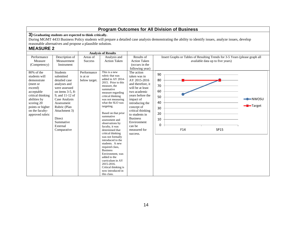**3) Graduating students are expected to think critically.**

During MGMT 4433 Business Policy students will prepare a detailed case analysis demonstrating the ability to identify issues, analyze issues, develop reasonable alternatives and propose a plausible solution.

# **MEASURE 2**

|                                                                                                                                                                                              |                                                                                                                                                                                                                                                |                                          | <b>Analysis of Results</b>                                                                                                                                                                                                                                                                                                                                                                                                                                                                                                                                                         |                                                                                                                                                                                                                                                                                      |                                                                                                                 |                                                      |
|----------------------------------------------------------------------------------------------------------------------------------------------------------------------------------------------|------------------------------------------------------------------------------------------------------------------------------------------------------------------------------------------------------------------------------------------------|------------------------------------------|------------------------------------------------------------------------------------------------------------------------------------------------------------------------------------------------------------------------------------------------------------------------------------------------------------------------------------------------------------------------------------------------------------------------------------------------------------------------------------------------------------------------------------------------------------------------------------|--------------------------------------------------------------------------------------------------------------------------------------------------------------------------------------------------------------------------------------------------------------------------------------|-----------------------------------------------------------------------------------------------------------------|------------------------------------------------------|
| Performance<br>Measure<br>(Competency)                                                                                                                                                       | Description of<br>Measurement<br>Instrument                                                                                                                                                                                                    | Areas of<br><b>Success</b>               | Analysis and<br><b>Action Taken</b>                                                                                                                                                                                                                                                                                                                                                                                                                                                                                                                                                | Results of<br><b>Action Taken</b><br>(occurs in the<br>following year)                                                                                                                                                                                                               | Insert Graphs or Tables of Resulting Trends for 3-5 Years (please graph all<br>available data up to five years) |                                                      |
| 80% of the<br>students will<br>demonstrate<br>(meet or<br>exceed)<br>acceptable<br>critical thinking<br>abilities by<br>scoring 20<br>points or higher<br>on the faculty-<br>approved rubric | <b>Students</b><br>submitted<br>detailed case<br>analyses and<br>were assessed<br>on items 3-5, 8-<br>9, and 11-12 of<br>Case Analysis<br>Assessment<br>Rubric (Plan<br>Attachment 3)<br><b>Direct</b><br>Summative<br>External<br>Comparative | Performance<br>is at or<br>below target. | This is a new<br>rubric that was<br>added in AY 2014-<br>2015. Prior to this<br>measure, the<br>summative<br>measure regarding<br>critical thinking<br>was not measuring<br>what the SLO was<br>targeting.<br>Based on that prior<br>summative<br>assessment and<br>observations by<br>faculty, it was<br>determined that<br>critical thinking<br>was not formally<br>introduced to the<br>students. A new<br>required class,<br><b>Business</b><br>Environment, was<br>added to the<br>curriculum in AY<br>2015-2016.<br>Critical thinking is<br>now introduced in<br>this class. | The action<br>taken was in<br>AY 2015-2016<br>and therefore, it<br>will be at least<br>two academic<br>vears before the<br>impact of<br>introducing the<br>concept of<br>critical thinking<br>to students in<br><b>Business</b><br>Environment<br>can be<br>measured for<br>success. | 90<br>80<br>70<br>60<br>50<br>40<br>30<br>20<br>10<br>0<br>F14<br><b>SP15</b>                                   | $\rightarrow\rightarrow$ NWOSU<br>- <b>--</b> Target |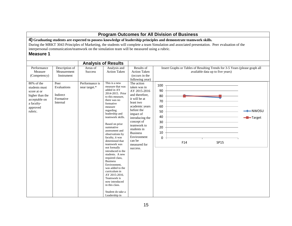#### **Program Outcomes for All Division of Business 4) Graduating students are expected to possess knowledge of leadership principles and demonstrate teamwork skills.** During the MRKT 3043 Principles of Marketing, the students will complete a team Simulation and associated presentation. Peer evaluation of the interpersonal communication/teamwork on the simulation team will be measured using a rubric. **Measure 1 Analysis of Results** Performance Measure (Competency) Description of Measurement Instrument Areas of **Success** Analysis and Action Taken Results of Action Taken (occurs in the following year) Insert Graphs or Tables of Resulting Trends for 3-5 Years (please graph all available data up to five years) 80% of the students must score at or higher than the acceptable on a facultyapproved rubric. Peer Evaluations Indirect Formative Internal Performance is near target.\* This is a new measure that was added in AY 2014-2015. Prior to this measure, there was no formative measure regarding leadership and teamwork skills. Based on prior summative assessment and observations by faculty, it was determined that teamwork was not formally introduced to the students. A new required class, **Business** Environment, was added to the curriculum in AY 2015-2016. Teamwork is now introduced in this class. Student do take a The action taken was in AY 2015-2016 and therefore, it will be at least two academic years before the impact of introducing the concept of teamwork to students in Business Environment can be measured for success.  $\Omega$ 10 20 30 40 50 60 70 80 90 100 F14 SP15  $\longleftarrow$  NWOSU **-D**-Target

Leadership in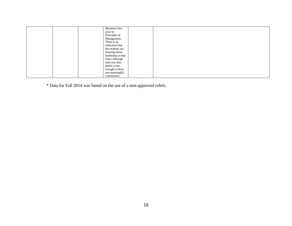|  | Business class     |  |  |
|--|--------------------|--|--|
|  | prior to           |  |  |
|  | Principles of      |  |  |
|  | Management.        |  |  |
|  | There is an        |  |  |
|  | indication that    |  |  |
|  | the students are   |  |  |
|  | learning about     |  |  |
|  | leadership in that |  |  |
|  | class; although    |  |  |
|  | only two data      |  |  |
|  | points is not      |  |  |
|  | enough to draw     |  |  |
|  | any meaningful     |  |  |
|  | conclusions.       |  |  |

\* Data for Fall 2014 was based on the use of a non-approved rubric.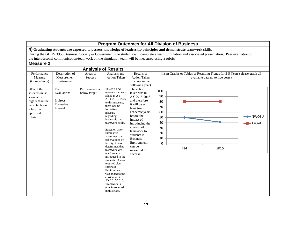**4) Graduating students are expected to possess knowledge of leadership principles and demonstrate teamwork skills.**

During the GBUS 3953 Business, Society & Government, the students will complete a team Simulation and associated presentation. Peer evaluation of the interpersonal communication/teamwork on the simulation team will be measured using a rubric.

|                                                                                      |                                                                    |                                                               | <b>Analysis of Results</b>                                                                                                                                                                                                                                                                                                                                              |                                                                                                                                                                                                                                  |                                                                 |                                                                                                                 |                                              |
|--------------------------------------------------------------------------------------|--------------------------------------------------------------------|---------------------------------------------------------------|-------------------------------------------------------------------------------------------------------------------------------------------------------------------------------------------------------------------------------------------------------------------------------------------------------------------------------------------------------------------------|----------------------------------------------------------------------------------------------------------------------------------------------------------------------------------------------------------------------------------|-----------------------------------------------------------------|-----------------------------------------------------------------------------------------------------------------|----------------------------------------------|
| Performance<br>Measure<br>(Competency)<br>80% of the<br>students must<br>score at or | Description of<br>Measurement<br>Instrument<br>Peer<br>Evaluations | Areas of<br><b>Success</b><br>Performance is<br>below target. | Analysis and<br><b>Action Taken</b><br>This is a new<br>measure that was<br>added in AY                                                                                                                                                                                                                                                                                 | Results of<br><b>Action Taken</b><br>(occurs in the<br>following year)<br>The action<br>taken was in<br>AY 2015-2016                                                                                                             | 100<br>90                                                       | Insert Graphs or Tables of Resulting Trends for 3-5 Years (please graph all<br>available data up to five years) |                                              |
| higher than the<br>acceptable on<br>a faculty-<br>approved<br>rubric.                | Indirect<br>Formative<br>Internal                                  |                                                               | 2014-2015. Prior<br>to this measure.<br>there was no<br>formative<br>measure<br>regarding<br>leadership and<br>teamwork skills.<br>Based on prior<br>summative<br>assessment and<br>observations by<br>faculty, it was<br>determined that<br>teamwork was<br>not formally<br>introduced to the<br>students. A new<br>required class,<br><b>Business</b><br>Environment, | and therefore,<br>it will be at<br>least two<br>academic years<br>before the<br>impact of<br>introducing the<br>concept of<br>teamwork to<br>students in<br><b>Business</b><br>Environment<br>can be<br>measured for<br>success. | 80<br>70<br>60<br>50<br>40<br>30<br>20<br>10<br>$\Omega$<br>F14 | <b>SP15</b>                                                                                                     | $\longleftarrow$ NWOSU<br>- <b>D</b> -Target |
|                                                                                      |                                                                    |                                                               | was added to the<br>curriculum in<br>AY 2015-2016.<br>Teamwork is<br>now introduced<br>in this class.                                                                                                                                                                                                                                                                   |                                                                                                                                                                                                                                  |                                                                 |                                                                                                                 |                                              |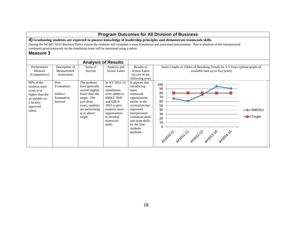**4) Graduating students are expected to possess knowledge of leadership principles and demonstrate teamwork skills.**

During the MGMT 4433 Business Policy course the students will complete a team Simulation and associated presentation. Peer evaluation of the interpersonal communication/teamwork on the simulation team will be measured using a rubric.

|                                                                                                                        |                                                          |                                                                                                                                                                 | <b>Analysis of Results</b>                                                                                                                                                     |                                                                                                                                                                                                                  |                                                                                                                 |                           |
|------------------------------------------------------------------------------------------------------------------------|----------------------------------------------------------|-----------------------------------------------------------------------------------------------------------------------------------------------------------------|--------------------------------------------------------------------------------------------------------------------------------------------------------------------------------|------------------------------------------------------------------------------------------------------------------------------------------------------------------------------------------------------------------|-----------------------------------------------------------------------------------------------------------------|---------------------------|
| Performance<br>Measure<br>(Competency)                                                                                 | Description of<br>Measurement<br>Instrument              | Areas of<br><b>Success</b>                                                                                                                                      | Analysis and<br><b>Action Taken</b>                                                                                                                                            | Results of<br><b>Action Taken</b><br>(occurs in the<br>following year)                                                                                                                                           | Insert Graphs or Tables of Resulting Trends for 3-5 Years (please graph all<br>available data up to five years) |                           |
| $80\%$ of the<br>students must<br>score at or<br>higher than the<br>acceptable on<br>a faculty-<br>approved<br>rubric. | Peer<br>Evaluations<br>Indirect<br>Summative<br>Internal | The students<br>have generally<br>scored slightly<br>lower than the<br>target. The<br>past three<br>years, students<br>are performing<br>at or above<br>target. | In AY 2012-13<br>team<br>simulations<br>were added to<br><b>MRKT 3043</b><br>and GBUS<br>$3953$ to give<br>students more<br>opportunities<br>to develop<br>teamwork<br>skills. | It appears that<br>introducing<br>more<br>teamwork<br>opportunities<br>earlier in the<br>curriculum has<br>improved<br>interpersonal<br>communication<br>and team skills<br>by the time<br>students<br>graduate. | 100<br>90<br>80<br>70<br>60<br>50<br>40<br>30<br>20<br>10<br>0<br>AY2010-11 AY2011-12 AY2012-12 AY2014-15       | The National —<br>-Target |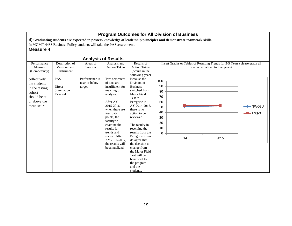|                                                                                                        |                                                                     |                                            |                                                                                                                                                                                                                                                                                         |                                                                                                                                                                                                                                                                                                                                                                                              |                                                                       | <b>Program Outcomes for All Division of Business</b>                                                               |                                                                                                                 |                                          |
|--------------------------------------------------------------------------------------------------------|---------------------------------------------------------------------|--------------------------------------------|-----------------------------------------------------------------------------------------------------------------------------------------------------------------------------------------------------------------------------------------------------------------------------------------|----------------------------------------------------------------------------------------------------------------------------------------------------------------------------------------------------------------------------------------------------------------------------------------------------------------------------------------------------------------------------------------------|-----------------------------------------------------------------------|--------------------------------------------------------------------------------------------------------------------|-----------------------------------------------------------------------------------------------------------------|------------------------------------------|
| <b>Measure 4</b>                                                                                       | In MGMT 4433 Business Policy students will take the PAS assessment. |                                            |                                                                                                                                                                                                                                                                                         |                                                                                                                                                                                                                                                                                                                                                                                              |                                                                       | 4) Graduating students are expected to possess knowledge of leadership principles and demonstrate teamwork skills. |                                                                                                                 |                                          |
|                                                                                                        |                                                                     |                                            | <b>Analysis of Results</b>                                                                                                                                                                                                                                                              |                                                                                                                                                                                                                                                                                                                                                                                              |                                                                       |                                                                                                                    |                                                                                                                 |                                          |
| Performance<br>Measure<br>(Competency)                                                                 | Description of<br>Measurement<br>Instrument                         | Areas of<br><b>Success</b>                 | Analysis and<br><b>Action Taken</b>                                                                                                                                                                                                                                                     | Results of<br><b>Action Taken</b><br>(occurs in the<br>following year)                                                                                                                                                                                                                                                                                                                       |                                                                       |                                                                                                                    | Insert Graphs or Tables of Resulting Trends for 3-5 Years (please graph all<br>available data up to five years) |                                          |
| collectively<br>the students<br>in the testing<br>cohort<br>should be at<br>or above the<br>mean score | PAS<br>Direct<br>Summative<br>External                              | Performance is<br>near or below<br>target. | Two semesters<br>of data are<br>insufficient for<br>meaningful<br>analysis.<br>After AY<br>2015-2016.<br>when there are<br>four data<br>points, the<br>faculty will<br>examine the<br>results for<br>trends and<br>issues. After<br>AY 2016-2017.<br>the results will<br>be annualized. | Because the<br>Division of<br><b>Business</b><br>switched from<br>Major Field<br>Test to<br>Peregrine in<br>AY 2014-2015,<br>there is no<br>action to be<br>reviewed.<br>The faculty in<br>receiving the<br>results from the<br>Peregrine exam<br>do agree that<br>the decision to<br>change from<br>the Major Field<br>Test will be<br>beneficial to<br>the program<br>and the<br>students. | 100<br>90<br>80<br>70<br>60<br>50<br>40<br>30<br>20<br>10<br>$\Omega$ | F14                                                                                                                | SP15                                                                                                            | $-NWOSU$<br>$\blacktriangleright$ Target |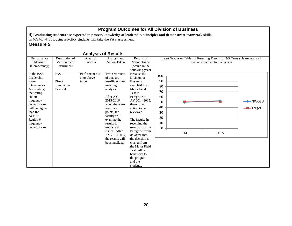**4) Graduating students are expected to possess knowledge of leadership principles and demonstrate teamwork skills.**

In MGMT 4433 Business Policy students will take the PAS assessment.

|                                                                                                                                                                             |                                                                     |                                                                        | <b>Analysis of Results</b>                                                                                                                                                                                                          |                                                                                                                                                                                                                                                                                                                                             |                                                                                                                              |                                                   |
|-----------------------------------------------------------------------------------------------------------------------------------------------------------------------------|---------------------------------------------------------------------|------------------------------------------------------------------------|-------------------------------------------------------------------------------------------------------------------------------------------------------------------------------------------------------------------------------------|---------------------------------------------------------------------------------------------------------------------------------------------------------------------------------------------------------------------------------------------------------------------------------------------------------------------------------------------|------------------------------------------------------------------------------------------------------------------------------|---------------------------------------------------|
| Performance<br>Measure<br>(Competency)<br>In the PAS<br>Leadership<br>score                                                                                                 | Description of<br>Measurement<br>Instrument<br><b>PAS</b><br>Direct | Areas of<br><b>Success</b><br>Performance is<br>at or above<br>target. | Analysis and<br><b>Action Taken</b><br>Two semesters<br>of data are<br>insufficient for                                                                                                                                             | Results of<br><b>Action Taken</b><br>(occurs in the<br>following year)<br>Because the<br>Division of<br><b>Business</b>                                                                                                                                                                                                                     | Insert Graphs or Tables of Resulting Trends for 3-5 Years (please graph all<br>available data up to five years)<br>100<br>90 |                                                   |
| (Business or<br>Accounting)<br>the testing<br>cohort<br>frequency<br>correct score<br>will be higher<br>than the<br><b>ACBSP</b><br>Region 6<br>frequency<br>correct score. | Summative<br>External                                               |                                                                        | meaningful<br>analysis.<br>After AY<br>2015-2016.<br>when there are<br>four data<br>points, the<br>faculty will<br>examine the<br>results for<br>trends and<br>issues. After<br>AY 2016-2017,<br>the results will<br>be annualized. | switched from<br>Major Field<br>Test to<br>Peregrine in<br>AY 2014-2015.<br>there is no<br>action to be<br>reviewed.<br>The faculty in<br>receiving the<br>results from the<br>Peregrine exam<br>do agree that<br>the decision to<br>change from<br>the Major Field<br>Test will be<br>beneficial to<br>the program<br>and the<br>students. | 80<br>70<br>60<br>50<br>40<br>30<br>20<br>10<br>0<br>F14<br><b>SP15</b>                                                      | $\blacktriangleright$ NWOSU<br>- <b>B</b> -Target |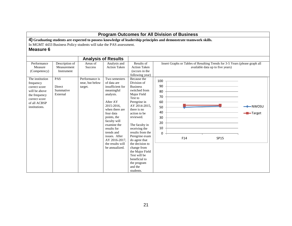|                                                                                                                                   |                                                                     |                                              |                                                                                                                                                                                                                                                                                         |                                                                                                                                                                                                                                                                                                                                                                                              |                                                                       | <b>Program Outcomes for All Division of Business</b>                                                               |                                                                                                                 |                                          |
|-----------------------------------------------------------------------------------------------------------------------------------|---------------------------------------------------------------------|----------------------------------------------|-----------------------------------------------------------------------------------------------------------------------------------------------------------------------------------------------------------------------------------------------------------------------------------------|----------------------------------------------------------------------------------------------------------------------------------------------------------------------------------------------------------------------------------------------------------------------------------------------------------------------------------------------------------------------------------------------|-----------------------------------------------------------------------|--------------------------------------------------------------------------------------------------------------------|-----------------------------------------------------------------------------------------------------------------|------------------------------------------|
| <b>Measure 6</b>                                                                                                                  | In MGMT 4433 Business Policy students will take the PAS assessment. |                                              |                                                                                                                                                                                                                                                                                         |                                                                                                                                                                                                                                                                                                                                                                                              |                                                                       | 4) Graduating students are expected to possess knowledge of leadership principles and demonstrate teamwork skills. |                                                                                                                 |                                          |
|                                                                                                                                   |                                                                     |                                              | <b>Analysis of Results</b>                                                                                                                                                                                                                                                              |                                                                                                                                                                                                                                                                                                                                                                                              |                                                                       |                                                                                                                    |                                                                                                                 |                                          |
| Performance<br>Measure<br>(Competency)                                                                                            | Description of<br>Measurement<br>Instrument                         | Areas of<br><b>Success</b>                   | Analysis and<br><b>Action Taken</b>                                                                                                                                                                                                                                                     | Results of<br><b>Action Taken</b><br>(occurs in the<br>following year)                                                                                                                                                                                                                                                                                                                       |                                                                       |                                                                                                                    | Insert Graphs or Tables of Resulting Trends for 3-5 Years (please graph all<br>available data up to five years) |                                          |
| The institution<br>frequency<br>correct score<br>will be above<br>the frequency<br>correct score<br>of all ACBSP<br>institutions. | PAS<br><b>Direct</b><br>Summative<br>External                       | Performance is<br>near, but below<br>target. | Two semesters<br>of data are<br>insufficient for<br>meaningful<br>analysis.<br>After AY<br>2015-2016.<br>when there are<br>four data<br>points, the<br>faculty will<br>examine the<br>results for<br>trends and<br>issues. After<br>AY 2016-2017.<br>the results will<br>be annualized. | Because the<br>Division of<br><b>Business</b><br>switched from<br>Major Field<br>Test to<br>Peregrine in<br>AY 2014-2015,<br>there is no<br>action to be<br>reviewed.<br>The faculty in<br>receiving the<br>results from the<br>Peregrine exam<br>do agree that<br>the decision to<br>change from<br>the Major Field<br>Test will be<br>beneficial to<br>the program<br>and the<br>students. | 100<br>90<br>80<br>70<br>60<br>50<br>40<br>30<br>20<br>10<br>$\Omega$ | F14                                                                                                                | SP15                                                                                                            | $-NWOSU$<br>$\blacktriangleright$ Target |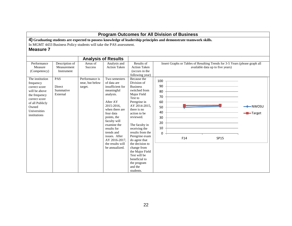|                                                                                                                                                              |                                               |                                                                     |                                                                                                                                                                                                                                                                                         |                                                                                                                                                                                                                                                                                                                                                                                              |                                                                       | <b>Program Outcomes for All Division of Business</b>                                                               |                                                                                                                 |                                 |
|--------------------------------------------------------------------------------------------------------------------------------------------------------------|-----------------------------------------------|---------------------------------------------------------------------|-----------------------------------------------------------------------------------------------------------------------------------------------------------------------------------------------------------------------------------------------------------------------------------------|----------------------------------------------------------------------------------------------------------------------------------------------------------------------------------------------------------------------------------------------------------------------------------------------------------------------------------------------------------------------------------------------|-----------------------------------------------------------------------|--------------------------------------------------------------------------------------------------------------------|-----------------------------------------------------------------------------------------------------------------|---------------------------------|
| <b>Measure 7</b>                                                                                                                                             |                                               | In MGMT 4433 Business Policy students will take the PAS assessment. |                                                                                                                                                                                                                                                                                         |                                                                                                                                                                                                                                                                                                                                                                                              |                                                                       | 4) Graduating students are expected to possess knowledge of leadership principles and demonstrate teamwork skills. |                                                                                                                 |                                 |
|                                                                                                                                                              |                                               |                                                                     | <b>Analysis of Results</b>                                                                                                                                                                                                                                                              |                                                                                                                                                                                                                                                                                                                                                                                              |                                                                       |                                                                                                                    |                                                                                                                 |                                 |
| Performance<br>Measure<br>(Competency)                                                                                                                       | Description of<br>Measurement<br>Instrument   | Areas of<br><b>Success</b>                                          | Analysis and<br><b>Action Taken</b>                                                                                                                                                                                                                                                     | Results of<br><b>Action Taken</b><br>(occurs in the<br>following year)                                                                                                                                                                                                                                                                                                                       |                                                                       |                                                                                                                    | Insert Graphs or Tables of Resulting Trends for 3-5 Years (please graph all<br>available data up to five years) |                                 |
| The institution<br>frequency<br>correct score<br>will be above<br>the frequency<br>correct score<br>of all Publicly<br>Owned<br>Universities<br>institutions | <b>PAS</b><br>Direct<br>Summative<br>External | Performance is<br>near, but below<br>target.                        | Two semesters<br>of data are<br>insufficient for<br>meaningful<br>analysis.<br>After AY<br>2015-2016.<br>when there are<br>four data<br>points, the<br>faculty will<br>examine the<br>results for<br>trends and<br>issues. After<br>AY 2016-2017.<br>the results will<br>be annualized. | Because the<br>Division of<br><b>Business</b><br>switched from<br>Major Field<br>Test to<br>Peregrine in<br>AY 2014-2015,<br>there is no<br>action to be<br>reviewed.<br>The faculty in<br>receiving the<br>results from the<br>Peregrine exam<br>do agree that<br>the decision to<br>change from<br>the Major Field<br>Test will be<br>beneficial to<br>the program<br>and the<br>students. | 100<br>90<br>80<br>70<br>60<br>50<br>40<br>30<br>20<br>10<br>$\Omega$ | F14                                                                                                                | <b>SP15</b>                                                                                                     | -NWOSU<br>$\blacksquare$ Target |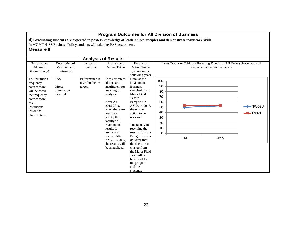|                                                                                                                                                                  |                                                                     |                                              |                                                                                                                                                                                                                                                                                         |                                                                                                                                                                                                                                                                                                                                                                                              | <b>Program Outcomes for All Division of Business</b>                                                               |                                  |                                   |
|------------------------------------------------------------------------------------------------------------------------------------------------------------------|---------------------------------------------------------------------|----------------------------------------------|-----------------------------------------------------------------------------------------------------------------------------------------------------------------------------------------------------------------------------------------------------------------------------------------|----------------------------------------------------------------------------------------------------------------------------------------------------------------------------------------------------------------------------------------------------------------------------------------------------------------------------------------------------------------------------------------------|--------------------------------------------------------------------------------------------------------------------|----------------------------------|-----------------------------------|
| <b>Measure 8</b>                                                                                                                                                 | In MGMT 4433 Business Policy students will take the PAS assessment. |                                              |                                                                                                                                                                                                                                                                                         |                                                                                                                                                                                                                                                                                                                                                                                              | 4) Graduating students are expected to possess knowledge of leadership principles and demonstrate teamwork skills. |                                  |                                   |
|                                                                                                                                                                  |                                                                     |                                              | <b>Analysis of Results</b>                                                                                                                                                                                                                                                              |                                                                                                                                                                                                                                                                                                                                                                                              |                                                                                                                    |                                  |                                   |
| Performance<br>Measure<br>(Competency)                                                                                                                           | Description of<br>Measurement<br>Instrument                         | Areas of<br><b>Success</b>                   | Analysis and<br><b>Action Taken</b>                                                                                                                                                                                                                                                     | Results of<br><b>Action Taken</b><br>(occurs in the<br>following year)                                                                                                                                                                                                                                                                                                                       | Insert Graphs or Tables of Resulting Trends for 3-5 Years (please graph all                                        | available data up to five years) |                                   |
| The institution<br>frequency<br>correct score<br>will be above<br>the frequency<br>correct score<br>of all<br>institutions<br>inside the<br><b>United States</b> | <b>PAS</b><br>Direct<br>Summative<br>External                       | Performance is<br>near, but below<br>target. | Two semesters<br>of data are<br>insufficient for<br>meaningful<br>analysis.<br>After AY<br>2015-2016.<br>when there are<br>four data<br>points, the<br>faculty will<br>examine the<br>results for<br>trends and<br>issues. After<br>AY 2016-2017.<br>the results will<br>be annualized. | Because the<br>Division of<br><b>Business</b><br>switched from<br>Major Field<br>Test to<br>Peregrine in<br>AY 2014-2015,<br>there is no<br>action to be<br>reviewed.<br>The faculty in<br>receiving the<br>results from the<br>Peregrine exam<br>do agree that<br>the decision to<br>change from<br>the Major Field<br>Test will be<br>beneficial to<br>the program<br>and the<br>students. | 100<br>90<br>80<br>70<br>60<br>50<br>40<br>30<br>20<br>10<br>$\Omega$<br>F <sub>14</sub>                           | <b>SP15</b>                      | $-NWOSU$<br>$\blacksquare$ Target |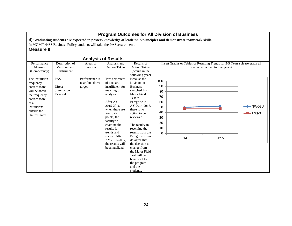|                                                                                                                                                             |                                               |                                                                     |                                                                                                                                                                                                                                                                                         |                                                                                                                                                                                                                                                                                                                                                                                              |                                                                       | <b>Program Outcomes for All Division of Business</b>                                                               |                                                                                                                 |                                          |
|-------------------------------------------------------------------------------------------------------------------------------------------------------------|-----------------------------------------------|---------------------------------------------------------------------|-----------------------------------------------------------------------------------------------------------------------------------------------------------------------------------------------------------------------------------------------------------------------------------------|----------------------------------------------------------------------------------------------------------------------------------------------------------------------------------------------------------------------------------------------------------------------------------------------------------------------------------------------------------------------------------------------|-----------------------------------------------------------------------|--------------------------------------------------------------------------------------------------------------------|-----------------------------------------------------------------------------------------------------------------|------------------------------------------|
| <b>Measure 9</b>                                                                                                                                            |                                               | In MGMT 4433 Business Policy students will take the PAS assessment. |                                                                                                                                                                                                                                                                                         |                                                                                                                                                                                                                                                                                                                                                                                              |                                                                       | 4) Graduating students are expected to possess knowledge of leadership principles and demonstrate teamwork skills. |                                                                                                                 |                                          |
|                                                                                                                                                             |                                               |                                                                     | <b>Analysis of Results</b>                                                                                                                                                                                                                                                              |                                                                                                                                                                                                                                                                                                                                                                                              |                                                                       |                                                                                                                    |                                                                                                                 |                                          |
| Performance<br>Measure<br>(Competency)                                                                                                                      | Description of<br>Measurement<br>Instrument   | Areas of<br><b>Success</b>                                          | Analysis and<br><b>Action Taken</b>                                                                                                                                                                                                                                                     | Results of<br><b>Action Taken</b><br>(occurs in the<br>following year)                                                                                                                                                                                                                                                                                                                       |                                                                       |                                                                                                                    | Insert Graphs or Tables of Resulting Trends for 3-5 Years (please graph all<br>available data up to five years) |                                          |
| The institution<br>frequency<br>correct score<br>will be above<br>the frequency<br>correct score<br>of all<br>institutions<br>outside the<br>United States. | PAS<br><b>Direct</b><br>Summative<br>External | Performance is<br>near, but above<br>target.                        | Two semesters<br>of data are<br>insufficient for<br>meaningful<br>analysis.<br>After AY<br>2015-2016.<br>when there are<br>four data<br>points, the<br>faculty will<br>examine the<br>results for<br>trends and<br>issues. After<br>AY 2016-2017.<br>the results will<br>be annualized. | Because the<br>Division of<br><b>Business</b><br>switched from<br>Major Field<br>Test to<br>Peregrine in<br>AY 2014-2015.<br>there is no<br>action to be<br>reviewed.<br>The faculty in<br>receiving the<br>results from the<br>Peregrine exam<br>do agree that<br>the decision to<br>change from<br>the Major Field<br>Test will be<br>beneficial to<br>the program<br>and the<br>students. | 100<br>90<br>80<br>70<br>60<br>50<br>40<br>30<br>20<br>10<br>$\Omega$ | F14                                                                                                                | SP15                                                                                                            | $-NWOSU$<br>$\blacktriangleright$ Target |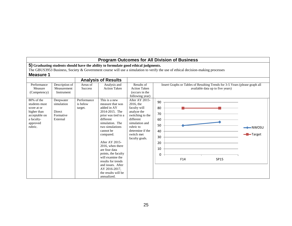|                                                                                                                 |                                                            |                                    | Program Outcomes for All Division of Business                                                                                                                                                                                                                                                                                                                              |                                                                                                                                                                                |                                                         |     |                                                                                                                 |                                              |
|-----------------------------------------------------------------------------------------------------------------|------------------------------------------------------------|------------------------------------|----------------------------------------------------------------------------------------------------------------------------------------------------------------------------------------------------------------------------------------------------------------------------------------------------------------------------------------------------------------------------|--------------------------------------------------------------------------------------------------------------------------------------------------------------------------------|---------------------------------------------------------|-----|-----------------------------------------------------------------------------------------------------------------|----------------------------------------------|
| <b>Measure 1</b>                                                                                                |                                                            |                                    | 5) Graduating students should have the ability to formulate good ethical judgments.<br>The GBUS3953 Business, Society & Government course will use a simulation to verify the use of ethical decision-making processes                                                                                                                                                     |                                                                                                                                                                                |                                                         |     |                                                                                                                 |                                              |
|                                                                                                                 |                                                            |                                    | <b>Analysis of Results</b>                                                                                                                                                                                                                                                                                                                                                 |                                                                                                                                                                                |                                                         |     |                                                                                                                 |                                              |
| Performance<br>Measure<br>(Competency)                                                                          | Description of<br>Measurement<br>Instrument                | Areas of<br><b>Success</b>         | Analysis and<br><b>Action Taken</b>                                                                                                                                                                                                                                                                                                                                        | Results of<br><b>Action Taken</b><br>(occurs in the<br>following year)                                                                                                         |                                                         |     | Insert Graphs or Tables of Resulting Trends for 3-5 Years (please graph all<br>available data up to five years) |                                              |
| 80% of the<br>students must<br>score at or<br>higher than<br>acceptable on<br>a faculty-<br>approved<br>rubric. | Deepwater<br>simulation<br>Direct<br>Formative<br>External | Performance<br>is below<br>target. | This is a new<br>measure that was<br>added in AY<br>2014-2015. The<br>prior was tied to a<br>different<br>simulation. The<br>two simulations<br>cannot be<br>compared.<br>After AY 2015-<br>2016, when there<br>are four data<br>points, the faculty<br>will examine the<br>results for trends<br>and issues. After<br>AY 2016-2017.<br>the results will be<br>annualized. | After AY 2015-<br>2016, the<br>faculty will<br>analyze the<br>switching to the<br>different<br>simulation and<br>rubric to<br>determine if the<br>switch met<br>faculty goals. | 90<br>80<br>70<br>60<br>50<br>40<br>30<br>20<br>10<br>0 | F14 | <b>SP15</b>                                                                                                     | $\rightarrow$ NWOSU<br>$\blacksquare$ Target |

┑

г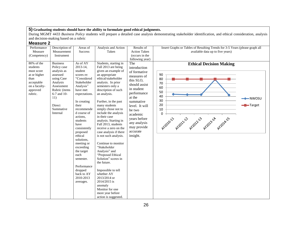During MGMT 4433 *Business Policy* students will prepare a detailed case analysis demonstrating stakeholder identification, and ethical consideration, analysis and decision-making based on a rubric

| Performance<br>Measure<br>(Competency)                                                                                | Description of<br>Measurement<br>Instrument                                                                                                                                     | Areas of<br>Success                                                                                                                                                                                                                                                                                                                                                                                  | Analysis and Action<br>Taken                                                                                                                                                                                                                                                                                                                                                                                                                                                                                                                                                                                                                                                                        | Results of<br><b>Action Taken</b><br>(occurs in the<br>following year)                                                                                                                                                                              | Insert Graphs or Tables of Resulting Trends for 3-5 Years (please graph all<br>available data up to five years)                                                           |
|-----------------------------------------------------------------------------------------------------------------------|---------------------------------------------------------------------------------------------------------------------------------------------------------------------------------|------------------------------------------------------------------------------------------------------------------------------------------------------------------------------------------------------------------------------------------------------------------------------------------------------------------------------------------------------------------------------------------------------|-----------------------------------------------------------------------------------------------------------------------------------------------------------------------------------------------------------------------------------------------------------------------------------------------------------------------------------------------------------------------------------------------------------------------------------------------------------------------------------------------------------------------------------------------------------------------------------------------------------------------------------------------------------------------------------------------------|-----------------------------------------------------------------------------------------------------------------------------------------------------------------------------------------------------------------------------------------------------|---------------------------------------------------------------------------------------------------------------------------------------------------------------------------|
| $80\%$ of the<br>students<br>must score<br>at or higher<br>than<br>acceptable<br>on a faculty-<br>approved<br>rubric. | <b>Business</b><br>Policy case<br>analysis as<br>assessed<br>using Case<br>Analysis<br>Assessment<br>Rubric (items<br>$6-7$ and $10-$<br>11)<br>Direct<br>Summative<br>Internal | As of AY<br>$2013 - 14$ ,<br>student<br>scores re:<br>"Considered<br>Stakeholder<br>Analysis"<br>have met<br>expectations.<br>In creating<br>their<br>recommende<br>d course of<br>actions.<br>students<br>have<br>consistently<br>proposed<br>ethical<br>solutions.<br>meeting or<br>exceeding<br>the target<br>each<br>semester.<br>Performance<br>dropped<br>back to AY<br>2010-2013<br>averages. | Students, starting in<br>Fall 2013 are being<br>given an example of<br>an appropriate<br>ethical/stakeholder<br>analysis. In prior<br>semesters only a<br>description of such<br>an analysis.<br>Further, in the past<br>many students<br>simply chose not to<br>include the analysis<br>in their case<br>analysis. Starting in<br>Fall 2013, students<br>receive a zero on the<br>case analysis if there<br>is not such analysis.<br>Continue to monitor<br>"Stakeholder<br>Analysis" and<br>"Proposed Ethical<br>Solution" scores in<br>the future.<br>Impossible to tell<br>whether AY<br>2013/2014 or<br>2014/2015 is<br>anomaly<br>Monitor for one<br>more year before<br>action is suggested. | The<br>introduction<br>of formative<br>measures of<br>this SLO,<br>should assist<br>in student<br>performance<br>at the<br>summative<br>level. It will<br>be two<br>academic<br>years before<br>any analysis<br>may provide<br>accurate<br>insight. | <b>Ethical Decision Making</b><br>90<br>80<br>70<br>60<br>50<br>40<br>$\longleftarrow$ NWOSU<br>30<br>20<br>-Target<br>10<br>0<br>AY2010-11 AY2011-12 AY2012-12 AY2012-14 |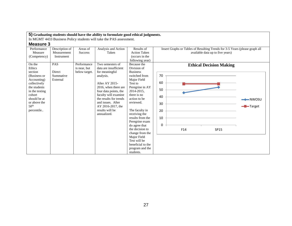In MGMT 4433 Business Policy students will take the PAS assessment.

| Performance      | Description of | Areas of       | Analysis and Action    | Results of                       | Insert Graphs or Tables of Resulting Trends for 3-5 Years (please graph all |                     |
|------------------|----------------|----------------|------------------------|----------------------------------|-----------------------------------------------------------------------------|---------------------|
| Measure          | Measurement    | <b>Success</b> | Taken                  | <b>Action Taken</b>              | available data up to five years)                                            |                     |
| (Competency)     | Instrument     |                |                        | (occurs in the                   |                                                                             |                     |
|                  |                |                |                        | following year)                  |                                                                             |                     |
| On the           | <b>PAS</b>     | Performance    | Two semesters of       | Because the                      | <b>Ethical Decision Making</b>                                              |                     |
| Ethics           |                | is near, but   | data are insufficient  | Division of                      |                                                                             |                     |
| section          | Direct         | below target.  | for meaningful         | <b>Business</b>                  |                                                                             |                     |
| (Business or     | Summative      |                | analysis.              | switched from                    | 70                                                                          |                     |
| Accounting)      | External       |                |                        | Major Field                      |                                                                             |                     |
| collectively     |                |                | After AY 2015-         | Test to                          | 60                                                                          |                     |
| the students     |                |                | 2016, when there are   | Peregrine in AY                  | 50                                                                          |                     |
| in the testing   |                |                | four data points, the  | 2014-2015,                       |                                                                             |                     |
| cohort           |                |                | faculty will examine   | there is no                      | 40                                                                          |                     |
| should be at     |                |                | the results for trends | action to be                     |                                                                             | $\rightarrow$ NWOSU |
| or above the     |                |                | and issues. After      | reviewed.                        | 30                                                                          |                     |
| 50 <sup>th</sup> |                |                | AY 2016-2017, the      |                                  |                                                                             | -Target             |
| percentile       |                |                | results will be        | The faculty in                   | 20                                                                          |                     |
|                  |                |                | annualized.            | receiving the                    |                                                                             |                     |
|                  |                |                |                        | results from the                 | 10                                                                          |                     |
|                  |                |                |                        | Peregrine exam                   | 0                                                                           |                     |
|                  |                |                |                        | do agree that<br>the decision to |                                                                             |                     |
|                  |                |                |                        | change from the                  | F14<br>SP15                                                                 |                     |
|                  |                |                |                        | Major Field                      |                                                                             |                     |
|                  |                |                |                        | Test will be                     |                                                                             |                     |
|                  |                |                |                        | beneficial to the                |                                                                             |                     |
|                  |                |                |                        | program and the                  |                                                                             |                     |
|                  |                |                |                        | students.                        |                                                                             |                     |
|                  |                |                |                        |                                  |                                                                             |                     |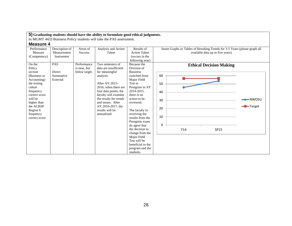In MGMT 4433 Business Policy students will take the PAS assessment.

| Performance   | Description of | Areas of       | Analysis and Action    | Results of          | Insert Graphs or Tables of Resulting Trends for 3-5 Years (please graph all |                     |
|---------------|----------------|----------------|------------------------|---------------------|-----------------------------------------------------------------------------|---------------------|
| Measure       | Measurement    | <b>Success</b> | Taken                  | <b>Action Taken</b> | available data up to five years)                                            |                     |
| (Competency)  | Instrument     |                |                        | (occurs in the      |                                                                             |                     |
|               |                |                |                        | following year)     |                                                                             |                     |
| On the        | <b>PAS</b>     | Performance    | Two semesters of       | Because the         | <b>Ethical Decision Making</b>                                              |                     |
| Ethics        |                | is near, but   | data are insufficient  | Division of         |                                                                             |                     |
| section       | Direct         | below target.  | for meaningful         | <b>Business</b>     |                                                                             |                     |
| (Business or  | Summative      |                | analysis.              | switched from       | 60                                                                          |                     |
| Accounting)   | External       |                |                        | Major Field         |                                                                             |                     |
| the testing   |                |                | After AY 2015-         | Test to             | 50                                                                          |                     |
| cohort        |                |                | 2016, when there are   | Peregrine in AY     |                                                                             |                     |
| frequency     |                |                | four data points, the  | 2014-2015,          | 40                                                                          |                     |
| correct score |                |                | faculty will examine   | there is no         |                                                                             |                     |
| will be       |                |                | the results for trends | action to be        | 30                                                                          | $\rightarrow$ NWOSU |
| higher than   |                |                | and issues. After      | reviewed.           |                                                                             |                     |
| the ACBSP     |                |                | AY 2016-2017, the      |                     | 20                                                                          | -Target             |
| Region 6      |                |                | results will be        | The faculty in      |                                                                             |                     |
| frequency     |                |                | annualized.            | receiving the       |                                                                             |                     |
| correct score |                |                |                        | results from the    | 10                                                                          |                     |
|               |                |                |                        | Peregrine exam      |                                                                             |                     |
|               |                |                |                        | do agree that       | 0                                                                           |                     |
|               |                |                |                        | the decision to     | F14<br>SP15                                                                 |                     |
|               |                |                |                        | change from the     |                                                                             |                     |
|               |                |                |                        | Major Field         |                                                                             |                     |
|               |                |                |                        | Test will be        |                                                                             |                     |
|               |                |                |                        | beneficial to the   |                                                                             |                     |
|               |                |                |                        | program and the     |                                                                             |                     |
|               |                |                |                        | students.           |                                                                             |                     |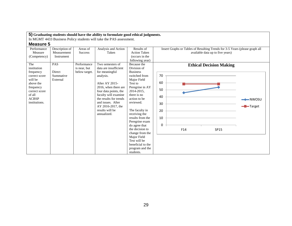In MGMT 4433 Business Policy students will take the PAS assessment.

| Performance        | Description of | Areas of                    | Analysis and Action                       | Results of                       | Insert Graphs or Tables of Resulting Trends for 3-5 Years (please graph all |                     |
|--------------------|----------------|-----------------------------|-------------------------------------------|----------------------------------|-----------------------------------------------------------------------------|---------------------|
| Measure            | Measurement    | <b>Success</b>              | Taken                                     | <b>Action Taken</b>              | available data up to five years)                                            |                     |
| (Competency)       | Instrument     |                             |                                           | (occurs in the                   |                                                                             |                     |
|                    |                |                             |                                           | following year)                  |                                                                             |                     |
| The<br>institution | <b>PAS</b>     | Performance<br>is near, but | Two semesters of<br>data are insufficient | Because the<br>Division of       | <b>Ethical Decision Making</b>                                              |                     |
| frequency          | Direct         | below target.               | for meaningful                            | <b>Business</b>                  |                                                                             |                     |
| correct score      | Summative      |                             | analysis.                                 | switched from                    | 70                                                                          |                     |
| will be            | External       |                             |                                           | Major Field                      |                                                                             |                     |
| above the          |                |                             | After AY 2015-                            | Test to                          | 60                                                                          |                     |
| frequency          |                |                             | 2016, when there are                      | Peregrine in AY                  |                                                                             |                     |
| correct score      |                |                             | four data points, the                     | 2014-2015,                       | 50                                                                          |                     |
| of all             |                |                             | faculty will examine                      | there is no                      | 40                                                                          |                     |
| <b>ACBSP</b>       |                |                             | the results for trends                    | action to be                     |                                                                             | $\rightarrow$ NWOSU |
| institutions.      |                |                             | and issues. After                         | reviewed.                        | 30                                                                          |                     |
|                    |                |                             | AY 2016-2017, the                         |                                  |                                                                             | -Target             |
|                    |                |                             | results will be                           | The faculty in                   | 20                                                                          |                     |
|                    |                |                             | annualized.                               | receiving the                    |                                                                             |                     |
|                    |                |                             |                                           | results from the                 | 10                                                                          |                     |
|                    |                |                             |                                           | Peregrine exam                   | 0                                                                           |                     |
|                    |                |                             |                                           | do agree that<br>the decision to |                                                                             |                     |
|                    |                |                             |                                           |                                  | F14<br>SP15                                                                 |                     |
|                    |                |                             |                                           | change from the<br>Major Field   |                                                                             |                     |
|                    |                |                             |                                           | Test will be                     |                                                                             |                     |
|                    |                |                             |                                           | beneficial to the                |                                                                             |                     |
|                    |                |                             |                                           | program and the                  |                                                                             |                     |
|                    |                |                             |                                           | students.                        |                                                                             |                     |
|                    |                |                             |                                           |                                  |                                                                             |                     |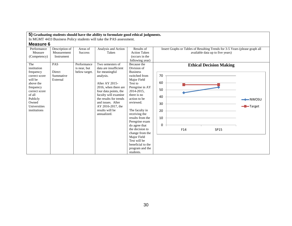In MGMT 4433 Business Policy students will take the PAS assessment.

| Performance           | Description of | Areas of       | Analysis and Action                  | Results of                      | Insert Graphs or Tables of Resulting Trends for 3-5 Years (please graph all |         |
|-----------------------|----------------|----------------|--------------------------------------|---------------------------------|-----------------------------------------------------------------------------|---------|
| Measure               | Measurement    | <b>Success</b> | Taken                                | <b>Action Taken</b>             | available data up to five years)                                            |         |
| (Competency)          | Instrument     |                |                                      | (occurs in the                  |                                                                             |         |
|                       |                |                |                                      | following year)                 |                                                                             |         |
| The                   | <b>PAS</b>     | Performance    | Two semesters of                     | Because the                     | <b>Ethical Decision Making</b>                                              |         |
| institution           |                | is near, but   | data are insufficient                | Division of                     |                                                                             |         |
| frequency             | Direct         | below target.  | for meaningful                       | <b>Business</b>                 |                                                                             |         |
| correct score         | Summative      |                | analysis.                            | switched from                   | 70                                                                          |         |
| will be               | External       |                |                                      | Major Field                     |                                                                             |         |
| above the             |                |                | After AY 2015-                       | Test to                         | 60                                                                          |         |
| frequency             |                |                | 2016, when there are                 | Peregrine in AY                 | 50                                                                          |         |
| correct score         |                |                | four data points, the                | 2014-2015,                      |                                                                             |         |
| of all                |                |                | faculty will examine                 | there is no                     | 40                                                                          |         |
| Publicly              |                |                | the results for trends               | action to be                    |                                                                             |         |
| Owned<br>Universities |                |                | and issues. After                    | reviewed.                       | 30                                                                          |         |
| institutions          |                |                | AY 2016-2017, the<br>results will be |                                 |                                                                             | -Target |
|                       |                |                | annualized.                          | The faculty in<br>receiving the | 20                                                                          |         |
|                       |                |                |                                      | results from the                | 10                                                                          |         |
|                       |                |                |                                      | Peregrine exam                  |                                                                             |         |
|                       |                |                |                                      | do agree that                   | 0                                                                           |         |
|                       |                |                |                                      | the decision to                 | F14<br>SP15                                                                 |         |
|                       |                |                |                                      | change from the                 |                                                                             |         |
|                       |                |                |                                      | Major Field                     |                                                                             |         |
|                       |                |                |                                      | Test will be                    |                                                                             |         |
|                       |                |                |                                      | beneficial to the               |                                                                             |         |
|                       |                |                |                                      | program and the                 |                                                                             |         |
|                       |                |                |                                      | students.                       |                                                                             |         |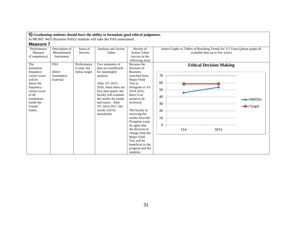In MGMT 4433 Business Policy students will take the PAS assessment.

| Performance<br>Measure<br>(Competency)                                                                                                                              | Description of<br>Measurement<br>Instrument   | Areas of<br><b>Success</b>                   | Analysis and Action<br>Taken                                                                                                                                                                                                                                              | Results of<br><b>Action Taken</b><br>(occurs in the<br>following year)                                                                                                                                                                                                                                                                                                                    | Insert Graphs or Tables of Resulting Trends for 3-5 Years (please graph all<br>available data up to five years) |                                |
|---------------------------------------------------------------------------------------------------------------------------------------------------------------------|-----------------------------------------------|----------------------------------------------|---------------------------------------------------------------------------------------------------------------------------------------------------------------------------------------------------------------------------------------------------------------------------|-------------------------------------------------------------------------------------------------------------------------------------------------------------------------------------------------------------------------------------------------------------------------------------------------------------------------------------------------------------------------------------------|-----------------------------------------------------------------------------------------------------------------|--------------------------------|
| The<br>institution<br>frequency<br>correct score<br>will be<br>above the<br>frequency<br>correct score<br>of all<br>institutions<br>inside the<br>United<br>States. | <b>PAS</b><br>Direct<br>Summative<br>External | Performance<br>is near, but<br>below target. | Two semesters of<br>data are insufficient<br>for meaningful<br>analysis.<br>After AY 2015-<br>2016, when there are<br>four data points, the<br>faculty will examine<br>the results for trends<br>and issues. After<br>AY 2016-2017, the<br>results will be<br>annualized. | Because the<br>Division of<br><b>Business</b><br>switched from<br>Major Field<br>Test to<br>Peregrine in AY<br>2014-2015,<br>there is no<br>action to be<br>reviewed.<br>The faculty in<br>receiving the<br>results from the<br>Peregrine exam<br>do agree that<br>the decision to<br>change from the<br>Major Field<br>Test will be<br>beneficial to the<br>program and the<br>students. | <b>Ethical Decision Making</b><br>70<br>60<br>50<br>40<br>30<br>20<br>10<br>0<br>F14<br><b>SP15</b>             | $\rightarrow$ NWOSU<br>-Target |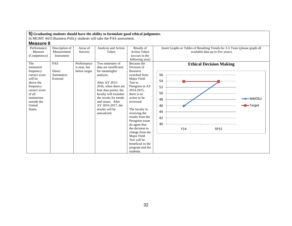In MGMT 4433 Business Policy students will take the PAS assessment.

| Performance<br>Measure                                                                                                                                               | Description of<br>Measurement                 | Areas of<br><b>Success</b>                   | Analysis and Action<br>Taken                                                                                                                                                                                                                                              | Results of<br><b>Action Taken</b>                                                                                                                                                                                                                                                                                                                                                         | Insert Graphs or Tables of Resulting Trends for 3-5 Years (please graph all<br>available data up to five years)                                   |  |
|----------------------------------------------------------------------------------------------------------------------------------------------------------------------|-----------------------------------------------|----------------------------------------------|---------------------------------------------------------------------------------------------------------------------------------------------------------------------------------------------------------------------------------------------------------------------------|-------------------------------------------------------------------------------------------------------------------------------------------------------------------------------------------------------------------------------------------------------------------------------------------------------------------------------------------------------------------------------------------|---------------------------------------------------------------------------------------------------------------------------------------------------|--|
| (Competency)                                                                                                                                                         | Instrument                                    |                                              |                                                                                                                                                                                                                                                                           | (occurs in the<br>following year)                                                                                                                                                                                                                                                                                                                                                         |                                                                                                                                                   |  |
| The<br>institution<br>frequency<br>correct score<br>will be<br>above the<br>frequency<br>correct score<br>of all<br>institutions<br>outside the<br>United<br>States. | <b>PAS</b><br>Direct<br>Summative<br>External | Performance<br>is near, but<br>below target. | Two semesters of<br>data are insufficient<br>for meaningful<br>analysis.<br>After AY 2015-<br>2016, when there are<br>four data points, the<br>faculty will examine<br>the results for trends<br>and issues. After<br>AY 2016-2017, the<br>results will be<br>annualized. | Because the<br>Division of<br><b>Business</b><br>switched from<br>Major Field<br>Test to<br>Peregrine in AY<br>2014-2015,<br>there is no<br>action to be<br>reviewed.<br>The faculty in<br>receiving the<br>results from the<br>Peregrine exam<br>do agree that<br>the decision to<br>change from the<br>Major Field<br>Test will be<br>beneficial to the<br>program and the<br>students. | <b>Ethical Decision Making</b><br>56<br>54<br>52<br>50<br>$\longleftarrow$ NWOSU<br>48<br>46<br><b>D</b> -Target<br>44<br>42<br>40<br>F14<br>SP15 |  |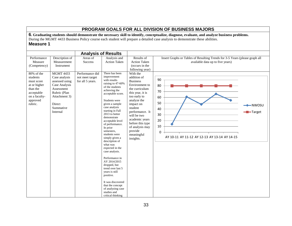# **PROGRAM GOALS FOR ALL DIVISION OF BUSINESS MAJORS**

**6. Graduating students should demonstrate the necessary skill to identify, conceptualize, diagnose, evaluate, and analyze business problems.** During the MGMT 4433 Business Policy course each student will prepare a detailed case analysis to demonstrate these abilities. **Measure 1**

|                                                                                                                        |                                                                                                                                                        | <b>Analysis of Results</b>                             |                                                                                                                                                                                                                                                                                                                                                                                                                                                                                                                                                                                                                     |                                                                                                                                                                                                                                                                                            |                                                                                                                   |                                       |
|------------------------------------------------------------------------------------------------------------------------|--------------------------------------------------------------------------------------------------------------------------------------------------------|--------------------------------------------------------|---------------------------------------------------------------------------------------------------------------------------------------------------------------------------------------------------------------------------------------------------------------------------------------------------------------------------------------------------------------------------------------------------------------------------------------------------------------------------------------------------------------------------------------------------------------------------------------------------------------------|--------------------------------------------------------------------------------------------------------------------------------------------------------------------------------------------------------------------------------------------------------------------------------------------|-------------------------------------------------------------------------------------------------------------------|---------------------------------------|
| Performance<br>Measure<br>(Competency)                                                                                 | Description of<br>Measurement<br>Instrument                                                                                                            | Areas of<br><b>Success</b>                             | Analysis and<br><b>Action Taken</b>                                                                                                                                                                                                                                                                                                                                                                                                                                                                                                                                                                                 | Results of<br><b>Action Taken</b><br>(occurs in the<br>following year)                                                                                                                                                                                                                     | Insert Graphs or Tables of Resulting Trends for 3-5 Years (please graph all<br>available data up to five years)   |                                       |
| 80% of the<br>students<br>must score<br>at or higher<br>than the<br>acceptable<br>on a faculty-<br>approved<br>rubric. | <b>MGMT 4433</b><br>Case analysis<br>assessed using<br>Case Analysis<br>Assessment<br>Rubric (Plan<br>Attachment 3)<br>Direct<br>Summative<br>Internal | Performance did<br>not meet target<br>for all 5 years. | There has been<br>improvement<br>with results<br>raising to 47-60%<br>of the students<br>achieving the<br>acceptable score.<br>Students were<br>given a sample<br>case analysis<br>starting in Fall<br>2013 to better<br>demonstrate<br>acceptable level<br>of performance.<br>In prior<br>semesters,<br>students were<br>simply given a<br>description of<br>what was<br>expected in the<br>case analysis.<br>Performance in<br>AY 2014/2015<br>dropped, but<br>trend over last 5<br>vears is still<br>positive.<br>It was discovered<br>that the concept<br>of analyzing case<br>studies and<br>critical thinking | With the<br>addition of<br><b>Business</b><br>Environment to<br>the curriculum<br>this year, it is<br>too early to<br>analyze the<br>impact on<br>student<br>performance. It<br>will be two<br>academic years<br>before this type<br>of analysis may<br>provide<br>meaningful<br>insights. | 90<br>80<br>70<br>60<br>50<br>40<br>30<br>20<br>10<br>$\mathbf 0$<br>AY 10-11 AY 11-12 AY 12-13 AY 13-14 AY 14-15 | $\blacktriangleright$ NWOSU<br>Target |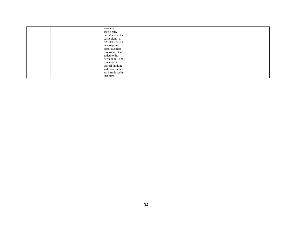|  | were not          |  |  |
|--|-------------------|--|--|
|  | specifically      |  |  |
|  | introduced in the |  |  |
|  | curriculum. In    |  |  |
|  | AY 2015-2016 a    |  |  |
|  | new required      |  |  |
|  | class, Business   |  |  |
|  | Environment was   |  |  |
|  | added to the      |  |  |
|  | curriculum. The   |  |  |
|  | concepts of       |  |  |
|  | critical thinking |  |  |
|  | and case studies  |  |  |
|  | are introduced in |  |  |
|  | this class.       |  |  |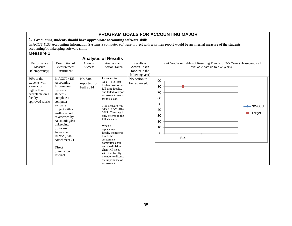|                                                                                               |                                                                                                                                                                                                                                                                                 |                                       |                                                                                                                                                                                                                                                                                                                                                                                                                                                        |                                                                                        | PROGRAM GOALS FOR ACCOUNTING MAJOR                                                                                                          |                                           |
|-----------------------------------------------------------------------------------------------|---------------------------------------------------------------------------------------------------------------------------------------------------------------------------------------------------------------------------------------------------------------------------------|---------------------------------------|--------------------------------------------------------------------------------------------------------------------------------------------------------------------------------------------------------------------------------------------------------------------------------------------------------------------------------------------------------------------------------------------------------------------------------------------------------|----------------------------------------------------------------------------------------|---------------------------------------------------------------------------------------------------------------------------------------------|-------------------------------------------|
|                                                                                               | accounting/bookkeeping software skills                                                                                                                                                                                                                                          |                                       | 1. Graduating students should have appropriate accounting software skills.                                                                                                                                                                                                                                                                                                                                                                             |                                                                                        | In ACCT 4133 Accounting Information Systems a computer software project with a written report would be an internal measure of the students' |                                           |
| <b>Measure 1</b>                                                                              |                                                                                                                                                                                                                                                                                 |                                       |                                                                                                                                                                                                                                                                                                                                                                                                                                                        |                                                                                        |                                                                                                                                             |                                           |
|                                                                                               |                                                                                                                                                                                                                                                                                 |                                       | <b>Analysis of Results</b>                                                                                                                                                                                                                                                                                                                                                                                                                             |                                                                                        |                                                                                                                                             |                                           |
| Performance<br>Measure<br>(Competency)<br>$80\%$ of the                                       | Description of<br>Measurement<br>Instrument<br>$\overline{\ln$ ACCT 4133                                                                                                                                                                                                        | Areas of<br><b>Success</b><br>No data | Analysis and<br><b>Action Taken</b><br>Instructor for                                                                                                                                                                                                                                                                                                                                                                                                  | Results of<br><b>Action Taken</b><br>(occurs in the<br>following year)<br>No action to | Insert Graphs or Tables of Resulting Trends for 3-5 Years (please graph all<br>available data up to five years)<br>90                       |                                           |
| students will<br>score at or<br>higher than<br>acceptable on a<br>faculty-<br>approved rubric | Accounting<br>Information<br><b>Systems</b><br>students<br>complete a<br>computer<br>software<br>project with a<br>written report<br>as assessed by<br>Accounting/Bo<br>okkeeping<br>Software<br>Assessment<br>Rubric (Plan<br>Attachment 7)<br>Direct<br>Summative<br>Internal | reported for<br>Fall 2014             | ACCT 4133 left<br>his/her position as<br>full-time faculty,<br>and failed to report<br>assessment results<br>for this class.<br>This measure was<br>added in AY 2014-<br>2015. The class is<br>only offered in the<br>fall semester.<br>When a<br>replacement<br>faculty member is<br>hired, the<br>assessment<br>committee chair<br>and the division<br>chair will meet<br>with that faculty<br>member to discuss<br>the importance of<br>assessment. | be reviewed.                                                                           | 80<br>70<br>60<br>50<br>40<br>30<br>20<br>10<br>0<br>F14                                                                                    | $\rightarrow$ NWOSU<br>- <b>D</b> -Target |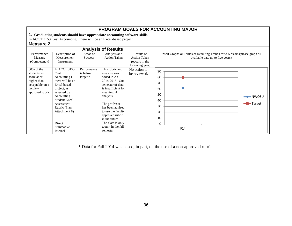|                                                                                               | <b>PROGRAM GOALS FOR ACCOUNTING MAJOR</b>                                                                                                                                                                            |                                           |                                                                                                                                                                                                                                                                            |                                                                                        |                                                                                                                 |                    |  |  |  |
|-----------------------------------------------------------------------------------------------|----------------------------------------------------------------------------------------------------------------------------------------------------------------------------------------------------------------------|-------------------------------------------|----------------------------------------------------------------------------------------------------------------------------------------------------------------------------------------------------------------------------------------------------------------------------|----------------------------------------------------------------------------------------|-----------------------------------------------------------------------------------------------------------------|--------------------|--|--|--|
| <b>Measure 2</b>                                                                              |                                                                                                                                                                                                                      |                                           | 1. Graduating students should have appropriate accounting software skills.<br>In ACCT 3153 Cost Accounting I there will be an Excel-based project.                                                                                                                         |                                                                                        |                                                                                                                 |                    |  |  |  |
|                                                                                               |                                                                                                                                                                                                                      |                                           | <b>Analysis of Results</b>                                                                                                                                                                                                                                                 |                                                                                        |                                                                                                                 |                    |  |  |  |
| Performance<br>Measure<br>(Competency)<br>$80\%$ of the                                       | Description of<br>Measurement<br>Instrument<br>In ACCT 3153                                                                                                                                                          | Areas of<br><b>Success</b><br>Performance | Analysis and<br><b>Action Taken</b><br>This rubric and                                                                                                                                                                                                                     | Results of<br><b>Action Taken</b><br>(occurs in the<br>following year)<br>No action to | Insert Graphs or Tables of Resulting Trends for 3-5 Years (please graph all<br>available data up to five years) |                    |  |  |  |
| students will<br>score at or<br>higher than<br>acceptable on a<br>faculty-<br>approved rubric | Cost<br>Accounting I<br>there will be an<br>Excel-based<br>project, as<br>assessed by<br>Accounting<br><b>Student Excel</b><br>Assessment<br>Rubric (Plan<br>Attachment 8)<br><b>Direct</b><br>Summative<br>Internal | is below<br>$target.*$                    | measure was<br>added in AY<br>2014-2015. One<br>semester of data<br>is insufficient for<br>meaningful<br>analysis.<br>The professor<br>has been advised<br>to use the faculty<br>approved rubric<br>in the future.<br>The class is only<br>taught in the fall<br>semester. | be reviewed.                                                                           | 90<br>80<br>70<br>60<br>50<br>40<br>30<br>20<br>10<br>0<br>F14                                                  | ━━NWOSU<br>-Target |  |  |  |

\* Data for Fall 2014 was based, in part, on the use of a non-approved rubric.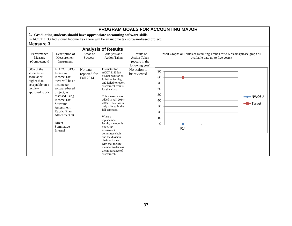|                                                                                                             |                                                                                                                                                                                                                                                         |                                      |                                                                                                                                                                                                                                                                                                                                                                                                                                                                          |                                                                        | PROGRAM GOALS FOR ACCOUNTING MAJOR                                                                              |                                              |
|-------------------------------------------------------------------------------------------------------------|---------------------------------------------------------------------------------------------------------------------------------------------------------------------------------------------------------------------------------------------------------|--------------------------------------|--------------------------------------------------------------------------------------------------------------------------------------------------------------------------------------------------------------------------------------------------------------------------------------------------------------------------------------------------------------------------------------------------------------------------------------------------------------------------|------------------------------------------------------------------------|-----------------------------------------------------------------------------------------------------------------|----------------------------------------------|
| <b>Measure 3</b>                                                                                            |                                                                                                                                                                                                                                                         |                                      | 1. Graduating students should have appropriate accounting software skills.<br>In ACCT 3133 Individual Income Tax there will be an income tax software-based project.                                                                                                                                                                                                                                                                                                     |                                                                        |                                                                                                                 |                                              |
| Performance<br>Measure<br>(Competency)                                                                      | Description of<br>Measurement<br>Instrument                                                                                                                                                                                                             | Areas of<br><b>Success</b>           | <b>Analysis of Results</b><br>Analysis and<br><b>Action Taken</b>                                                                                                                                                                                                                                                                                                                                                                                                        | Results of<br><b>Action Taken</b><br>(occurs in the<br>following year) | Insert Graphs or Tables of Resulting Trends for 3-5 Years (please graph all<br>available data up to five years) |                                              |
| 80% of the<br>students will<br>score at or<br>higher than<br>acceptable on a<br>faculty-<br>approved rubric | In ACCT 3133<br>Individual<br><b>Income Tax</b><br>there will be an<br>income tax<br>software-based<br>project, as<br>assessed using<br><b>Income Tax</b><br>Software<br>Assessment<br>Rubric (Plan<br>Attachment 9)<br>Direct<br>Summative<br>Internal | No data<br>reported for<br>Fall 2014 | Instructor for<br>ACCT 3133 left<br>his/her position as<br>full-time faculty,<br>and failed to report<br>assessment results<br>for this class.<br>This measure was<br>added in AY 2014-<br>2015. The class is<br>only offered in the<br>fall semester.<br>When a<br>replacement<br>faculty member is<br>hired, the<br>assessment<br>committee chair<br>and the division<br>chair will meet<br>with that faculty<br>member to discuss<br>the importance of<br>assessment. | No action to<br>be reviewed.                                           | 90<br>80<br>70<br>60<br>50<br>40<br>30<br>20<br>10<br>0<br>F14                                                  | $\longrightarrow$ NWOSU<br>- <b>-</b> Target |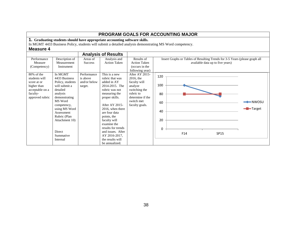| <b>PROGRAM GOALS FOR ACCOUNTING MAJOR</b>                                                                      |                                                                                                                                                                                                                                 |                                                    |                                                                                                                                                                                                                                                                                         |                                                                                                                                          |                                                                                                                 |                                |  |  |  |
|----------------------------------------------------------------------------------------------------------------|---------------------------------------------------------------------------------------------------------------------------------------------------------------------------------------------------------------------------------|----------------------------------------------------|-----------------------------------------------------------------------------------------------------------------------------------------------------------------------------------------------------------------------------------------------------------------------------------------|------------------------------------------------------------------------------------------------------------------------------------------|-----------------------------------------------------------------------------------------------------------------|--------------------------------|--|--|--|
|                                                                                                                |                                                                                                                                                                                                                                 |                                                    | 1. Graduating students should have appropriate accounting software skills.                                                                                                                                                                                                              |                                                                                                                                          |                                                                                                                 |                                |  |  |  |
|                                                                                                                |                                                                                                                                                                                                                                 |                                                    |                                                                                                                                                                                                                                                                                         |                                                                                                                                          | In MGMT 4433 Business Policy, students will submit a detailed analysis demonstrating MS Word competency.        |                                |  |  |  |
| <b>Measure 4</b>                                                                                               |                                                                                                                                                                                                                                 |                                                    |                                                                                                                                                                                                                                                                                         |                                                                                                                                          |                                                                                                                 |                                |  |  |  |
| <b>Analysis of Results</b>                                                                                     |                                                                                                                                                                                                                                 |                                                    |                                                                                                                                                                                                                                                                                         |                                                                                                                                          |                                                                                                                 |                                |  |  |  |
| Performance<br>Measure<br>(Competency)                                                                         | Description of<br>Measurement<br>Instrument                                                                                                                                                                                     | Areas of<br><b>Success</b>                         | Analysis and<br><b>Action Taken</b>                                                                                                                                                                                                                                                     | Results of<br><b>Action Taken</b><br>(occurs in the<br>following year)                                                                   | Insert Graphs or Tables of Resulting Trends for 3-5 Years (please graph all<br>available data up to five years) |                                |  |  |  |
| $80\%$ of the<br>students will<br>score at or<br>higher than<br>acceptable on a<br>faculty-<br>approved rubric | In MGMT<br>4433 Business<br>Policy, students<br>will submit a<br>detailed<br>analysis<br>demonstrating<br>MS Word<br>competency,<br>using MS Word<br>Assessment<br>Rubric (Plan<br>Attachment 10)<br><b>Direct</b><br>Summative | Performance<br>is above<br>and/or below<br>target. | This is a new<br>rubric that was<br>added in AY<br>2014-2015. The<br>rubric was not<br>measuring the<br>proper skills.<br>After AY 2015-<br>2016, when there<br>are four data<br>points, the<br>faculty will<br>examine the<br>results for trends<br>and issues. After<br>AY 2016-2017. | After AY 2015-<br>2016, the<br>faculty will<br>analyze<br>switching the<br>rubric to<br>determine if the<br>switch met<br>faculty goals. | 120<br>100<br>80<br>60<br>40<br>20<br>0<br>F14<br><b>SP15</b>                                                   | $-$ NWOSU<br><b>-</b> ■ Target |  |  |  |
|                                                                                                                | Internal                                                                                                                                                                                                                        |                                                    | the results will<br>be annualized.                                                                                                                                                                                                                                                      |                                                                                                                                          |                                                                                                                 |                                |  |  |  |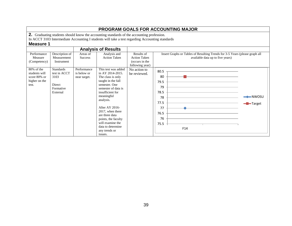| PROGRAM GOALS FOR ACCOUNTING MAJOR                                                        |                                                                             |                                            |                                                                                                                                                                                                                                                                                                                               |                                                                        |                                                                                                                 |                                            |  |  |  |
|-------------------------------------------------------------------------------------------|-----------------------------------------------------------------------------|--------------------------------------------|-------------------------------------------------------------------------------------------------------------------------------------------------------------------------------------------------------------------------------------------------------------------------------------------------------------------------------|------------------------------------------------------------------------|-----------------------------------------------------------------------------------------------------------------|--------------------------------------------|--|--|--|
| 2. Graduating students should know the accounting standards of the accounting profession. |                                                                             |                                            |                                                                                                                                                                                                                                                                                                                               |                                                                        |                                                                                                                 |                                            |  |  |  |
|                                                                                           |                                                                             |                                            | In ACCT 3103 Intermediate Accounting I students will take a test regarding Accounting standards                                                                                                                                                                                                                               |                                                                        |                                                                                                                 |                                            |  |  |  |
| <b>Measure 1</b>                                                                          |                                                                             |                                            |                                                                                                                                                                                                                                                                                                                               |                                                                        |                                                                                                                 |                                            |  |  |  |
|                                                                                           |                                                                             |                                            | <b>Analysis of Results</b>                                                                                                                                                                                                                                                                                                    |                                                                        |                                                                                                                 |                                            |  |  |  |
| Performance<br>Measure<br>(Competency)                                                    | Description of<br>Measurement<br>Instrument                                 | Areas of<br><b>Success</b>                 | Analysis and<br><b>Action Taken</b>                                                                                                                                                                                                                                                                                           | Results of<br><b>Action Taken</b><br>(occurs in the<br>following year) | Insert Graphs or Tables of Resulting Trends for 3-5 Years (please graph all<br>available data up to five years) |                                            |  |  |  |
| 80% of the<br>students will<br>score 80% or<br>higher on the<br>test.                     | <b>Standards</b><br>test in ACCT<br>3103<br>Direct<br>Formative<br>External | Performance<br>is below or<br>near target. | This test was added<br>in AY 2014-2015.<br>The class is only<br>taught in the fall<br>semester. One<br>semester of data is<br>insufficient for<br>meaningful<br>analysis.<br>After AY 2016-<br>2017, when there<br>are three data<br>points, the faculty<br>will examine the<br>data to determine<br>any trends or<br>issues. | No action to<br>be reviewed.                                           | 80.5<br>80<br>79.5<br>79<br>78.5<br>78<br>77.5<br>77<br>76.5<br>76<br>75.5<br>F <sub>14</sub>                   | $\rightarrow$ NWOSU<br><del>-</del> Target |  |  |  |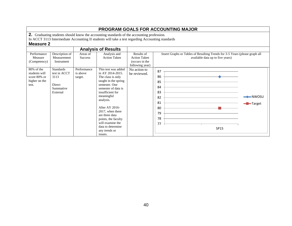| <b>PROGRAM GOALS FOR ACCOUNTING MAJOR</b>                                |                                                                             |                                    |                                                                                                                                                                                                                                                                                                                                 |                                                                        |                                                                                                                    |  |  |  |  |
|--------------------------------------------------------------------------|-----------------------------------------------------------------------------|------------------------------------|---------------------------------------------------------------------------------------------------------------------------------------------------------------------------------------------------------------------------------------------------------------------------------------------------------------------------------|------------------------------------------------------------------------|--------------------------------------------------------------------------------------------------------------------|--|--|--|--|
|                                                                          |                                                                             |                                    | 2. Graduating students should know the accounting standards of the accounting profession.                                                                                                                                                                                                                                       |                                                                        |                                                                                                                    |  |  |  |  |
|                                                                          |                                                                             |                                    | In ACCT 3113 Intermediate Accounting II students will take a test regarding Accounting standards                                                                                                                                                                                                                                |                                                                        |                                                                                                                    |  |  |  |  |
| <b>Measure 2</b>                                                         |                                                                             |                                    |                                                                                                                                                                                                                                                                                                                                 |                                                                        |                                                                                                                    |  |  |  |  |
|                                                                          |                                                                             |                                    | <b>Analysis of Results</b>                                                                                                                                                                                                                                                                                                      |                                                                        |                                                                                                                    |  |  |  |  |
| Performance<br>Measure<br>(Competency)                                   | Description of<br>Measurement<br>Instrument                                 | Areas of<br><b>Success</b>         | Analysis and<br><b>Action Taken</b>                                                                                                                                                                                                                                                                                             | Results of<br><b>Action Taken</b><br>(occurs in the<br>following year) | Insert Graphs or Tables of Resulting Trends for 3-5 Years (please graph all<br>available data up to five years)    |  |  |  |  |
| $80\%$ of the<br>students will<br>score 80% or<br>higher on the<br>test. | <b>Standards</b><br>test in ACCT<br>3113<br>Direct<br>Summative<br>External | Performance<br>is above<br>target. | This test was added<br>in AY 2014-2015.<br>The class is only<br>taught in the spring<br>semester. One<br>semester of data is<br>insufficient for<br>meaningful<br>analysis.<br>After AY 2016-<br>2017, when there<br>are three data<br>points, the faculty<br>will examine the<br>data to determine<br>any trends or<br>issues. | No action to<br>be reviewed.                                           | 87<br>86<br>85<br>84<br>83<br>$\leftarrow$ NWOSU<br>82<br>81<br>- <b>B</b> -Target<br>80<br>79<br>78<br>77<br>SP15 |  |  |  |  |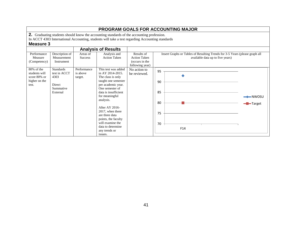| <b>PROGRAM GOALS FOR ACCOUNTING MAJOR</b>                                                 |                                                                                                                                                                                                                                                                                                                               |                                                                        |                                  |                                  |                                                                                                                                                                                |  |  |  |  |
|-------------------------------------------------------------------------------------------|-------------------------------------------------------------------------------------------------------------------------------------------------------------------------------------------------------------------------------------------------------------------------------------------------------------------------------|------------------------------------------------------------------------|----------------------------------|----------------------------------|--------------------------------------------------------------------------------------------------------------------------------------------------------------------------------|--|--|--|--|
| 2. Graduating students should know the accounting standards of the accounting profession. |                                                                                                                                                                                                                                                                                                                               |                                                                        |                                  |                                  |                                                                                                                                                                                |  |  |  |  |
|                                                                                           |                                                                                                                                                                                                                                                                                                                               |                                                                        |                                  |                                  |                                                                                                                                                                                |  |  |  |  |
|                                                                                           |                                                                                                                                                                                                                                                                                                                               |                                                                        |                                  |                                  |                                                                                                                                                                                |  |  |  |  |
|                                                                                           |                                                                                                                                                                                                                                                                                                                               |                                                                        |                                  |                                  |                                                                                                                                                                                |  |  |  |  |
| Areas of<br><b>Success</b>                                                                | Analysis and<br><b>Action Taken</b>                                                                                                                                                                                                                                                                                           | Results of<br><b>Action Taken</b><br>(occurs in the<br>following year) |                                  | available data up to five years) |                                                                                                                                                                                |  |  |  |  |
| Performance<br>is above<br>target.                                                        | This test was added<br>in AY 2014-2015.<br>The class is only<br>taught one semester<br>per academic year.<br>One semester of<br>data is insufficient.<br>for meaningful<br>analysis.<br>After AY 2016-<br>2017, when there<br>are three data<br>points, the faculty<br>will examine the<br>data to determine<br>any trends or | No action to<br>be reviewed.                                           | 95<br>90<br>85<br>80<br>75<br>70 | F14                              | $\rightarrow$ NWOSU<br><b>-B</b> Target                                                                                                                                        |  |  |  |  |
|                                                                                           |                                                                                                                                                                                                                                                                                                                               | <b>Analysis of Results</b><br>issues.                                  |                                  |                                  | In ACCT 4303 International Accounting, students will take a test regarding Accounting standards<br>Insert Graphs or Tables of Resulting Trends for 3-5 Years (please graph all |  |  |  |  |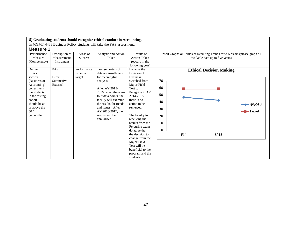|                                                                                                                                                                                |                                                           |                                           | 3) Graduating students should recognize ethical conduct in Accounting.                                                                                                                                                                                |                                                                                                                                                                                                                                                                                                                                                                            |                                                                                                                 |                                |
|--------------------------------------------------------------------------------------------------------------------------------------------------------------------------------|-----------------------------------------------------------|-------------------------------------------|-------------------------------------------------------------------------------------------------------------------------------------------------------------------------------------------------------------------------------------------------------|----------------------------------------------------------------------------------------------------------------------------------------------------------------------------------------------------------------------------------------------------------------------------------------------------------------------------------------------------------------------------|-----------------------------------------------------------------------------------------------------------------|--------------------------------|
|                                                                                                                                                                                |                                                           |                                           | In MGMT 4433 Business Policy students will take the PAS assessment.                                                                                                                                                                                   |                                                                                                                                                                                                                                                                                                                                                                            |                                                                                                                 |                                |
| <b>Measure 1</b>                                                                                                                                                               |                                                           |                                           |                                                                                                                                                                                                                                                       |                                                                                                                                                                                                                                                                                                                                                                            |                                                                                                                 |                                |
| Performance<br>Measure<br>(Competency)<br>On the                                                                                                                               | Description of<br>Measurement<br>Instrument<br><b>PAS</b> | Areas of<br><b>Success</b><br>Performance | Analysis and Action<br>Taken<br>Two semesters of                                                                                                                                                                                                      | Results of<br><b>Action Taken</b><br>(occurs in the<br>following year)<br>Because the                                                                                                                                                                                                                                                                                      | Insert Graphs or Tables of Resulting Trends for 3-5 Years (please graph all<br>available data up to five years) |                                |
| Ethics<br>section<br>(Business or<br>Accounting)<br>collectively<br>the students<br>in the testing<br>cohort<br>should be at<br>or above the<br>50 <sup>th</sup><br>percentile | <b>Direct</b><br>Summative<br>External                    | is below<br>target.                       | data are insufficient<br>for meaningful<br>analysis.<br>After AY 2015-<br>2016, when there are<br>four data points, the<br>faculty will examine<br>the results for trends<br>and issues. After<br>AY 2016-2017, the<br>results will be<br>annualized. | Division of<br><b>Business</b><br>switched from<br>Major Field<br>Test to<br>Peregrine in AY<br>2014-2015.<br>there is no<br>action to be<br>reviewed.<br>The faculty in<br>receiving the<br>results from the<br>Peregrine exam<br>do agree that<br>the decision to<br>change from the<br>Major Field<br>Test will be<br>beneficial to the<br>program and the<br>students. | <b>Ethical Decision Making</b><br>70<br>60<br>50<br>40<br>30<br>20<br>10<br>0<br>F14<br>SP15                    | $\rightarrow$ NWOSU<br>-Target |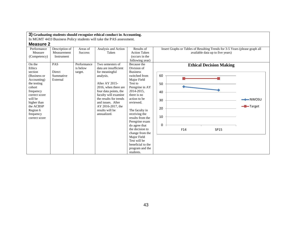In MGMT 4433 Business Policy students will take the PAS assessment.

| Performance   | Description of | Areas of       | Analysis and Action    | Results of          | Insert Graphs or Tables of Resulting Trends for 3-5 Years (please graph all |                     |
|---------------|----------------|----------------|------------------------|---------------------|-----------------------------------------------------------------------------|---------------------|
| Measure       | Measurement    | <b>Success</b> | Taken                  | <b>Action Taken</b> | available data up to five years)                                            |                     |
| (Competency)  | Instrument     |                |                        | (occurs in the      |                                                                             |                     |
|               |                |                |                        | following year)     |                                                                             |                     |
| On the        | <b>PAS</b>     | Performance    | Two semesters of       | Because the         | <b>Ethical Decision Making</b>                                              |                     |
| Ethics        |                | is below       | data are insufficient  | Division of         |                                                                             |                     |
| section       | Direct         | target.        | for meaningful         | <b>Business</b>     |                                                                             |                     |
| (Business or  | Summative      |                | analysis.              | switched from       | 60                                                                          |                     |
| Accounting)   | External       |                |                        | Major Field         |                                                                             |                     |
| the testing   |                |                | After AY 2015-         | Test to             | 50                                                                          |                     |
| cohort        |                |                | 2016, when there are   | Peregrine in AY     |                                                                             |                     |
| frequency     |                |                | four data points, the  | 2014-2015,          | 40                                                                          |                     |
| correct score |                |                | faculty will examine   | there is no         |                                                                             |                     |
| will be       |                |                | the results for trends | action to be        | 30                                                                          | $\rightarrow$ NWOSU |
| higher than   |                |                | and issues. After      | reviewed.           |                                                                             |                     |
| the ACBSP     |                |                | AY 2016-2017, the      |                     | 20                                                                          | Target              |
| Region 6      |                |                | results will be        | The faculty in      |                                                                             |                     |
| frequency     |                |                | annualized.            | receiving the       | 10                                                                          |                     |
| correct score |                |                |                        | results from the    |                                                                             |                     |
|               |                |                |                        | Peregrine exam      |                                                                             |                     |
|               |                |                |                        | do agree that       | 0                                                                           |                     |
|               |                |                |                        | the decision to     | F14<br>SP15                                                                 |                     |
|               |                |                |                        | change from the     |                                                                             |                     |
|               |                |                |                        | Major Field         |                                                                             |                     |
|               |                |                |                        | Test will be        |                                                                             |                     |
|               |                |                |                        | beneficial to the   |                                                                             |                     |
|               |                |                |                        | program and the     |                                                                             |                     |
|               |                |                |                        | students.           |                                                                             |                     |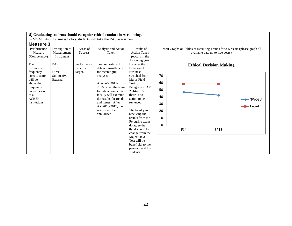In MGMT 4433 Business Policy students will take the PAS assessment.

| Performance<br>Measure                                                                                                                                            | Description of<br>Measurement<br>Instrument | Areas of<br><b>Success</b>         | Analysis and Action<br>Taken                                                                                                                                                                                                                                              | Results of<br><b>Action Taken</b><br>(occurs in the                                                                                                                                                                                                                                                                                                     | Insert Graphs or Tables of Resulting Trends for 3-5 Years (please graph all<br>available data up to five years) |                    |
|-------------------------------------------------------------------------------------------------------------------------------------------------------------------|---------------------------------------------|------------------------------------|---------------------------------------------------------------------------------------------------------------------------------------------------------------------------------------------------------------------------------------------------------------------------|---------------------------------------------------------------------------------------------------------------------------------------------------------------------------------------------------------------------------------------------------------------------------------------------------------------------------------------------------------|-----------------------------------------------------------------------------------------------------------------|--------------------|
| (Competency)<br>The<br>institution<br>frequency<br>correct score<br>will be<br>above the<br>frequency<br>correct score<br>of all<br><b>ACBSP</b><br>institutions. | PAS<br>Direct<br>Summative<br>External      | Performance<br>is below<br>target. | Two semesters of<br>data are insufficient<br>for meaningful<br>analysis.<br>After AY 2015-<br>2016, when there are<br>four data points, the<br>faculty will examine<br>the results for trends<br>and issues. After<br>AY 2016-2017, the<br>results will be<br>annualized. | following year)<br>Because the<br>Division of<br><b>Business</b><br>switched from<br>Major Field<br>Test to<br>Peregrine in AY<br>2014-2015,<br>there is no<br>action to be<br>reviewed.<br>The faculty in<br>receiving the<br>results from the<br>Peregrine exam<br>do agree that<br>the decision to<br>change from the<br>Major Field<br>Test will be | <b>Ethical Decision Making</b><br>70<br>60<br>50<br>40<br>30<br>20<br>10<br>0<br>F14<br>SP15                    | - <b>D</b> -Target |
|                                                                                                                                                                   |                                             |                                    |                                                                                                                                                                                                                                                                           | beneficial to the<br>program and the<br>students.                                                                                                                                                                                                                                                                                                       |                                                                                                                 |                    |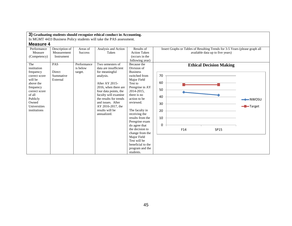In MGMT 4433 Business Policy students will take the PAS assessment.

| Performance   | Description of | Areas of       | Analysis and Action            | Results of                        | Insert Graphs or Tables of Resulting Trends for 3-5 Years (please graph all |        |
|---------------|----------------|----------------|--------------------------------|-----------------------------------|-----------------------------------------------------------------------------|--------|
| Measure       | Measurement    | <b>Success</b> | Taken                          | <b>Action Taken</b>               | available data up to five years)                                            |        |
| (Competency)  | Instrument     |                |                                | (occurs in the                    |                                                                             |        |
|               |                |                |                                | following year)                   |                                                                             |        |
| The           | <b>PAS</b>     | Performance    | Two semesters of               | Because the                       | <b>Ethical Decision Making</b>                                              |        |
| institution   |                | is below       | data are insufficient          | Division of                       |                                                                             |        |
| frequency     | Direct         | target.        | for meaningful                 | <b>Business</b>                   |                                                                             |        |
| correct score | Summative      |                | analysis.                      | switched from                     | 70                                                                          |        |
| will be       | External       |                |                                | Major Field                       |                                                                             |        |
| above the     |                |                | After AY 2015-                 | Test to                           | 60                                                                          |        |
| frequency     |                |                | 2016, when there are           | Peregrine in AY                   | 50                                                                          |        |
| correct score |                |                | four data points, the          | 2014-2015,                        |                                                                             |        |
| of all        |                |                | faculty will examine           | there is no                       | 40                                                                          |        |
| Publicly      |                |                | the results for trends         | action to be                      |                                                                             |        |
| Owned         |                |                | and issues. After              | reviewed.                         | 30                                                                          |        |
| Universities  |                |                | AY 2016-2017, the              |                                   |                                                                             | Target |
| institutions  |                |                | results will be<br>annualized. | The faculty in                    | 20                                                                          |        |
|               |                |                |                                | receiving the<br>results from the | 10                                                                          |        |
|               |                |                |                                | Peregrine exam                    |                                                                             |        |
|               |                |                |                                | do agree that                     | $\Omega$                                                                    |        |
|               |                |                |                                | the decision to                   | F14                                                                         |        |
|               |                |                |                                | change from the                   | SP15                                                                        |        |
|               |                |                |                                | Major Field                       |                                                                             |        |
|               |                |                |                                | Test will be                      |                                                                             |        |
|               |                |                |                                | beneficial to the                 |                                                                             |        |
|               |                |                |                                | program and the                   |                                                                             |        |
|               |                |                |                                | students.                         |                                                                             |        |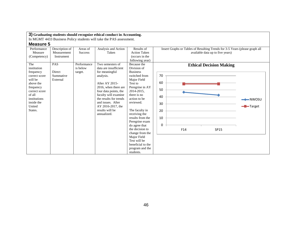In MGMT 4433 Business Policy students will take the PAS assessment.

| Performance<br>Measure                                                                                                                                              | Description of<br>Measurement                 | Areas of<br><b>Success</b>         | Analysis and Action<br>Taken                                                                                                                                                                                                                                              | Results of<br><b>Action Taken</b>                                                                                                                                                                                                                                                                                                                                                         | Insert Graphs or Tables of Resulting Trends for 3-5 Years (please graph all<br>available data up to five years) |                                           |
|---------------------------------------------------------------------------------------------------------------------------------------------------------------------|-----------------------------------------------|------------------------------------|---------------------------------------------------------------------------------------------------------------------------------------------------------------------------------------------------------------------------------------------------------------------------|-------------------------------------------------------------------------------------------------------------------------------------------------------------------------------------------------------------------------------------------------------------------------------------------------------------------------------------------------------------------------------------------|-----------------------------------------------------------------------------------------------------------------|-------------------------------------------|
| (Competency)                                                                                                                                                        | Instrument                                    |                                    |                                                                                                                                                                                                                                                                           | (occurs in the<br>following year)                                                                                                                                                                                                                                                                                                                                                         |                                                                                                                 |                                           |
| The<br>institution<br>frequency<br>correct score<br>will be<br>above the<br>frequency<br>correct score<br>of all<br>institutions<br>inside the<br>United<br>States. | <b>PAS</b><br>Direct<br>Summative<br>External | Performance<br>is below<br>target. | Two semesters of<br>data are insufficient<br>for meaningful<br>analysis.<br>After AY 2015-<br>2016, when there are<br>four data points, the<br>faculty will examine<br>the results for trends<br>and issues. After<br>AY 2016-2017, the<br>results will be<br>annualized. | Because the<br>Division of<br><b>Business</b><br>switched from<br>Major Field<br>Test to<br>Peregrine in AY<br>2014-2015,<br>there is no<br>action to be<br>reviewed.<br>The faculty in<br>receiving the<br>results from the<br>Peregrine exam<br>do agree that<br>the decision to<br>change from the<br>Major Field<br>Test will be<br>beneficial to the<br>program and the<br>students. | <b>Ethical Decision Making</b><br>70<br>60<br>50<br>40<br>30<br>20<br>10<br>$\Omega$<br>F14<br>SP15             | $\rightarrow$ NWOSU<br>- <b>D</b> -Target |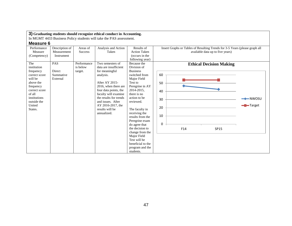In MGMT 4433 Business Policy students will take the PAS assessment.

| Performance<br>Measure<br>(Competency)                                                                                                                               | Description of<br>Measurement<br>Instrument   | Areas of<br><b>Success</b>         | Analysis and Action<br>Taken                                                                                                                                                                                                                                              | Results of<br><b>Action Taken</b><br>(occurs in the                                                                                                                                                                                                                                                                      | Insert Graphs or Tables of Resulting Trends for 3-5 Years (please graph all<br>available data up to five years) |                                           |
|----------------------------------------------------------------------------------------------------------------------------------------------------------------------|-----------------------------------------------|------------------------------------|---------------------------------------------------------------------------------------------------------------------------------------------------------------------------------------------------------------------------------------------------------------------------|--------------------------------------------------------------------------------------------------------------------------------------------------------------------------------------------------------------------------------------------------------------------------------------------------------------------------|-----------------------------------------------------------------------------------------------------------------|-------------------------------------------|
| The<br>institution<br>frequency<br>correct score<br>will be<br>above the<br>frequency<br>correct score<br>of all<br>institutions<br>outside the<br>United<br>States. | <b>PAS</b><br>Direct<br>Summative<br>External | Performance<br>is below<br>target. | Two semesters of<br>data are insufficient<br>for meaningful<br>analysis.<br>After AY 2015-<br>2016, when there are<br>four data points, the<br>faculty will examine<br>the results for trends<br>and issues. After<br>AY 2016-2017, the<br>results will be<br>annualized. | following year)<br>Because the<br>Division of<br><b>Business</b><br>switched from<br>Major Field<br>Test to<br>Peregrine in AY<br>2014-2015,<br>there is no<br>action to be<br>reviewed.<br>The faculty in<br>receiving the<br>results from the<br>Peregrine exam<br>do agree that<br>the decision to<br>change from the | <b>Ethical Decision Making</b><br>60<br>50<br>40<br>30<br>20<br>10<br>0<br>F14<br>SP15                          | $\rightarrow$ NWOSU<br>- <b>B</b> -Target |
|                                                                                                                                                                      |                                               |                                    |                                                                                                                                                                                                                                                                           | Major Field<br>Test will be<br>beneficial to the<br>program and the<br>students.                                                                                                                                                                                                                                         |                                                                                                                 |                                           |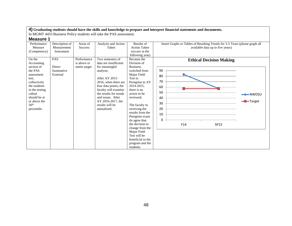In MGMT 4433 Business Policy students will take the PAS assessment.

| <b>Measure 1</b> |  |
|------------------|--|
|------------------|--|

| IVIVUJUI VII     |                |                |                        |                     |                                                                             |                     |
|------------------|----------------|----------------|------------------------|---------------------|-----------------------------------------------------------------------------|---------------------|
| Performance      | Description of | Areas of       | Analysis and Action    | Results of          | Insert Graphs or Tables of Resulting Trends for 3-5 Years (please graph all |                     |
| Measure          | Measurement    | <b>Success</b> | Taken                  | <b>Action Taken</b> | available data up to five years)                                            |                     |
| (Competency)     | Instrument     |                |                        | (occurs in the      |                                                                             |                     |
|                  |                |                |                        | following year)     |                                                                             |                     |
| On the           | PAS            | Performance    | Two semesters of       | Because the         | <b>Ethical Decision Making</b>                                              |                     |
| Accounting       |                | is above or    | data are insufficient  | Division of         |                                                                             |                     |
| section of       | <b>Direct</b>  | meets target.  | for meaningful         | <b>Business</b>     |                                                                             |                     |
| the PAS          | Summative      |                | analysis.              | switched from       | 90                                                                          |                     |
| assessment       | External       |                |                        | Major Field         | 80                                                                          |                     |
| test.            |                |                | After AY 2015-         | Test to             |                                                                             |                     |
| collectively     |                |                | 2016, when there are   | Peregrine in AY     | 70                                                                          |                     |
| the students     |                |                | four data points, the  | 2014-2015,          | 60                                                                          |                     |
| in the testing   |                |                | faculty will examine   | there is no         | 50                                                                          |                     |
| cohort           |                |                | the results for trends | action to be        |                                                                             | $\rightarrow$ NWOSU |
| should be at     |                |                | and issues. After      | reviewed.           | 40                                                                          |                     |
| or above the     |                |                | AY 2016-2017, the      |                     | 30                                                                          | -Target             |
| 50 <sup>th</sup> |                |                | results will be        | The faculty in      |                                                                             |                     |
| percentile.      |                |                | annualized.            | receiving the       | 20                                                                          |                     |
|                  |                |                |                        | results from the    | 10                                                                          |                     |
|                  |                |                |                        | Peregrine exam      |                                                                             |                     |
|                  |                |                |                        | do agree that       |                                                                             |                     |
|                  |                |                |                        | the decision to     | F14<br>SP15                                                                 |                     |
|                  |                |                |                        | change from the     |                                                                             |                     |
|                  |                |                |                        | Major Field         |                                                                             |                     |
|                  |                |                |                        | Test will be        |                                                                             |                     |
|                  |                |                |                        | beneficial to the   |                                                                             |                     |
|                  |                |                |                        | program and the     |                                                                             |                     |
|                  |                |                |                        | students.           |                                                                             |                     |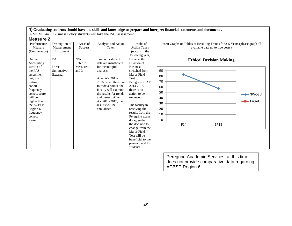In MGMT 4433 Business Policy students will take the PAS assessment.

| <b>Measure 2</b> |  |
|------------------|--|
|------------------|--|

| Performance   | Description of | Areas of       | Analysis and Action    | Results of          | Insert Graphs or Tables of Resulting Trends for 3-5 Years (please graph all |                     |
|---------------|----------------|----------------|------------------------|---------------------|-----------------------------------------------------------------------------|---------------------|
| Measure       | Measurement    | <b>Success</b> | Taken                  | <b>Action Taken</b> | available data up to five years)                                            |                     |
| (Competency)  | Instrument     |                |                        | (occurs in the      |                                                                             |                     |
|               |                |                |                        | following year)     |                                                                             |                     |
| On the        | PAS            | N/A            | Two semesters of       | Because the         | <b>Ethical Decision Making</b>                                              |                     |
| Accounting    |                | Refer to       | data are insufficient  | Division of         |                                                                             |                     |
| section of    | Direct         | Measures 1     | for meaningful         | <b>Business</b>     |                                                                             |                     |
| the PAS       | Summative      | and 3.         | analysis.              | switched from       | 90                                                                          |                     |
| assessment    | External       |                |                        | Major Field         | 80                                                                          |                     |
| test, the     |                |                | After AY 2015-         | Test to             |                                                                             |                     |
| testing       |                |                | 2016, when there are   | Peregrine in AY     | 70                                                                          |                     |
| cohort        |                |                | four data points, the  | 2014-2015,          | 60                                                                          |                     |
| frequency     |                |                | faculty will examine   | there is no         | 50                                                                          |                     |
| correct score |                |                | the results for trends | action to be        |                                                                             | $\rightarrow$ NWOSU |
| will be       |                |                | and issues. After      | reviewed.           | 40                                                                          |                     |
| higher than   |                |                | AY 2016-2017, the      |                     | 30                                                                          | -Target             |
| the ACBSP     |                |                | results will be        | The faculty in      |                                                                             |                     |
| Region 6      |                |                | annualized.            | receiving the       | 20                                                                          |                     |
| frequency     |                |                |                        | results from the    | 10                                                                          |                     |
| correct       |                |                |                        | Peregrine exam      |                                                                             |                     |
| score.        |                |                |                        | do agree that       | $\Omega$                                                                    |                     |
|               |                |                |                        | the decision to     | F14<br>SP15                                                                 |                     |
|               |                |                |                        | change from the     |                                                                             |                     |
|               |                |                |                        | Major Field         |                                                                             |                     |
|               |                |                |                        | Test will be        |                                                                             |                     |
|               |                |                |                        | beneficial to the   |                                                                             |                     |
|               |                |                |                        | program and the     |                                                                             |                     |
|               |                |                |                        | students.           |                                                                             |                     |

Peregrine Academic Services, at this time, does not provide comparative data regarding ACBSP Region 6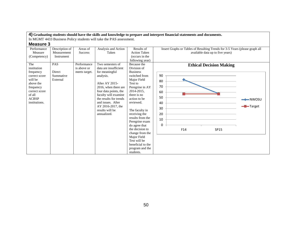In MGMT 4433 Business Policy students will take the PAS assessment.

| Performance                                                                                                                                       | Description of                                | Areas of                                    | Analysis and Action                                                                                                                                                                                                                                                       | Results of                                                                                                                                                                                                                                                                                                                                                                                | Insert Graphs or Tables of Resulting Trends for 3-5 Years (please graph all                              |                                |
|---------------------------------------------------------------------------------------------------------------------------------------------------|-----------------------------------------------|---------------------------------------------|---------------------------------------------------------------------------------------------------------------------------------------------------------------------------------------------------------------------------------------------------------------------------|-------------------------------------------------------------------------------------------------------------------------------------------------------------------------------------------------------------------------------------------------------------------------------------------------------------------------------------------------------------------------------------------|----------------------------------------------------------------------------------------------------------|--------------------------------|
| Measure<br>(Competency)                                                                                                                           | Measurement<br>Instrument                     | <b>Success</b>                              | Taken                                                                                                                                                                                                                                                                     | <b>Action Taken</b><br>(occurs in the<br>following year)                                                                                                                                                                                                                                                                                                                                  | available data up to five years)                                                                         |                                |
| The<br>institution<br>frequency<br>correct score<br>will be<br>above the<br>frequency<br>correct score<br>of all<br><b>ACBSP</b><br>institutions. | <b>PAS</b><br>Direct<br>Summative<br>External | Performance<br>is above or<br>meets target. | Two semesters of<br>data are insufficient<br>for meaningful<br>analysis.<br>After AY 2015-<br>2016, when there are<br>four data points, the<br>faculty will examine<br>the results for trends<br>and issues. After<br>AY 2016-2017, the<br>results will be<br>annualized. | Because the<br>Division of<br><b>Business</b><br>switched from<br>Major Field<br>Test to<br>Peregrine in AY<br>2014-2015,<br>there is no<br>action to be<br>reviewed.<br>The faculty in<br>receiving the<br>results from the<br>Peregrine exam<br>do agree that<br>the decision to<br>change from the<br>Major Field<br>Test will be<br>beneficial to the<br>program and the<br>students. | <b>Ethical Decision Making</b><br>90<br>80<br>70<br>60<br>50<br>40<br>30<br>20<br>10<br>0<br>F14<br>SP15 | $\rightarrow$ NWOSU<br>-Target |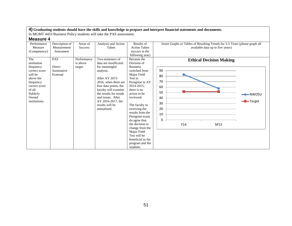In MGMT 4433 Business Policy students will take the PAS assessment.

| <b>Measure 4</b> |  |
|------------------|--|
|------------------|--|

| Performance   | Description of | Areas of       | Analysis and Action    | Results of          | Insert Graphs or Tables of Resulting Trends for 3-5 Years (please graph all |                     |
|---------------|----------------|----------------|------------------------|---------------------|-----------------------------------------------------------------------------|---------------------|
| Measure       | Measurement    | <b>Success</b> | Taken                  | <b>Action Taken</b> | available data up to five years)                                            |                     |
| (Competency)  | Instrument     |                |                        | (occurs in the      |                                                                             |                     |
|               |                |                |                        | following year)     |                                                                             |                     |
| The           | PAS            | Performance    | Two semesters of       | Because the         | <b>Ethical Decision Making</b>                                              |                     |
| institution   |                | is above       | data are insufficient  | Division of         |                                                                             |                     |
| frequency     | Direct         | target.        | for meaningful         | <b>Business</b>     |                                                                             |                     |
| correct score | Summative      |                | analysis.              | switched from       | 90                                                                          |                     |
| will be       | External       |                |                        | Major Field         | 80                                                                          |                     |
| above the     |                |                | After AY 2015-         | Test to             |                                                                             |                     |
| frequency     |                |                | 2016, when there are   | Peregrine in AY     | 70                                                                          |                     |
| correct score |                |                | four data points, the  | 2014-2015,          | 60                                                                          |                     |
| of all        |                |                | faculty will examine   | there is no         |                                                                             |                     |
| Publicly      |                |                | the results for trends | action to be        | 50                                                                          | $\rightarrow$ NWOSU |
| Owned         |                |                | and issues. After      | reviewed.           | 40                                                                          |                     |
| institutions. |                |                | AY 2016-2017, the      |                     | 30                                                                          | -Target             |
|               |                |                | results will be        | The faculty in      |                                                                             |                     |
|               |                |                | annualized.            | receiving the       | 20                                                                          |                     |
|               |                |                |                        | results from the    | 10                                                                          |                     |
|               |                |                |                        | Peregrine exam      |                                                                             |                     |
|               |                |                |                        | do agree that       | 0                                                                           |                     |
|               |                |                |                        | the decision to     | F14<br>SP15                                                                 |                     |
|               |                |                |                        | change from the     |                                                                             |                     |
|               |                |                |                        | Major Field         |                                                                             |                     |
|               |                |                |                        | Test will be        |                                                                             |                     |
|               |                |                |                        | beneficial to the   |                                                                             |                     |
|               |                |                |                        | program and the     |                                                                             |                     |
|               |                |                |                        | students.           |                                                                             |                     |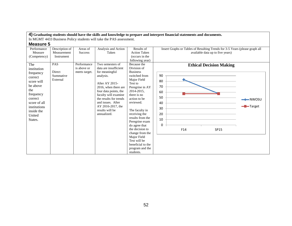In MGMT 4433 Business Policy students will take the PAS assessment.

| Performance                                                                                                                                                            | Description of                                | Areas of                                    | Analysis and Action                                                                                                                                                                                                                                                       | Results of                                                                                                                                                                                                                                                                                                                                                                                | Insert Graphs or Tables of Resulting Trends for 3-5 Years (please graph all                              |                                |
|------------------------------------------------------------------------------------------------------------------------------------------------------------------------|-----------------------------------------------|---------------------------------------------|---------------------------------------------------------------------------------------------------------------------------------------------------------------------------------------------------------------------------------------------------------------------------|-------------------------------------------------------------------------------------------------------------------------------------------------------------------------------------------------------------------------------------------------------------------------------------------------------------------------------------------------------------------------------------------|----------------------------------------------------------------------------------------------------------|--------------------------------|
| Measure<br>(Competency)                                                                                                                                                | Measurement<br>Instrument                     | <b>Success</b>                              | Taken                                                                                                                                                                                                                                                                     | <b>Action Taken</b><br>(occurs in the<br>following year)                                                                                                                                                                                                                                                                                                                                  | available data up to five years)                                                                         |                                |
| The<br>institution<br>frequency<br>correct<br>score will<br>be above<br>the<br>frequency<br>correct<br>score of all<br>institutions<br>inside the<br>United<br>States. | <b>PAS</b><br>Direct<br>Summative<br>External | Performance<br>is above or<br>meets target. | Two semesters of<br>data are insufficient<br>for meaningful<br>analysis.<br>After AY 2015-<br>2016, when there are<br>four data points, the<br>faculty will examine<br>the results for trends<br>and issues. After<br>AY 2016-2017, the<br>results will be<br>annualized. | Because the<br>Division of<br><b>Business</b><br>switched from<br>Major Field<br>Test to<br>Peregrine in AY<br>2014-2015,<br>there is no<br>action to be<br>reviewed.<br>The faculty in<br>receiving the<br>results from the<br>Peregrine exam<br>do agree that<br>the decision to<br>change from the<br>Major Field<br>Test will be<br>beneficial to the<br>program and the<br>students. | <b>Ethical Decision Making</b><br>90<br>80<br>70<br>60<br>50<br>40<br>30<br>20<br>10<br>0<br>F14<br>SP15 | $\rightarrow$ NWOSU<br>-Target |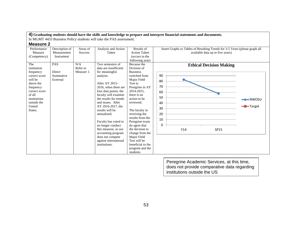In MGMT 4433 Business Policy students will take the PAS assessment.

# **Measure 2**

| 11VUJU V L    |                |                |                        |                     |                                                                             |                     |
|---------------|----------------|----------------|------------------------|---------------------|-----------------------------------------------------------------------------|---------------------|
| Performance   | Description of | Areas of       | Analysis and Action    | Results of          | Insert Graphs or Tables of Resulting Trends for 3-5 Years (please graph all |                     |
| Measure       | Measurement    | <b>Success</b> | Taken                  | <b>Action Taken</b> | available data up to five years)                                            |                     |
| (Competency)  | Instrument     |                |                        | (occurs in the      |                                                                             |                     |
|               |                |                |                        | following year)     |                                                                             |                     |
| The           | PAS            | N/A            | Two semesters of       | Because the         | <b>Ethical Decision Making</b>                                              |                     |
| institution   |                | Refer to       | data are insufficient  | Division of         |                                                                             |                     |
| frequency     | Direct         | Measure 1.     | for meaningful         | <b>Business</b>     |                                                                             |                     |
| correct score | Summative      |                | analysis.              | switched from       | 90                                                                          |                     |
| will be       | External       |                |                        | Major Field         | 80                                                                          |                     |
| above the     |                |                | After AY 2015-         | Test to             |                                                                             |                     |
| frequency     |                |                | 2016, when there are   | Peregrine in AY     | 70                                                                          |                     |
| correct score |                |                | four data points, the  | 2014-2015,          | 60                                                                          |                     |
| of all        |                |                | faculty will examine   | there is no         |                                                                             |                     |
| institutions  |                |                | the results for trends | action to be        | 50                                                                          | $\rightarrow$ NWOSU |
| outside the   |                |                | and issues. After      | reviewed.           | 40                                                                          |                     |
| United        |                |                | AY 2016-2017, the      |                     | 30                                                                          | -Target             |
| States.       |                |                | results will be        | The faculty in      |                                                                             |                     |
|               |                |                | annualized.            | receiving the       | 20                                                                          |                     |
|               |                |                |                        | results from the    | 10                                                                          |                     |
|               |                |                | Faculty has voted to   | Peregrine exam      |                                                                             |                     |
|               |                |                | no longer conduct      | do agree that       | 0                                                                           |                     |
|               |                |                | this measure, as our   | the decision to     | F14<br>SP15                                                                 |                     |
|               |                |                | accounting program     | change from the     |                                                                             |                     |
|               |                |                | does not compete       | Major Field         |                                                                             |                     |
|               |                |                | against international  | Test will be        |                                                                             |                     |
|               |                |                | institutions.          | beneficial to the   |                                                                             |                     |
|               |                |                |                        | program and the     |                                                                             |                     |
|               |                |                |                        | students.           |                                                                             |                     |

Peregrine Academic Services, at this time, does not provide comparative data regarding institutions outside the US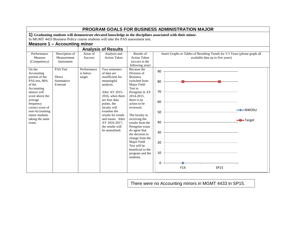|                                                                                                                                                                                                                     |                                                         |                                           |                                                                                                                                                                                                                                                                                    |                                                                                                                                                                                                                                                                                                                                                                            |                                                         | <b>PROGRAM GOALS FOR BUSINESS ADMINISTRATION MAJOR</b>                                                     |                                  |                                    |
|---------------------------------------------------------------------------------------------------------------------------------------------------------------------------------------------------------------------|---------------------------------------------------------|-------------------------------------------|------------------------------------------------------------------------------------------------------------------------------------------------------------------------------------------------------------------------------------------------------------------------------------|----------------------------------------------------------------------------------------------------------------------------------------------------------------------------------------------------------------------------------------------------------------------------------------------------------------------------------------------------------------------------|---------------------------------------------------------|------------------------------------------------------------------------------------------------------------|----------------------------------|------------------------------------|
|                                                                                                                                                                                                                     |                                                         |                                           |                                                                                                                                                                                                                                                                                    |                                                                                                                                                                                                                                                                                                                                                                            |                                                         | 1) Graduating students will demonstrate elevated knowledge in the disciplines associated with their minor. |                                  |                                    |
|                                                                                                                                                                                                                     |                                                         |                                           | In MGMT 4433 Business Policy course students will take the PAS assessment test.                                                                                                                                                                                                    |                                                                                                                                                                                                                                                                                                                                                                            |                                                         |                                                                                                            |                                  |                                    |
|                                                                                                                                                                                                                     | Measure 1 - Accounting minor                            |                                           |                                                                                                                                                                                                                                                                                    |                                                                                                                                                                                                                                                                                                                                                                            |                                                         |                                                                                                            |                                  |                                    |
|                                                                                                                                                                                                                     |                                                         |                                           | <b>Analysis of Results</b>                                                                                                                                                                                                                                                         |                                                                                                                                                                                                                                                                                                                                                                            |                                                         |                                                                                                            |                                  |                                    |
| Performance<br>Measure<br>(Competency)<br>On the                                                                                                                                                                    | Description of<br>Measurement<br>Instrument<br>PAS Test | Areas of<br><b>Success</b><br>Performance | Analysis and<br><b>Action Taken</b>                                                                                                                                                                                                                                                | Results of<br><b>Action Taken</b><br>(occurs in the<br>following year)<br>Because the                                                                                                                                                                                                                                                                                      |                                                         | Insert Graphs or Tables of Resulting Trends for 3-5 Years (please graph all                                | available data up to five years) |                                    |
| Accounting<br>portion of the<br>PAS test, 80%<br>of the<br>Accounting<br>minors will<br>score above the<br>average<br>frequency<br>correct score of<br>non-Accounting<br>minor students<br>taking the same<br>exam. | <b>Direct</b><br>Summative<br>External                  | is below<br>target.                       | Two semesters<br>of data are<br>insufficient for<br>meaningful<br>analysis.<br>After AY 2015-<br>2016, when there<br>are four data<br>points, the<br>faculty will<br>examine the<br>results for trends<br>and issues. After<br>AY 2016-2017,<br>the results will<br>be annualized. | Division of<br><b>Business</b><br>switched from<br>Major Field<br>Test to<br>Peregrine in AY<br>2014-2015,<br>there is no<br>action to be<br>reviewed.<br>The faculty in<br>receiving the<br>results from the<br>Peregrine exam<br>do agree that<br>the decision to<br>change from the<br>Major Field<br>Test will be<br>beneficial to the<br>program and the<br>students. | 90<br>80<br>70<br>60<br>50<br>40<br>30<br>20<br>10<br>0 |                                                                                                            |                                  | $\longrightarrow$ NWOSU<br>-Target |
|                                                                                                                                                                                                                     |                                                         |                                           |                                                                                                                                                                                                                                                                                    |                                                                                                                                                                                                                                                                                                                                                                            |                                                         | F14                                                                                                        | <b>SP15</b>                      |                                    |

There were no Accounting minors in MGMT 4433 in SP15.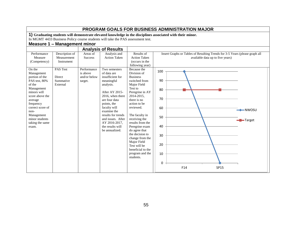|                                                                                                                                                                                                                                   |                                             |                                                    |                                                                                                                                                                                                                                                                                    |                                                                                                                                                                                                                                                                                                                                                                                           | PROGRAM GOALS FOR BUSINESS ADMINISTRATION MAJOR                                                                                                                         |
|-----------------------------------------------------------------------------------------------------------------------------------------------------------------------------------------------------------------------------------|---------------------------------------------|----------------------------------------------------|------------------------------------------------------------------------------------------------------------------------------------------------------------------------------------------------------------------------------------------------------------------------------------|-------------------------------------------------------------------------------------------------------------------------------------------------------------------------------------------------------------------------------------------------------------------------------------------------------------------------------------------------------------------------------------------|-------------------------------------------------------------------------------------------------------------------------------------------------------------------------|
|                                                                                                                                                                                                                                   |                                             |                                                    |                                                                                                                                                                                                                                                                                    |                                                                                                                                                                                                                                                                                                                                                                                           | 1) Graduating students will demonstrate elevated knowledge in the disciplines associated with their minor.                                                              |
|                                                                                                                                                                                                                                   |                                             |                                                    | In MGMT 4433 Business Policy course students will take the PAS assessment test.                                                                                                                                                                                                    |                                                                                                                                                                                                                                                                                                                                                                                           |                                                                                                                                                                         |
|                                                                                                                                                                                                                                   | <b>Measure 1 - Management minor</b>         |                                                    |                                                                                                                                                                                                                                                                                    |                                                                                                                                                                                                                                                                                                                                                                                           |                                                                                                                                                                         |
|                                                                                                                                                                                                                                   |                                             |                                                    | <b>Analysis of Results</b>                                                                                                                                                                                                                                                         |                                                                                                                                                                                                                                                                                                                                                                                           |                                                                                                                                                                         |
| Performance<br>Measure<br>(Competency)                                                                                                                                                                                            | Description of<br>Measurement<br>Instrument | Areas of<br><b>Success</b>                         | Analysis and<br><b>Action Taken</b>                                                                                                                                                                                                                                                | Results of<br><b>Action Taken</b><br>(occurs in the<br>following year)                                                                                                                                                                                                                                                                                                                    | Insert Graphs or Tables of Resulting Trends for 3-5 Years (please graph all<br>available data up to five years)                                                         |
| On the<br>Management<br>portion of the<br>PAS test, 80%<br>of the<br>Management<br>minors will<br>score above the<br>average<br>frequency<br>correct score of<br>non-<br>Management<br>minor students<br>taking the same<br>exam. | PAS Test<br>Direct<br>Summative<br>External | Performance<br>is above<br>and/or below<br>target. | Two semesters<br>of data are<br>insufficient for<br>meaningful<br>analysis.<br>After AY 2015-<br>2016, when there<br>are four data<br>points, the<br>faculty will<br>examine the<br>results for trends<br>and issues. After<br>AY 2016-2017,<br>the results will<br>be annualized. | Because the<br>Division of<br><b>Business</b><br>switched from<br>Major Field<br>Test to<br>Peregrine in AY<br>2014-2015,<br>there is no<br>action to be<br>reviewed.<br>The faculty in<br>receiving the<br>results from the<br>Peregrine exam<br>do agree that<br>the decision to<br>change from the<br>Major Field<br>Test will be<br>beneficial to the<br>program and the<br>students. | 100<br>90<br>80<br>70<br>60<br>$\rightarrow\hspace{-.05cm}\rightarrow\hspace{-.05cm}\mathsf{NWOSU}$<br>50<br>-Target<br>40<br>30<br>20<br>10<br>0<br>F14<br><b>SP15</b> |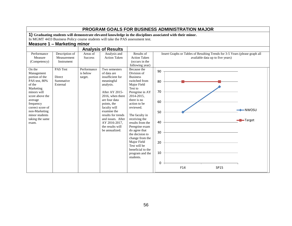|                                                                                                                                                                                                                   | <b>Measure 1 - Marketing minor</b>                      |                                           | PROGRAM GOALS FOR BUSINESS ADMINISTRATION MAJOR<br>1) Graduating students will demonstrate elevated knowledge in the disciplines associated with their minor.<br>In MGMT 4433 Business Policy course students will take the PAS assessment test.                  |                                                                                                                                                                                                                                                                                                                                                                            |                                                   |     |                                                                                                                 |                   |
|-------------------------------------------------------------------------------------------------------------------------------------------------------------------------------------------------------------------|---------------------------------------------------------|-------------------------------------------|-------------------------------------------------------------------------------------------------------------------------------------------------------------------------------------------------------------------------------------------------------------------|----------------------------------------------------------------------------------------------------------------------------------------------------------------------------------------------------------------------------------------------------------------------------------------------------------------------------------------------------------------------------|---------------------------------------------------|-----|-----------------------------------------------------------------------------------------------------------------|-------------------|
| Performance<br>Measure<br>(Competency)<br>On the                                                                                                                                                                  | Description of<br>Measurement<br>Instrument<br>PAS Test | Areas of<br><b>Success</b><br>Performance | <b>Analysis of Results</b><br>Analysis and<br><b>Action Taken</b><br>Two semesters                                                                                                                                                                                | Results of<br><b>Action Taken</b><br>(occurs in the<br>following year)<br>Because the                                                                                                                                                                                                                                                                                      | 90                                                |     | Insert Graphs or Tables of Resulting Trends for 3-5 Years (please graph all<br>available data up to five years) |                   |
| Management<br>portion of the<br>PAS test, 80%<br>of the<br>Marketing<br>minors will<br>score above the<br>average<br>frequency<br>correct score of<br>non-Marketing<br>minor students<br>taking the same<br>exam. | <b>Direct</b><br>Summative<br>External                  | is below<br>target.                       | of data are<br>insufficient for<br>meaningful<br>analysis.<br>After AY 2015-<br>2016, when there<br>are four data<br>points, the<br>faculty will<br>examine the<br>results for trends<br>and issues. After<br>AY 2016-2017,<br>the results will<br>be annualized. | Division of<br><b>Business</b><br>switched from<br>Major Field<br>Test to<br>Peregrine in AY<br>2014-2015,<br>there is no<br>action to be<br>reviewed.<br>The faculty in<br>receiving the<br>results from the<br>Peregrine exam<br>do agree that<br>the decision to<br>change from the<br>Major Field<br>Test will be<br>beneficial to the<br>program and the<br>students. | 80<br>70<br>60<br>50<br>40<br>30<br>20<br>10<br>0 | F14 | SP15                                                                                                            | -NWOSU<br>-Target |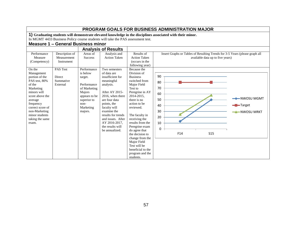|                                                                                                                                                                                                                   | <b>PROGRAM GOALS FOR BUSINESS ADMINISTRATION MAJOR</b>  |                                                                                                                              |                                                                                                                                                                                                                                                                   |                                                                                                                                                                                                                                                                                                                                                                            |                                                                                                                                   |  |  |  |  |
|-------------------------------------------------------------------------------------------------------------------------------------------------------------------------------------------------------------------|---------------------------------------------------------|------------------------------------------------------------------------------------------------------------------------------|-------------------------------------------------------------------------------------------------------------------------------------------------------------------------------------------------------------------------------------------------------------------|----------------------------------------------------------------------------------------------------------------------------------------------------------------------------------------------------------------------------------------------------------------------------------------------------------------------------------------------------------------------------|-----------------------------------------------------------------------------------------------------------------------------------|--|--|--|--|
|                                                                                                                                                                                                                   | <b>Measure 1 - General Business minor</b>               |                                                                                                                              | In MGMT 4433 Business Policy course students will take the PAS assessment test.                                                                                                                                                                                   |                                                                                                                                                                                                                                                                                                                                                                            | 1) Graduating students will demonstrate elevated knowledge in the disciplines associated with their minor.                        |  |  |  |  |
|                                                                                                                                                                                                                   |                                                         |                                                                                                                              | <b>Analysis of Results</b>                                                                                                                                                                                                                                        |                                                                                                                                                                                                                                                                                                                                                                            |                                                                                                                                   |  |  |  |  |
| Performance<br>Measure<br>(Competency)<br>On the                                                                                                                                                                  | Description of<br>Measurement<br>Instrument<br>PAS Test | Areas of<br><b>Success</b><br>Performance                                                                                    | Analysis and<br><b>Action Taken</b><br>Two semesters                                                                                                                                                                                                              | Results of<br><b>Action Taken</b><br>(occurs in the<br>following year)<br>Because the                                                                                                                                                                                                                                                                                      | Insert Graphs or Tables of Resulting Trends for 3-5 Years (please graph all<br>available data up to five years)                   |  |  |  |  |
| Management<br>portion of the<br>PAS test, 80%<br>of the<br>Marketing<br>minors will<br>score above the<br>average<br>frequency<br>correct score of<br>non-Marketing<br>minor students<br>taking the same<br>exam. | Direct<br>Summative<br>External                         | is below<br>target.<br>Performance<br>of Marketing<br>Majors<br>appears to be<br>superior to<br>non-<br>Marketing<br>majors. | of data are<br>insufficient for<br>meaningful<br>analysis.<br>After AY 2015-<br>2016, when there<br>are four data<br>points, the<br>faculty will<br>examine the<br>results for trends<br>and issues. After<br>AY 2016-2017,<br>the results will<br>be annualized. | Division of<br><b>Business</b><br>switched from<br>Major Field<br>Test to<br>Peregrine in AY<br>2014-2015,<br>there is no<br>action to be<br>reviewed.<br>The faculty in<br>receiving the<br>results from the<br>Peregrine exam<br>do agree that<br>the decision to<br>change from the<br>Major Field<br>Test will be<br>beneficial to the<br>program and the<br>students. | 90<br>80<br>70<br>60<br>NWOSU MGMT<br>50<br>-Target<br>40<br>30<br>$\rightarrow$ NWOSU MRKT<br>20<br>10<br>0<br>F14<br><b>S15</b> |  |  |  |  |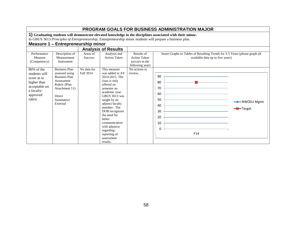|                                                                                                                |                                                                                                                                                                                                                                                                       |                                 |                                                                                                                                                                                                                                                                                                                                  |                                                                        | <b>PROGRAM GOALS FOR BUSINESS ADMINISTRATION MAJOR</b>                                                          |                         |  |  |  |
|----------------------------------------------------------------------------------------------------------------|-----------------------------------------------------------------------------------------------------------------------------------------------------------------------------------------------------------------------------------------------------------------------|---------------------------------|----------------------------------------------------------------------------------------------------------------------------------------------------------------------------------------------------------------------------------------------------------------------------------------------------------------------------------|------------------------------------------------------------------------|-----------------------------------------------------------------------------------------------------------------|-------------------------|--|--|--|
|                                                                                                                | 1) Graduating students will demonstrate elevated knowledge in the disciplines associated with their minor.<br>In GBUS 3613 Principles of Entrepreneurship, Entrepreneurship minor students will prepare a business plan.<br><b>Measure 1 - Entrepreneurship minor</b> |                                 |                                                                                                                                                                                                                                                                                                                                  |                                                                        |                                                                                                                 |                         |  |  |  |
|                                                                                                                |                                                                                                                                                                                                                                                                       |                                 | <b>Analysis of Results</b>                                                                                                                                                                                                                                                                                                       |                                                                        |                                                                                                                 |                         |  |  |  |
| Performance<br>Measure<br>(Competency)                                                                         | Description of<br>Measurement<br>Instrument                                                                                                                                                                                                                           | Areas of<br><b>Success</b>      | Analysis and<br><b>Action Taken</b>                                                                                                                                                                                                                                                                                              | Results of<br><b>Action Taken</b><br>(occurs in the<br>following year) | Insert Graphs or Tables of Resulting Trends for 3-5 Years (please graph all<br>available data up to five years) |                         |  |  |  |
| 80% of the<br>students will<br>score at or<br>higher than<br>acceptable on<br>a faculty-<br>approved<br>rubric | <b>Business Plan</b><br>assessed using<br><b>Business Plan</b><br>Assessment<br>Rubric (Plan<br>Attachment 11)<br>Direct<br>Summative<br>External                                                                                                                     | No data for<br><b>Fall 2014</b> | This measure<br>was added in AY<br>2014-2015. The<br>class is only<br>offered on<br>semester an<br>academic year.<br><b>GBUS 3613</b> was<br>taught by an<br>adjunct faculty<br>member. The<br>DOB recognizes<br>the need for<br>better<br>communication<br>with adjuncts<br>regarding<br>reporting of<br>assessment<br>results. | No actions to<br>review.                                               | 90<br>80<br>70<br>60<br>50<br>40<br>30<br>20<br>10<br>0<br>F14                                                  | → NWOSU Mgmt<br>-Target |  |  |  |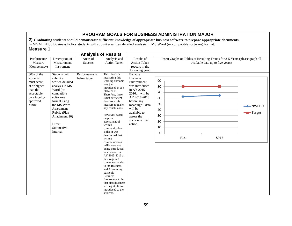### **PROGRAM GOALS FOR BUSINESS ADMINISTRATION MAJOR 2) Graduating students should demonstrate sufficient knowledge of appropriate business software to prepare appropriate documents.** In MGMT 4433 Business Policy students will submit a written detailed analysis in MS Word (or compatible software) format. **Measure 1 Analysis of Results** Performance Measure (Competency) Description of Measurement Instrument Areas of Success Analysis and Action Taken Results of Action Taken (occurs in the following year) Insert Graphs or Tables of Resulting Trends for 3-5 Years (please graph all available data up to five years) 80% of the students must score at or higher than the acceptable on a facultyapproved rubric Students will submit a written detailed analysis in MS Word (or compatible software) format using the MS Word Assessment Rubric (Plan Attachment 10) **Direct** Summative Internal Performance is below target. The rubric for measuring this learning outcome was just introduced in AY 2014-2015. Therefore, there is not sufficient data from this measure to make any conclusions. However, based on prior assessment of written communication skills, it was determined that written communication skills were not being introduced to students. In AY 2015-2016 a new required course was added to the Business and Accounting curricula – Business Environment. In that class business writing skills are introduced to the students. Because Business Environment was introduced in AY 2015- 2016, it will be AY 2017-2018 before any meaningful data will be available to assess the success of this action.  $\Omega$ 10 20 30 40 50 60 70 80 90 F14 SP15  $\longrightarrow$ NWOSU **-B**-Target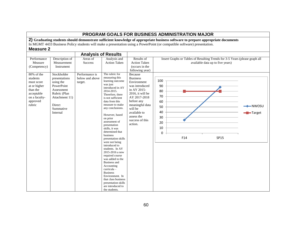|                                                                                | <b>PROGRAM GOALS FOR BUSINESS ADMINISTRATION MAJOR</b>                                                                                                                                                                                                       |                                                                            |                                                                                                                                                                                                                                                                                                                  |                                                                                                                                                                           |                                                                                                                        |                           |  |  |  |
|--------------------------------------------------------------------------------|--------------------------------------------------------------------------------------------------------------------------------------------------------------------------------------------------------------------------------------------------------------|----------------------------------------------------------------------------|------------------------------------------------------------------------------------------------------------------------------------------------------------------------------------------------------------------------------------------------------------------------------------------------------------------|---------------------------------------------------------------------------------------------------------------------------------------------------------------------------|------------------------------------------------------------------------------------------------------------------------|---------------------------|--|--|--|
|                                                                                | 2) Graduating students should demonstrate sufficient knowledge of appropriate business software to prepare appropriate documents<br>In MGMT 4433 Business Policy students will make a presentation using a PowerPoint (or compatible software) presentation. |                                                                            |                                                                                                                                                                                                                                                                                                                  |                                                                                                                                                                           |                                                                                                                        |                           |  |  |  |
|                                                                                |                                                                                                                                                                                                                                                              |                                                                            |                                                                                                                                                                                                                                                                                                                  |                                                                                                                                                                           |                                                                                                                        |                           |  |  |  |
| <b>Measure 2</b>                                                               |                                                                                                                                                                                                                                                              |                                                                            |                                                                                                                                                                                                                                                                                                                  |                                                                                                                                                                           |                                                                                                                        |                           |  |  |  |
|                                                                                |                                                                                                                                                                                                                                                              |                                                                            | <b>Analysis of Results</b>                                                                                                                                                                                                                                                                                       |                                                                                                                                                                           |                                                                                                                        |                           |  |  |  |
| Performance<br>Measure<br>(Competency)<br>80% of the<br>students<br>must score | Description of<br>Measurement<br>Instrument<br>Stockholder<br>presentations<br>using the                                                                                                                                                                     | Areas of<br><b>Success</b><br>Performance is<br>below and above<br>target. | Analysis and<br><b>Action Taken</b><br>The rubric for<br>measuring this<br>learning outcome<br>was just                                                                                                                                                                                                          | Results of<br><b>Action Taken</b><br>(occurs in the<br>following year)<br>Because<br><b>Business</b><br>Environment                                                       | Insert Graphs or Tables of Resulting Trends for 3-5 Years (please graph all<br>available data up to five years)<br>100 |                           |  |  |  |
| at or higher<br>than the<br>acceptable<br>on a faculty-<br>approved<br>rubric  | PowerPoint<br>Assessment<br>Rubric (Plan<br>Attachment 11)<br>Direct<br>Summative<br>Internal                                                                                                                                                                |                                                                            | introduced in AY<br>2014-2015.<br>Therefore, there<br>is not sufficient<br>data from this<br>measure to make<br>any conclusions.<br>However, based<br>on prior<br>assessment of<br>presentation<br>skills, it was<br>determined that<br>business                                                                 | was introduced<br>in AY 2015-<br>2016, it will be<br>AY 2017-2018<br>before any<br>meaningful data<br>will be<br>available to<br>assess the<br>success of this<br>action. | 90<br>80<br>70<br>60<br>50<br>40<br>30<br>20<br>10<br>0                                                                | – NWOSU<br><b>-Target</b> |  |  |  |
|                                                                                |                                                                                                                                                                                                                                                              |                                                                            | presentation skills<br>were not being<br>introduced to<br>students. In AY<br>2015-2016 a new<br>required course<br>was added to the<br><b>Business</b> and<br>Accounting<br>curricula-<br><b>Business</b><br>Environment. In<br>that class business<br>presentation skills<br>are introduced to<br>the students. |                                                                                                                                                                           | F14<br>SP15                                                                                                            |                           |  |  |  |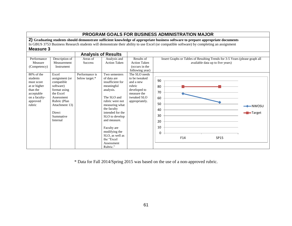|                                                                                                                          |                                                                                                                                                                           |                                  |                                                                                                                                                                                                                                                                                                 |                                                                                                                                          | PROGRAM GOALS FOR BUSINESS ADMINISTRATION MAJOR                                                                                                                                                                                                                              |                                        |
|--------------------------------------------------------------------------------------------------------------------------|---------------------------------------------------------------------------------------------------------------------------------------------------------------------------|----------------------------------|-------------------------------------------------------------------------------------------------------------------------------------------------------------------------------------------------------------------------------------------------------------------------------------------------|------------------------------------------------------------------------------------------------------------------------------------------|------------------------------------------------------------------------------------------------------------------------------------------------------------------------------------------------------------------------------------------------------------------------------|----------------------------------------|
| <b>Measure 3</b>                                                                                                         |                                                                                                                                                                           |                                  |                                                                                                                                                                                                                                                                                                 |                                                                                                                                          | 2) Graduating students should demonstrate sufficient knowledge of appropriate business software to prepare appropriate documents<br>In GBUS 3753 Business Research students will demonstrate their ability to use Excel (or compatible software) by completing an assignment |                                        |
| Performance<br>Measure<br>(Competency)                                                                                   | Description of<br>Measurement<br>Instrument                                                                                                                               | Areas of<br><b>Success</b>       | <b>Analysis of Results</b><br>Analysis and<br><b>Action Taken</b>                                                                                                                                                                                                                               | Results of<br><b>Action Taken</b><br>(occurs in the                                                                                      | Insert Graphs or Tables of Resulting Trends for 3-5 Years (please graph all<br>available data up to five years)                                                                                                                                                              |                                        |
| $80\%$ of the<br>students<br>must score<br>at or higher<br>than the<br>acceptable<br>on a faculty-<br>approved<br>rubric | Excel<br>assignment (or<br>compatible<br>software)<br>format using<br>the Excel<br>Assessment<br>Rubric (Plan<br>Attachment 13)<br><b>Direct</b><br>Summative<br>Internal | Performance is<br>below target.* | Two semesters<br>of data are<br>insufficient for<br>meaningful<br>analysis.<br>The SLO and<br>rubric were not<br>measuring what<br>the faculty<br>intended for the<br>SLO to develop<br>and measure.<br>Faculty are<br>modifying the<br>SLO, as well as<br>the "Excel<br>Assessment<br>Rubric." | following year)<br>The SLO needs<br>to be tweaked<br>and a new<br>rubric<br>developed to<br>measure the<br>tweaked SLO<br>appropriately. | 90<br>80<br>70<br>60<br>50<br>40<br>30<br>20<br>10<br>0<br>F14<br><b>SP15</b>                                                                                                                                                                                                | $\blacktriangleright$ NWOSU<br>-Target |

\* Data for Fall 2014/Spring 2015 was based on the use of a non-approved rubric.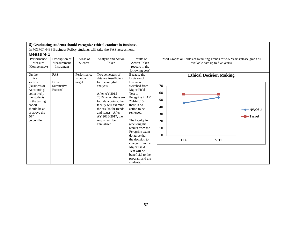| 3) Graduating students should recognize ethical conduct in Business.                                                                                                            |                                                           |                                           |                                                                                                                                                                                                                                                       |                                                                                                                                                                                                                                                                                                                                                                            |                                                                                                                 |                                |  |
|---------------------------------------------------------------------------------------------------------------------------------------------------------------------------------|-----------------------------------------------------------|-------------------------------------------|-------------------------------------------------------------------------------------------------------------------------------------------------------------------------------------------------------------------------------------------------------|----------------------------------------------------------------------------------------------------------------------------------------------------------------------------------------------------------------------------------------------------------------------------------------------------------------------------------------------------------------------------|-----------------------------------------------------------------------------------------------------------------|--------------------------------|--|
|                                                                                                                                                                                 |                                                           |                                           | In MGMT 4433 Business Policy students will take the PAS assessment.                                                                                                                                                                                   |                                                                                                                                                                                                                                                                                                                                                                            |                                                                                                                 |                                |  |
| <b>Measure 1</b>                                                                                                                                                                |                                                           |                                           |                                                                                                                                                                                                                                                       |                                                                                                                                                                                                                                                                                                                                                                            |                                                                                                                 |                                |  |
| Performance<br>Measure<br>(Competency)<br>On the                                                                                                                                | Description of<br>Measurement<br>Instrument<br><b>PAS</b> | Areas of<br><b>Success</b><br>Performance | Analysis and Action<br>Taken<br>Two semesters of                                                                                                                                                                                                      | Results of<br><b>Action Taken</b><br>(occurs in the<br>following year)<br>Because the                                                                                                                                                                                                                                                                                      | Insert Graphs or Tables of Resulting Trends for 3-5 Years (please graph all<br>available data up to five years) |                                |  |
| Ethics<br>section<br>(Business or<br>Accounting)<br>collectively<br>the students<br>in the testing<br>cohort<br>should be at<br>or above the<br>50 <sup>th</sup><br>percentile. | Direct<br>Summative<br>External                           | is below<br>target.                       | data are insufficient<br>for meaningful<br>analysis.<br>After AY 2015-<br>2016, when there are<br>four data points, the<br>faculty will examine<br>the results for trends<br>and issues. After<br>AY 2016-2017, the<br>results will be<br>annualized. | Division of<br><b>Business</b><br>switched from<br>Major Field<br>Test to<br>Peregrine in AY<br>2014-2015.<br>there is no<br>action to be<br>reviewed.<br>The faculty in<br>receiving the<br>results from the<br>Peregrine exam<br>do agree that<br>the decision to<br>change from the<br>Major Field<br>Test will be<br>beneficial to the<br>program and the<br>students. | <b>Ethical Decision Making</b><br>70<br>60<br>50<br>40<br>30<br>20<br>10<br>0<br>F14<br><b>SP15</b>             | $\rightarrow$ NWOSU<br>-Target |  |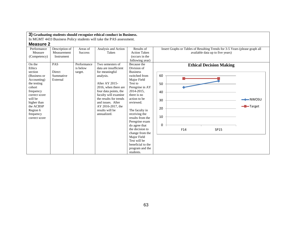In MGMT 4433 Business Policy students will take the PAS assessment.

| Performance   | Description of | Areas of       | Analysis and Action    | Results of          | Insert Graphs or Tables of Resulting Trends for 3-5 Years (please graph all |                     |
|---------------|----------------|----------------|------------------------|---------------------|-----------------------------------------------------------------------------|---------------------|
| Measure       | Measurement    | <b>Success</b> | Taken                  | <b>Action Taken</b> | available data up to five years)                                            |                     |
| (Competency)  | Instrument     |                |                        | (occurs in the      |                                                                             |                     |
|               |                |                |                        | following year)     |                                                                             |                     |
| On the        | <b>PAS</b>     | Performance    | Two semesters of       | Because the         | <b>Ethical Decision Making</b>                                              |                     |
| Ethics        |                | is below       | data are insufficient  | Division of         |                                                                             |                     |
| section       | Direct         | target.        | for meaningful         | <b>Business</b>     |                                                                             |                     |
| (Business or  | Summative      |                | analysis.              | switched from       | 60                                                                          |                     |
| Accounting)   | External       |                |                        | Major Field         |                                                                             |                     |
| the testing   |                |                | After AY 2015-         | Test to             | 50                                                                          |                     |
| cohort        |                |                | 2016, when there are   | Peregrine in AY     |                                                                             |                     |
| frequency     |                |                | four data points, the  | 2014-2015,          | 40                                                                          |                     |
| correct score |                |                | faculty will examine   | there is no         |                                                                             |                     |
| will be       |                |                | the results for trends | action to be        | 30                                                                          | $\rightarrow$ NWOSU |
| higher than   |                |                | and issues. After      | reviewed.           |                                                                             |                     |
| the ACBSP     |                |                | AY 2016-2017, the      |                     | 20                                                                          | Target              |
| Region 6      |                |                | results will be        | The faculty in      |                                                                             |                     |
| frequency     |                |                | annualized.            | receiving the       |                                                                             |                     |
| correct score |                |                |                        | results from the    | 10                                                                          |                     |
|               |                |                |                        | Peregrine exam      |                                                                             |                     |
|               |                |                |                        | do agree that       | 0                                                                           |                     |
|               |                |                |                        | the decision to     | F14<br>SP15                                                                 |                     |
|               |                |                |                        | change from the     |                                                                             |                     |
|               |                |                |                        | Major Field         |                                                                             |                     |
|               |                |                |                        | Test will be        |                                                                             |                     |
|               |                |                |                        | beneficial to the   |                                                                             |                     |
|               |                |                |                        | program and the     |                                                                             |                     |
|               |                |                |                        | students.           |                                                                             |                     |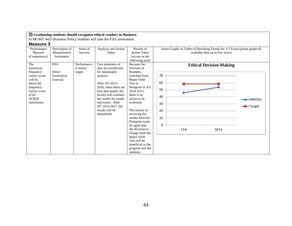In MGMT 4433 Business Policy students will take the PAS assessment.

| Performance<br>Measure                                                                                                                            | Description of<br>Measurement                 | Areas of<br><b>Success</b>         | Analysis and Action<br>Taken                                                                                                                                                                                                                                              | Results of<br><b>Action Taken</b>                                                                                                                                                                                                                                                                                                                                                         | Insert Graphs or Tables of Resulting Trends for 3-5 Years (please graph all<br>available data up to five years)                                  |  |
|---------------------------------------------------------------------------------------------------------------------------------------------------|-----------------------------------------------|------------------------------------|---------------------------------------------------------------------------------------------------------------------------------------------------------------------------------------------------------------------------------------------------------------------------|-------------------------------------------------------------------------------------------------------------------------------------------------------------------------------------------------------------------------------------------------------------------------------------------------------------------------------------------------------------------------------------------|--------------------------------------------------------------------------------------------------------------------------------------------------|--|
| (Competency)                                                                                                                                      | Instrument                                    |                                    |                                                                                                                                                                                                                                                                           | (occurs in the<br>following year)                                                                                                                                                                                                                                                                                                                                                         |                                                                                                                                                  |  |
| The<br>institution<br>frequency<br>correct score<br>will be<br>above the<br>frequency<br>correct score<br>of all<br><b>ACBSP</b><br>institutions. | <b>PAS</b><br>Direct<br>Summative<br>External | Performance<br>is below<br>target. | Two semesters of<br>data are insufficient<br>for meaningful<br>analysis.<br>After AY 2015-<br>2016, when there are<br>four data points, the<br>faculty will examine<br>the results for trends<br>and issues. After<br>AY 2016-2017, the<br>results will be<br>annualized. | Because the<br>Division of<br><b>Business</b><br>switched from<br>Major Field<br>Test to<br>Peregrine in AY<br>2014-2015,<br>there is no<br>action to be<br>reviewed.<br>The faculty in<br>receiving the<br>results from the<br>Peregrine exam<br>do agree that<br>the decision to<br>change from the<br>Major Field<br>Test will be<br>beneficial to the<br>program and the<br>students. | <b>Ethical Decision Making</b><br>70<br>60<br>50<br>40<br>$\rightarrow$ NWOSU<br>30<br>- <b>D</b> -Target<br>20<br>10<br>$\Omega$<br>F14<br>SP15 |  |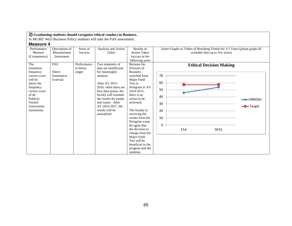In MGMT 4433 Business Policy students will take the PAS assessment.

| Performance<br>Measure<br>(Competency)                                                                                                                                | Description of<br>Measurement<br>Instrument   | Areas of<br><b>Success</b>         | Analysis and Action<br>Taken                                                                                                                                                                                                                                              | Results of<br><b>Action Taken</b><br>(occurs in the<br>following year)                                                                                                                                                                                                                                                                                                                    | Insert Graphs or Tables of Resulting Trends for 3-5 Years (please graph all<br>available data up to five years) |         |
|-----------------------------------------------------------------------------------------------------------------------------------------------------------------------|-----------------------------------------------|------------------------------------|---------------------------------------------------------------------------------------------------------------------------------------------------------------------------------------------------------------------------------------------------------------------------|-------------------------------------------------------------------------------------------------------------------------------------------------------------------------------------------------------------------------------------------------------------------------------------------------------------------------------------------------------------------------------------------|-----------------------------------------------------------------------------------------------------------------|---------|
| The<br>institution<br>frequency<br>correct score<br>will be<br>above the<br>frequency<br>correct score<br>of all<br>Publicly<br>Owned<br>Universities<br>institutions | <b>PAS</b><br>Direct<br>Summative<br>External | Performance<br>is below<br>target. | Two semesters of<br>data are insufficient<br>for meaningful<br>analysis.<br>After AY 2015-<br>2016, when there are<br>four data points, the<br>faculty will examine<br>the results for trends<br>and issues. After<br>AY 2016-2017, the<br>results will be<br>annualized. | Because the<br>Division of<br><b>Business</b><br>switched from<br>Major Field<br>Test to<br>Peregrine in AY<br>2014-2015,<br>there is no<br>action to be<br>reviewed.<br>The faculty in<br>receiving the<br>results from the<br>Peregrine exam<br>do agree that<br>the decision to<br>change from the<br>Major Field<br>Test will be<br>beneficial to the<br>program and the<br>students. | <b>Ethical Decision Making</b><br>70<br>60<br>50<br>40<br>30<br>20<br>10<br>0<br>F14<br>SP15                    | -Target |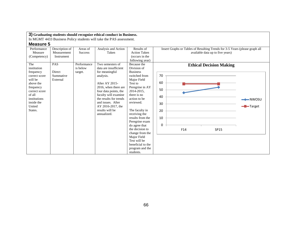In MGMT 4433 Business Policy students will take the PAS assessment.

| Performance<br>Measure<br>(Competency)                                                                                                                              | Description of<br>Measurement<br>Instrument   | Areas of<br><b>Success</b>         | Analysis and Action<br>Taken                                                                                                                                                                                                                                              | Results of<br><b>Action Taken</b><br>(occurs in the<br>following year)                                                                                                                                                                                                                                                                                                                    | Insert Graphs or Tables of Resulting Trends for 3-5 Years (please graph all<br>available data up to five years) |         |
|---------------------------------------------------------------------------------------------------------------------------------------------------------------------|-----------------------------------------------|------------------------------------|---------------------------------------------------------------------------------------------------------------------------------------------------------------------------------------------------------------------------------------------------------------------------|-------------------------------------------------------------------------------------------------------------------------------------------------------------------------------------------------------------------------------------------------------------------------------------------------------------------------------------------------------------------------------------------|-----------------------------------------------------------------------------------------------------------------|---------|
| The<br>institution<br>frequency<br>correct score<br>will be<br>above the<br>frequency<br>correct score<br>of all<br>institutions<br>inside the<br>United<br>States. | <b>PAS</b><br>Direct<br>Summative<br>External | Performance<br>is below<br>target. | Two semesters of<br>data are insufficient<br>for meaningful<br>analysis.<br>After AY 2015-<br>2016, when there are<br>four data points, the<br>faculty will examine<br>the results for trends<br>and issues. After<br>AY 2016-2017, the<br>results will be<br>annualized. | Because the<br>Division of<br><b>Business</b><br>switched from<br>Major Field<br>Test to<br>Peregrine in AY<br>2014-2015,<br>there is no<br>action to be<br>reviewed.<br>The faculty in<br>receiving the<br>results from the<br>Peregrine exam<br>do agree that<br>the decision to<br>change from the<br>Major Field<br>Test will be<br>beneficial to the<br>program and the<br>students. | <b>Ethical Decision Making</b><br>70<br>60<br>50<br>40<br>30<br>20<br>10<br>0<br>F14<br>SP15                    | -Target |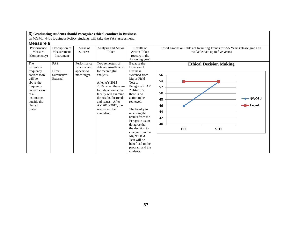In MGMT 4433 Business Policy students will take the PAS assessment.

| Performance<br>Measure<br>(Competency)                                                                                                                               | Description of<br>Measurement<br>Instrument | Areas of<br><b>Success</b>                                | Analysis and Action<br>Taken                                                                                                                                                                                                                                              | Results of<br><b>Action Taken</b><br>(occurs in the<br>following year)                                                                                                                                                                                                                                                                                                                    | Insert Graphs or Tables of Resulting Trends for 3-5 Years (please graph all<br>available data up to five years)                                     |  |
|----------------------------------------------------------------------------------------------------------------------------------------------------------------------|---------------------------------------------|-----------------------------------------------------------|---------------------------------------------------------------------------------------------------------------------------------------------------------------------------------------------------------------------------------------------------------------------------|-------------------------------------------------------------------------------------------------------------------------------------------------------------------------------------------------------------------------------------------------------------------------------------------------------------------------------------------------------------------------------------------|-----------------------------------------------------------------------------------------------------------------------------------------------------|--|
| The<br>institution<br>frequency<br>correct score<br>will be<br>above the<br>frequency<br>correct score<br>of all<br>institutions<br>outside the<br>United<br>States. | PAS<br>Direct<br>Summative<br>External      | Performance<br>is below and<br>appears to<br>meet target. | Two semesters of<br>data are insufficient<br>for meaningful<br>analysis.<br>After AY 2015-<br>2016, when there are<br>four data points, the<br>faculty will examine<br>the results for trends<br>and issues. After<br>AY 2016-2017, the<br>results will be<br>annualized. | Because the<br>Division of<br><b>Business</b><br>switched from<br>Major Field<br>Test to<br>Peregrine in AY<br>2014-2015,<br>there is no<br>action to be<br>reviewed.<br>The faculty in<br>receiving the<br>results from the<br>Peregrine exam<br>do agree that<br>the decision to<br>change from the<br>Major Field<br>Test will be<br>beneficial to the<br>program and the<br>students. | <b>Ethical Decision Making</b><br>56<br>54<br>52<br>50<br>$\rightarrow$ NWOSU<br>48<br>46<br>$\blacksquare$ Target<br>44<br>42<br>40<br>F14<br>SP15 |  |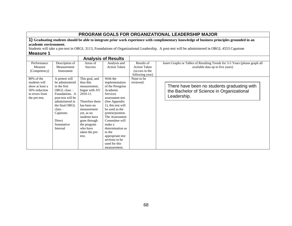# **PROGRAM GOALS FOR ORGANIZATIONAL LEADERSHIP MAJOR**

**1) Graduating students should be able to integrate prior work experience with complimentary knowledge of business principles grounded in an academic environment.**

Students will take a pre-test in ORGL 3113, Foundations of Organizational Leadership. A post-test will be administered in ORGL 4553 Capstone

| <b>Measure 1</b> |  |
|------------------|--|
|------------------|--|

|                                                                                                    |                                                                                                                                                                                                                |                                                                                                                                                                                                                                | <b>Analysis of Results</b>                                                                                                                                                                                                                                                                                                  |                                                                        |                                                                                                                 |
|----------------------------------------------------------------------------------------------------|----------------------------------------------------------------------------------------------------------------------------------------------------------------------------------------------------------------|--------------------------------------------------------------------------------------------------------------------------------------------------------------------------------------------------------------------------------|-----------------------------------------------------------------------------------------------------------------------------------------------------------------------------------------------------------------------------------------------------------------------------------------------------------------------------|------------------------------------------------------------------------|-----------------------------------------------------------------------------------------------------------------|
| Performance<br>Measure<br>(Competency)                                                             | Description of<br>Measurement<br>Instrument                                                                                                                                                                    | Areas of<br><b>Success</b>                                                                                                                                                                                                     | Analysis and<br><b>Action Taken</b>                                                                                                                                                                                                                                                                                         | Results of<br><b>Action Taken</b><br>(occurs in the<br>following year) | Insert Graphs or Tables of Resulting Trends for 3-5 Years (please graph all<br>available data up to five years) |
| 80% of the<br>students will<br>show at least a<br>50% reduction<br>in errors from<br>the pre-test. | A pretest will<br>be administered<br>in the first<br>$ORGL$ class $-$<br>Foundations. A<br>post-test will be<br>administered in<br>the final ORGL<br>$class -$<br>Capstone.<br>Direct<br>Summative<br>Internal | This goal, and<br>thus this<br>measurement.<br>began with AY<br>2010-11.<br>Therefore there<br>has been no<br>measurement<br>yet, as no<br>students have<br>gone through<br>the program<br>who have<br>taken the pre-<br>test. | With the<br>implementation<br>of the Peregrine<br>Academic<br>Services<br>assessment test<br>(See Appendix)<br>1), this test will<br>be used as the<br>pretest/posttest.<br>The Assessment<br>Committee will<br>make a<br>determination as<br>to the<br>appropriate test<br>sections to be<br>used for this<br>measurement. | None to be<br>reviewed.                                                | There have been no students graduating with<br>the Bachelor of Science in Organizational<br>Leadership.         |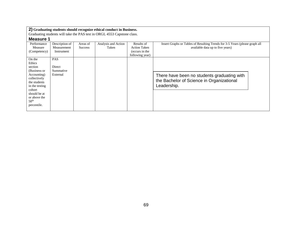Graduating students will take the PAS test in ORGL 4553 Capstone class.

| <b>INICASULE</b> I |                |                |                     |                     |                                                                             |
|--------------------|----------------|----------------|---------------------|---------------------|-----------------------------------------------------------------------------|
| Performance        | Description of | Areas of       | Analysis and Action | Results of          | Insert Graphs or Tables of Resulting Trends for 3-5 Years (please graph all |
| Measure            | Measurement    | <b>Success</b> | Taken               | <b>Action Taken</b> | available data up to five years)                                            |
| (Competency)       | Instrument     |                |                     | (occurs in the      |                                                                             |
|                    |                |                |                     | following year)     |                                                                             |
| On the             | <b>PAS</b>     |                |                     |                     |                                                                             |
| Ethics             |                |                |                     |                     |                                                                             |
| section            | Direct         |                |                     |                     |                                                                             |
| (Business or       | Summative      |                |                     |                     |                                                                             |
| Accounting)        | External       |                |                     |                     | There have been no students graduating with                                 |
| collectively       |                |                |                     |                     | the Bachelor of Science in Organizational                                   |
| the students       |                |                |                     |                     |                                                                             |
| in the testing     |                |                |                     |                     | Leadership.                                                                 |
| cohort             |                |                |                     |                     |                                                                             |
| should be at       |                |                |                     |                     |                                                                             |
| or above the       |                |                |                     |                     |                                                                             |
| 50 <sup>th</sup>   |                |                |                     |                     |                                                                             |
| percentile.        |                |                |                     |                     |                                                                             |
|                    |                |                |                     |                     |                                                                             |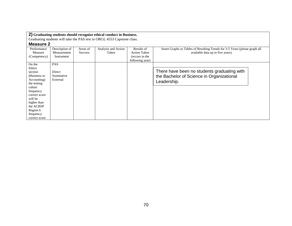Graduating students will take the PAS test in ORGL 4553 Capstone class.

| Performance<br>Measure | Description of<br>Measurement | Areas of<br><b>Success</b> | Analysis and Action<br>Taken | Results of<br><b>Action Taken</b> | Insert Graphs or Tables of Resulting Trends for 3-5 Years (please graph all<br>available data up to five years) |
|------------------------|-------------------------------|----------------------------|------------------------------|-----------------------------------|-----------------------------------------------------------------------------------------------------------------|
| (Competency)           | Instrument                    |                            |                              | (occurs in the                    |                                                                                                                 |
|                        |                               |                            |                              | following year)                   |                                                                                                                 |
| On the                 | <b>PAS</b>                    |                            |                              |                                   |                                                                                                                 |
| Ethics                 |                               |                            |                              |                                   |                                                                                                                 |
| section                | Direct                        |                            |                              |                                   | There have been no students graduating with                                                                     |
| (Business or           | Summative                     |                            |                              |                                   | the Bachelor of Science in Organizational                                                                       |
| Accounting)            | External                      |                            |                              |                                   | Leadership.                                                                                                     |
| the testing            |                               |                            |                              |                                   |                                                                                                                 |
| cohort                 |                               |                            |                              |                                   |                                                                                                                 |
| frequency              |                               |                            |                              |                                   |                                                                                                                 |
| correct score          |                               |                            |                              |                                   |                                                                                                                 |
| will be                |                               |                            |                              |                                   |                                                                                                                 |
| higher than            |                               |                            |                              |                                   |                                                                                                                 |
| the ACBSP              |                               |                            |                              |                                   |                                                                                                                 |
| Region 6               |                               |                            |                              |                                   |                                                                                                                 |
| frequency              |                               |                            |                              |                                   |                                                                                                                 |
| correct score          |                               |                            |                              |                                   |                                                                                                                 |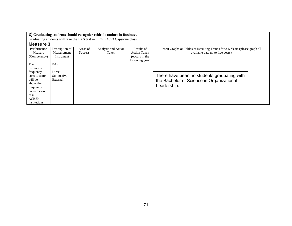Graduating students will take the PAS test in ORGL 4553 Capstone class.

| Performance   | Description of | Areas of       | Analysis and Action | Results of          | Insert Graphs or Tables of Resulting Trends for 3-5 Years (please graph all |
|---------------|----------------|----------------|---------------------|---------------------|-----------------------------------------------------------------------------|
| Measure       | Measurement    | <b>Success</b> | Taken               | <b>Action Taken</b> | available data up to five years)                                            |
| (Competency)  | Instrument     |                |                     | (occurs in the      |                                                                             |
|               |                |                |                     | following year)     |                                                                             |
| The           | <b>PAS</b>     |                |                     |                     |                                                                             |
| institution   |                |                |                     |                     |                                                                             |
| frequency     | Direct         |                |                     |                     |                                                                             |
| correct score | Summative      |                |                     |                     | There have been no students graduating with                                 |
| will be       | External       |                |                     |                     | the Bachelor of Science in Organizational                                   |
| above the     |                |                |                     |                     |                                                                             |
| frequency     |                |                |                     |                     | Leadership.                                                                 |
| correct score |                |                |                     |                     |                                                                             |
| of all        |                |                |                     |                     |                                                                             |
| <b>ACBSP</b>  |                |                |                     |                     |                                                                             |
| institutions. |                |                |                     |                     |                                                                             |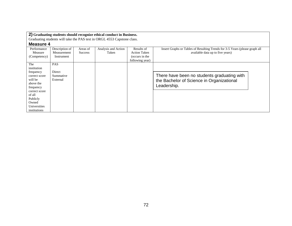Graduating students will take the PAS test in ORGL 4553 Capstone class.

| Performance   | Description of | Areas of       | Analysis and Action | Results of          | Insert Graphs or Tables of Resulting Trends for 3-5 Years (please graph all |
|---------------|----------------|----------------|---------------------|---------------------|-----------------------------------------------------------------------------|
| Measure       | Measurement    | <b>Success</b> | Taken               | <b>Action Taken</b> | available data up to five years)                                            |
| (Competency)  | Instrument     |                |                     | (occurs in the      |                                                                             |
|               |                |                |                     | following year)     |                                                                             |
| The           | <b>PAS</b>     |                |                     |                     |                                                                             |
| institution   |                |                |                     |                     |                                                                             |
| frequency     | Direct         |                |                     |                     |                                                                             |
| correct score | Summative      |                |                     |                     | There have been no students graduating with                                 |
| will be       | External       |                |                     |                     | the Bachelor of Science in Organizational                                   |
| above the     |                |                |                     |                     |                                                                             |
| frequency     |                |                |                     |                     | Leadership.                                                                 |
| correct score |                |                |                     |                     |                                                                             |
| of all        |                |                |                     |                     |                                                                             |
| Publicly      |                |                |                     |                     |                                                                             |
| Owned         |                |                |                     |                     |                                                                             |
| Universities  |                |                |                     |                     |                                                                             |
| institutions  |                |                |                     |                     |                                                                             |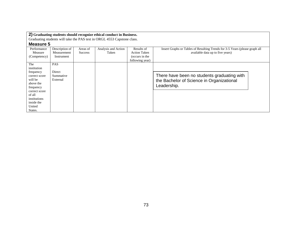Graduating students will take the PAS test in ORGL 4553 Capstone class.

| Performance   | Description of | Areas of       | Analysis and Action | Results of          | Insert Graphs or Tables of Resulting Trends for 3-5 Years (please graph all |
|---------------|----------------|----------------|---------------------|---------------------|-----------------------------------------------------------------------------|
| Measure       | Measurement    | <b>Success</b> | Taken               | <b>Action Taken</b> | available data up to five years)                                            |
| (Competency)  | Instrument     |                |                     | (occurs in the      |                                                                             |
|               |                |                |                     | following year)     |                                                                             |
| The           | <b>PAS</b>     |                |                     |                     |                                                                             |
| institution   |                |                |                     |                     |                                                                             |
| frequency     | Direct         |                |                     |                     |                                                                             |
| correct score | Summative      |                |                     |                     | There have been no students graduating with                                 |
| will be       | External       |                |                     |                     | the Bachelor of Science in Organizational                                   |
| above the     |                |                |                     |                     |                                                                             |
| frequency     |                |                |                     |                     | Leadership.                                                                 |
| correct score |                |                |                     |                     |                                                                             |
| of all        |                |                |                     |                     |                                                                             |
| institutions  |                |                |                     |                     |                                                                             |
| inside the    |                |                |                     |                     |                                                                             |
| United        |                |                |                     |                     |                                                                             |
| States.       |                |                |                     |                     |                                                                             |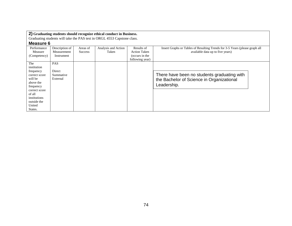Graduating students will take the PAS test in ORGL 4553 Capstone class.

| Performance   | Description of | Areas of       | Analysis and Action | Results of          | Insert Graphs or Tables of Resulting Trends for 3-5 Years (please graph all |
|---------------|----------------|----------------|---------------------|---------------------|-----------------------------------------------------------------------------|
| Measure       | Measurement    | <b>Success</b> | Taken               | <b>Action Taken</b> | available data up to five years)                                            |
| (Competency)  | Instrument     |                |                     | (occurs in the      |                                                                             |
|               |                |                |                     | following year)     |                                                                             |
| The           | <b>PAS</b>     |                |                     |                     |                                                                             |
| institution   |                |                |                     |                     |                                                                             |
| frequency     | Direct         |                |                     |                     |                                                                             |
| correct score | Summative      |                |                     |                     | There have been no students graduating with                                 |
| will be       | External       |                |                     |                     | the Bachelor of Science in Organizational                                   |
| above the     |                |                |                     |                     | Leadership.                                                                 |
| frequency     |                |                |                     |                     |                                                                             |
| correct score |                |                |                     |                     |                                                                             |
| of all        |                |                |                     |                     |                                                                             |
| institutions  |                |                |                     |                     |                                                                             |
| outside the   |                |                |                     |                     |                                                                             |
| United        |                |                |                     |                     |                                                                             |
| States.       |                |                |                     |                     |                                                                             |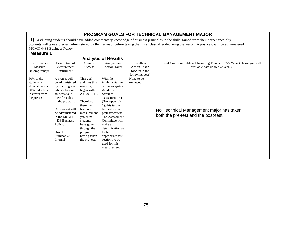### **PROGRAM GOALS FOR TECHNICAL MANAGEMENT MAJOR**

**1)** Graduating students should have added commentary knowledge of business principles to the skills gained from their career specialty. Students will take a pre-test administered by their advisor before taking their first class after declaring the major. A post-test will be administered in MGMT 4433 Business Policy.

|                                                                                      |                                                                                                                                                                                                                                          |                                                                                                                                                                                                              | <b>Analysis of Results</b>                                                                                                                                                                                                                                                                                      |                                                                                      |                                                                                                                 |
|--------------------------------------------------------------------------------------|------------------------------------------------------------------------------------------------------------------------------------------------------------------------------------------------------------------------------------------|--------------------------------------------------------------------------------------------------------------------------------------------------------------------------------------------------------------|-----------------------------------------------------------------------------------------------------------------------------------------------------------------------------------------------------------------------------------------------------------------------------------------------------------------|--------------------------------------------------------------------------------------|-----------------------------------------------------------------------------------------------------------------|
| Performance<br>Measure<br>(Competency)<br>80% of the                                 | Description of<br>Measurement<br>Instrument<br>A pretest will                                                                                                                                                                            | Areas of<br>Success<br>This goal,                                                                                                                                                                            | Analysis and<br><b>Action Taken</b><br>With the                                                                                                                                                                                                                                                                 | Results of<br><b>Action Taken</b><br>(occurs in the<br>following year)<br>None to be | Insert Graphs or Tables of Resulting Trends for 3-5 Years (please graph all<br>available data up to five years) |
| students will<br>show at least a<br>50% reduction<br>in errors from<br>the pre-test. | be administered<br>by the program<br>advisor before<br>students take<br>their first class<br>in the program.<br>A post-test will<br>be administered<br>in the MGMT<br>4433 Business<br>Policy.<br><b>Direct</b><br>Summative<br>Internal | and thus this<br>measure,<br>began with<br>AY 2010-11.<br>Therefore<br>there has<br>been no<br>measurement<br>yet, as no<br>students<br>have gone<br>through the<br>program<br>having taken<br>the pre-test. | implementation<br>of the Peregrine<br>Academic<br>Services<br>assessment test<br>(See Appendix)<br>1), this test will<br>be used as the<br>pretest/posttest.<br>The Assessment<br>Committee will<br>make a<br>determination as<br>to the<br>appropriate test<br>sections to be<br>used for this<br>measurement. | reviewed.                                                                            | No Technical Management major has taken<br>both the pre-test and the post-test.                                 |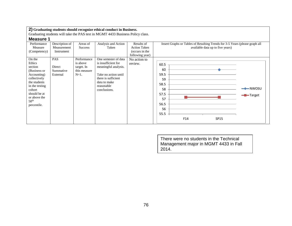Graduating students will take the PAS test in MGMT 4433 Business Policy class.

## **Measure 1**

| INGUJULU I                                                                                                                                                                                |                                               |                                                                  |                                                                                                                                                                  |                                            |                                                                                                                             |
|-------------------------------------------------------------------------------------------------------------------------------------------------------------------------------------------|-----------------------------------------------|------------------------------------------------------------------|------------------------------------------------------------------------------------------------------------------------------------------------------------------|--------------------------------------------|-----------------------------------------------------------------------------------------------------------------------------|
| Performance<br>Measure                                                                                                                                                                    | Description of<br>Measurement                 | Areas of<br>Success                                              | Analysis and Action<br>Taken                                                                                                                                     | Results of<br><b>Action Taken</b>          | Insert Graphs or Tables of Resulting Trends for 3-5 Years (please graph all<br>available data up to five years)             |
| (Competency)                                                                                                                                                                              | Instrument                                    |                                                                  |                                                                                                                                                                  | (occurs in the                             |                                                                                                                             |
| On the<br>Ethics<br>section<br>(Business or<br>Accounting)<br>collectively<br>the students<br>in the testing<br>cohort<br>should be at<br>or above the<br>50 <sup>th</sup><br>percentile. | <b>PAS</b><br>Direct<br>Summative<br>External | Performance<br>is above<br>target. In<br>this measure<br>$N=1$ . | One semester of data<br>is insufficient for<br>meaningful analysis.<br>Take no action until<br>there is sufficient<br>data to make<br>reasonable<br>conclusions. | following year)<br>No action to<br>review. | 60.5<br>60<br>59.5<br>59<br>58.5<br>$\rightarrow$ NWOSU<br>58<br>57.5<br>-Target<br>57<br>56.5<br>56<br>55.5<br>F14<br>SP15 |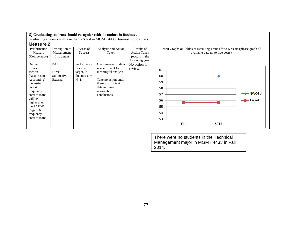Graduating students will take the PAS test in MGMT 4433 Business Policy class.

### **Measure 2**

| Performance<br>Measure<br>(Competency)                                                                                                                                                             | Description of<br>Measurement<br>Instrument   | Areas of<br><b>Success</b>                                       | Analysis and Action<br>Taken                                                                                                                                     | Results of<br><b>Action Taken</b><br>(occurs in the<br>following year) | Insert Graphs or Tables of Resulting Trends for 3-5 Years (please graph all<br>available data up to five years) |
|----------------------------------------------------------------------------------------------------------------------------------------------------------------------------------------------------|-----------------------------------------------|------------------------------------------------------------------|------------------------------------------------------------------------------------------------------------------------------------------------------------------|------------------------------------------------------------------------|-----------------------------------------------------------------------------------------------------------------|
| On the<br>Ethics<br>section<br>(Business or<br>Accounting)<br>the testing<br>cohort<br>frequency<br>correct score<br>will be<br>higher than<br>the ACBSP<br>Region 6<br>frequency<br>correct score | <b>PAS</b><br>Direct<br>Summative<br>External | Performance<br>is above<br>target. In<br>this measure<br>$N=1$ . | One semester of data<br>is insufficient for<br>meaningful analysis.<br>Take no action until<br>there is sufficient<br>data to make<br>reasonable<br>conclusions. | No action to<br>review.                                                | 61<br>60<br>59<br>58<br>$\rightarrow$ NWOSU<br>57<br>-Target<br>56<br>55<br>54<br>53<br>F14<br>SP15             |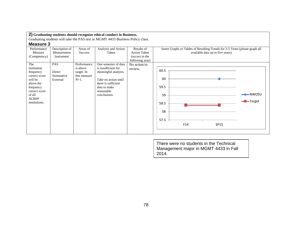Graduating students will take the PAS test in MGMT 4433 Business Policy class.

### **Measure 3**

| Performance   | Description of | Areas of       | Analysis and Action  | Results of          |      | Insert Graphs or Tables of Resulting Trends for 3-5 Years (please graph all |                                  |                     |
|---------------|----------------|----------------|----------------------|---------------------|------|-----------------------------------------------------------------------------|----------------------------------|---------------------|
| Measure       | Measurement    | <b>Success</b> | Taken                | <b>Action Taken</b> |      |                                                                             | available data up to five years) |                     |
| (Competency)  | Instrument     |                |                      | (occurs in the      |      |                                                                             |                                  |                     |
|               |                |                |                      | following year)     |      |                                                                             |                                  |                     |
| The           | PAS            | Performance    | One semester of data | No action to        |      |                                                                             |                                  |                     |
| institution   |                | is above       | is insufficient for  | review.             |      |                                                                             |                                  |                     |
| frequency     | Direct         | target. In     | meaningful analysis. |                     | 60.5 |                                                                             |                                  |                     |
| correct score | Summative      | this measure   |                      |                     |      |                                                                             |                                  |                     |
| will be       | External       | $N=1$ .        | Take no action until |                     | 60   |                                                                             |                                  |                     |
| above the     |                |                | there is sufficient  |                     |      |                                                                             |                                  |                     |
| frequency     |                |                | data to make         |                     | 59.5 |                                                                             |                                  |                     |
| correct score |                |                | reasonable           |                     |      |                                                                             |                                  |                     |
| of all        |                |                | conclusions.         |                     | 59   |                                                                             |                                  | $\rightarrow$ NWOSU |
| <b>ACBSP</b>  |                |                |                      |                     |      |                                                                             |                                  |                     |
| institutions. |                |                |                      |                     | 58.5 |                                                                             |                                  | $\leftarrow$ Target |
|               |                |                |                      |                     |      |                                                                             |                                  |                     |
|               |                |                |                      |                     | 58   |                                                                             |                                  |                     |
|               |                |                |                      |                     |      |                                                                             |                                  |                     |
|               |                |                |                      |                     | 57.5 |                                                                             |                                  |                     |
|               |                |                |                      |                     |      |                                                                             |                                  |                     |
|               |                |                |                      |                     |      | F14                                                                         | SP15                             |                     |
|               |                |                |                      |                     |      |                                                                             |                                  |                     |
|               |                |                |                      |                     |      |                                                                             |                                  |                     |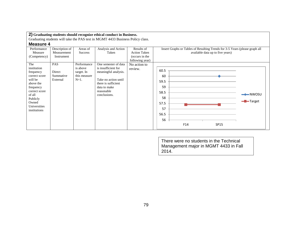Graduating students will take the PAS test in MGMT 4433 Business Policy class.

### **Measure 4**

| Performance                                                                                                                                                           | Description of                         | Areas of                                                         | Analysis and Action                                                                                                                                              | Results of                        | Insert Graphs or Tables of Resulting Trends for 3-5 Years (please graph all                  |
|-----------------------------------------------------------------------------------------------------------------------------------------------------------------------|----------------------------------------|------------------------------------------------------------------|------------------------------------------------------------------------------------------------------------------------------------------------------------------|-----------------------------------|----------------------------------------------------------------------------------------------|
| Measure                                                                                                                                                               | Measurement                            | Success                                                          | Taken                                                                                                                                                            | <b>Action Taken</b>               | available data up to five years)                                                             |
| (Competency)                                                                                                                                                          | Instrument                             |                                                                  |                                                                                                                                                                  | (occurs in the<br>following year) |                                                                                              |
| The<br>institution<br>frequency<br>correct score<br>will be<br>above the<br>frequency<br>correct score<br>of all<br>Publicly<br>Owned<br>Universities<br>institutions | PAS<br>Direct<br>Summative<br>External | Performance<br>is above<br>target. In<br>this measure<br>$N=1$ . | One semester of data<br>is insufficient for<br>meaningful analysis.<br>Take no action until<br>there is sufficient<br>data to make<br>reasonable<br>conclusions. | No action to<br>review.           | 60.5<br>60<br>59.5<br>59<br>58.5<br>58<br>-Target<br>57.5<br>57<br>56.5<br>56<br>F14<br>SP15 |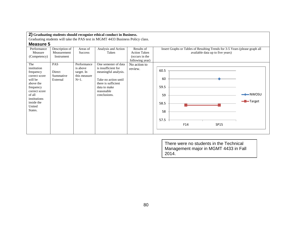Graduating students will take the PAS test in MGMT 4433 Business Policy class.

### **Measure 5**

| Performance   | Description of | Areas of       | Analysis and Action  | Results of          | Insert Graphs or Tables of Resulting Trends for 3-5 Years (please graph all       |
|---------------|----------------|----------------|----------------------|---------------------|-----------------------------------------------------------------------------------|
| Measure       | Measurement    | <b>Success</b> | Taken                | <b>Action Taken</b> | available data up to five years)                                                  |
| (Competency)  | Instrument     |                |                      | (occurs in the      |                                                                                   |
|               |                |                |                      | following year)     |                                                                                   |
| The           | PAS            | Performance    | One semester of data | No action to        |                                                                                   |
| institution   |                | is above       | is insufficient for  | review.             |                                                                                   |
| frequency     | Direct         | target. In     | meaningful analysis. |                     | 60.5                                                                              |
| correct score | Summative      | this measure   |                      |                     |                                                                                   |
| will be       | External       | $N=1$ .        | Take no action until |                     | 60                                                                                |
| above the     |                |                | there is sufficient  |                     |                                                                                   |
| frequency     |                |                | data to make         |                     | 59.5                                                                              |
| correct score |                |                | reasonable           |                     |                                                                                   |
| of all        |                |                | conclusions.         |                     | $\rightarrow\hspace{-.05cm}\rightarrow\hspace{-.05cm}\longrightarrow$ NWOSU<br>59 |
| institutions  |                |                |                      |                     | -Target                                                                           |
| inside the    |                |                |                      |                     | 58.5                                                                              |
| United        |                |                |                      |                     |                                                                                   |
| States.       |                |                |                      |                     | 58                                                                                |
|               |                |                |                      |                     |                                                                                   |
|               |                |                |                      |                     | 57.5                                                                              |
|               |                |                |                      |                     | F14<br>SP15                                                                       |
|               |                |                |                      |                     |                                                                                   |
|               |                |                |                      |                     |                                                                                   |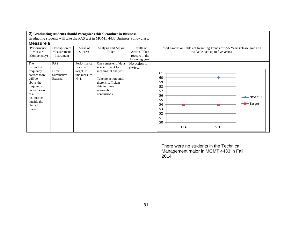Graduating students will take the PAS test in MGMT 4433 Business Policy class.

## **Measure 6**

| Performance<br>Measure                                                                                                                                               | Description of<br>Measurement          | Areas of<br>Success                                              | Analysis and Action<br>Taken                                                                                                                                     | Results of<br><b>Action Taken</b> | Insert Graphs or Tables of Resulting Trends for 3-5 Years (please graph all<br>available data up to five years)                   |
|----------------------------------------------------------------------------------------------------------------------------------------------------------------------|----------------------------------------|------------------------------------------------------------------|------------------------------------------------------------------------------------------------------------------------------------------------------------------|-----------------------------------|-----------------------------------------------------------------------------------------------------------------------------------|
| (Competency)                                                                                                                                                         | Instrument                             |                                                                  |                                                                                                                                                                  | (occurs in the<br>following year) |                                                                                                                                   |
| The<br>institution<br>frequency<br>correct score<br>will be<br>above the<br>frequency<br>correct score<br>of all<br>institutions<br>outside the<br>United<br>States. | PAS<br>Direct<br>Summative<br>External | Performance<br>is above<br>target. In<br>this measure<br>$N=1$ . | One semester of data<br>is insufficient for<br>meaningful analysis.<br>Take no action until<br>there is sufficient<br>data to make<br>reasonable<br>conclusions. | No action to<br>review.           | 61<br>60<br>59<br>58<br>57<br>56<br>$\rightarrow$ NWOSU<br>55<br><del>-</del> Target<br>54<br>53<br>52<br>51<br>50<br>F14<br>SP15 |